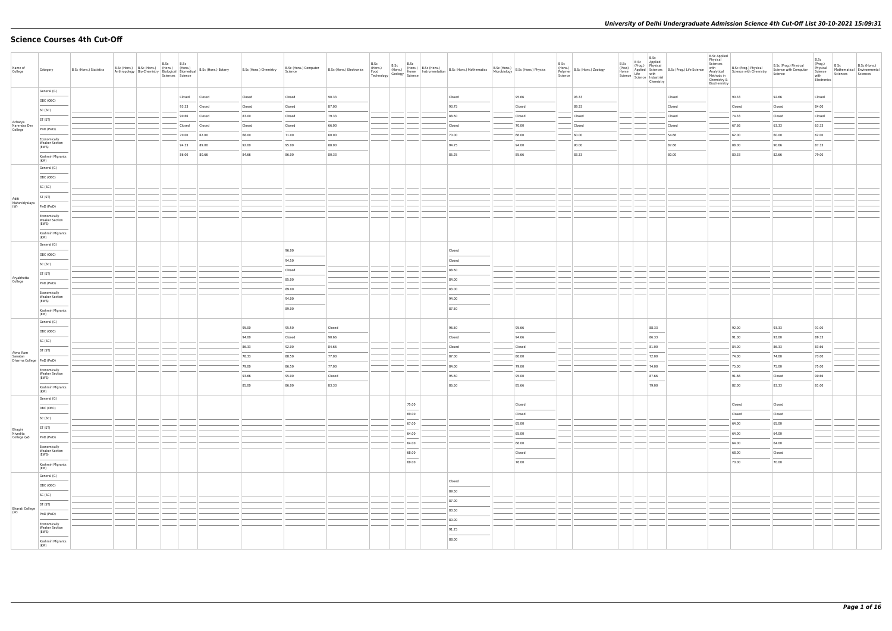# **Science Courses 4th Cut-Off**

| Name of<br>College                 | Category                                       | B.Sc (Hons.) Statistics | B.Sc<br>B.Sc (Hons.) B.Sc (Hons.) (Hons.) (Hons.)<br>Anthropology Bio-Chemistry Biological Biomedical | B.Sc<br>Sciences Science | B.Sc (Hons.) Botany | B.Sc (Hons.) Chemistry | B.Sc (Hons.) Computer<br>Science | B.Sc (Hons.) Electronics | B.Sc<br>(Hons.)<br>Food | B.Sc                                                                                                                                                                                                                                                                                                                                                                                                                                                                                | Hons.) B.Sc (Hons.) B.Sc (Hons.) B.Sc (Hons.) B.Sc (Hons.) B.Sc (Hons.) B.Sc (Hons.) B.Sc (Hons.) B.Sc (Hons.) B.Sc (Hons.) B.Sc (Hons.) B.Sc (Hons.) B.Sc (Hons.) B.Sc (Hons.) Physics Technology Science   Instrumentation B |        | B.Sc<br>Science | (Hons.)<br>Polymer   B.Sc (Hons.) Zoology | B.Sc<br>(Pass)<br>Home | B.Sc<br>Science   Science   Industrial | Chemistry | B.Sc<br>(Prog.) Physical<br>Applied Sciences B.Sc (Prog.) Life Science<br>Life with the life and the life with the life with the life and the life and the life with the life of the life of the life of the life of the life of the | <b>B.Sc Applied</b><br>Physical<br>Sciences<br>with<br>Methods in<br>Chemistry &<br>Biochemistry | B.Sc (Prog.) Physical<br>Analytical Science with Chemistry | B.Sc (Prog.) Physical<br>Science with Computer<br>Science | B.Sc<br>(Prog.)<br>Physical<br>Science<br>with<br>Electronics | B.Sc<br>Sciences | B.Sc (Hons.)<br>Mathematical Environmental<br>Sciences |
|------------------------------------|------------------------------------------------|-------------------------|-------------------------------------------------------------------------------------------------------|--------------------------|---------------------|------------------------|----------------------------------|--------------------------|-------------------------|-------------------------------------------------------------------------------------------------------------------------------------------------------------------------------------------------------------------------------------------------------------------------------------------------------------------------------------------------------------------------------------------------------------------------------------------------------------------------------------|--------------------------------------------------------------------------------------------------------------------------------------------------------------------------------------------------------------------------------|--------|-----------------|-------------------------------------------|------------------------|----------------------------------------|-----------|--------------------------------------------------------------------------------------------------------------------------------------------------------------------------------------------------------------------------------------|--------------------------------------------------------------------------------------------------|------------------------------------------------------------|-----------------------------------------------------------|---------------------------------------------------------------|------------------|--------------------------------------------------------|
|                                    | General (G)                                    |                         |                                                                                                       | Closed                   | Closed              | Closed                 | Closed                           | 90.33                    |                         |                                                                                                                                                                                                                                                                                                                                                                                                                                                                                     | Closed                                                                                                                                                                                                                         | 95.66  |                 | 93.33                                     |                        |                                        |           | Closed                                                                                                                                                                                                                               |                                                                                                  | 90.33                                                      | 92.66                                                     | Closed                                                        |                  |                                                        |
|                                    | OBC (OBC)                                      |                         |                                                                                                       | 93.33                    | Closed              | Closed                 | Closed                           | 87.00                    |                         |                                                                                                                                                                                                                                                                                                                                                                                                                                                                                     | 93.75                                                                                                                                                                                                                          | Closed |                 | 89.33                                     |                        |                                        |           | Closed                                                                                                                                                                                                                               |                                                                                                  | Closed                                                     | Closed                                                    | 84.00                                                         |                  |                                                        |
|                                    | SC (SC)                                        |                         |                                                                                                       | 90.66                    | Closed              | 83.00                  | Closed                           | 79.33                    |                         |                                                                                                                                                                                                                                                                                                                                                                                                                                                                                     | 88.50                                                                                                                                                                                                                          | Closed |                 | Closed                                    |                        |                                        |           | Closed                                                                                                                                                                                                                               |                                                                                                  | 74.33                                                      | Closed                                                    | Closed                                                        |                  |                                                        |
| Acharya<br>Narendra Dev            | ST (ST)                                        |                         |                                                                                                       | Closed                   | Closed              | Closed                 | Closed                           | 66.00                    |                         |                                                                                                                                                                                                                                                                                                                                                                                                                                                                                     | Closed                                                                                                                                                                                                                         | 70.00  |                 | Closed                                    |                        |                                        |           | Closed                                                                                                                                                                                                                               |                                                                                                  | 67.66                                                      | 63.33                                                     | 63.33                                                         |                  |                                                        |
| College                            | PwD (PwD)                                      |                         |                                                                                                       | 70.00                    | 62.00               | 68.00                  | 71.00                            | 60.00                    |                         |                                                                                                                                                                                                                                                                                                                                                                                                                                                                                     | 70.00                                                                                                                                                                                                                          | 66.00  |                 | 60.00                                     |                        |                                        |           | 54.66                                                                                                                                                                                                                                |                                                                                                  | 62.00                                                      | 60.00                                                     | 62.00                                                         |                  |                                                        |
|                                    | Economically<br><b>Weaker Section</b><br>(EWS) |                         |                                                                                                       | 94.33                    | 89.00               | 92.00                  | 95.00                            | 88.00                    |                         |                                                                                                                                                                                                                                                                                                                                                                                                                                                                                     | 94.25                                                                                                                                                                                                                          | 94.00  |                 | 90.00                                     |                        |                                        |           | 87.66                                                                                                                                                                                                                                |                                                                                                  | 88.00                                                      | 90.66                                                     | 87.33                                                         |                  |                                                        |
|                                    | Kashmiri Migrants                              |                         |                                                                                                       | 86.00                    | 80.66               | 84.66                  | 86.00                            | 80.33                    |                         |                                                                                                                                                                                                                                                                                                                                                                                                                                                                                     | 85.25                                                                                                                                                                                                                          | 85.66  |                 | 83.33                                     |                        |                                        |           | 80.00                                                                                                                                                                                                                                |                                                                                                  | 80.33                                                      | 82.66                                                     | 79.00                                                         |                  |                                                        |
|                                    | (KM)<br>General (G)                            |                         |                                                                                                       |                          |                     |                        |                                  |                          |                         |                                                                                                                                                                                                                                                                                                                                                                                                                                                                                     |                                                                                                                                                                                                                                |        |                 |                                           |                        |                                        |           |                                                                                                                                                                                                                                      |                                                                                                  |                                                            |                                                           |                                                               |                  |                                                        |
|                                    | OBC (OBC)                                      |                         |                                                                                                       |                          |                     |                        |                                  |                          |                         |                                                                                                                                                                                                                                                                                                                                                                                                                                                                                     |                                                                                                                                                                                                                                |        |                 |                                           |                        |                                        |           |                                                                                                                                                                                                                                      |                                                                                                  |                                                            |                                                           |                                                               |                  |                                                        |
|                                    | SC (SC)                                        |                         |                                                                                                       |                          |                     |                        |                                  |                          |                         |                                                                                                                                                                                                                                                                                                                                                                                                                                                                                     |                                                                                                                                                                                                                                |        |                 |                                           |                        |                                        |           |                                                                                                                                                                                                                                      |                                                                                                  |                                                            |                                                           |                                                               |                  |                                                        |
|                                    | ST (ST)                                        |                         |                                                                                                       |                          |                     |                        |                                  |                          |                         |                                                                                                                                                                                                                                                                                                                                                                                                                                                                                     |                                                                                                                                                                                                                                |        |                 |                                           |                        |                                        |           |                                                                                                                                                                                                                                      |                                                                                                  |                                                            |                                                           |                                                               |                  |                                                        |
| Aditi<br>Mahavidyalaya<br>(W)      | PwD (PwD)                                      |                         |                                                                                                       |                          |                     |                        |                                  |                          |                         |                                                                                                                                                                                                                                                                                                                                                                                                                                                                                     |                                                                                                                                                                                                                                |        |                 |                                           |                        |                                        |           |                                                                                                                                                                                                                                      |                                                                                                  |                                                            |                                                           |                                                               |                  |                                                        |
|                                    | Economically                                   |                         |                                                                                                       |                          |                     |                        |                                  |                          |                         |                                                                                                                                                                                                                                                                                                                                                                                                                                                                                     |                                                                                                                                                                                                                                |        |                 |                                           |                        |                                        |           |                                                                                                                                                                                                                                      |                                                                                                  |                                                            |                                                           |                                                               |                  |                                                        |
|                                    | <b>Weaker Section</b><br>(EWS)                 |                         |                                                                                                       |                          |                     |                        |                                  |                          |                         |                                                                                                                                                                                                                                                                                                                                                                                                                                                                                     |                                                                                                                                                                                                                                |        |                 |                                           |                        |                                        |           |                                                                                                                                                                                                                                      |                                                                                                  |                                                            |                                                           |                                                               |                  |                                                        |
|                                    | Kashmiri Migrants<br>(KM)                      |                         |                                                                                                       |                          |                     |                        |                                  |                          |                         |                                                                                                                                                                                                                                                                                                                                                                                                                                                                                     |                                                                                                                                                                                                                                |        |                 |                                           |                        |                                        |           |                                                                                                                                                                                                                                      |                                                                                                  |                                                            |                                                           |                                                               |                  |                                                        |
|                                    | General (G)                                    |                         |                                                                                                       |                          |                     |                        |                                  |                          |                         |                                                                                                                                                                                                                                                                                                                                                                                                                                                                                     |                                                                                                                                                                                                                                |        |                 |                                           |                        |                                        |           |                                                                                                                                                                                                                                      |                                                                                                  |                                                            |                                                           |                                                               |                  |                                                        |
|                                    | OBC (OBC)                                      |                         |                                                                                                       |                          |                     |                        | 96.00                            |                          |                         |                                                                                                                                                                                                                                                                                                                                                                                                                                                                                     | Closed                                                                                                                                                                                                                         |        |                 |                                           |                        |                                        |           |                                                                                                                                                                                                                                      |                                                                                                  |                                                            |                                                           |                                                               |                  |                                                        |
|                                    | SC (SC)                                        |                         |                                                                                                       |                          |                     |                        | 94.50                            |                          |                         |                                                                                                                                                                                                                                                                                                                                                                                                                                                                                     | Closed                                                                                                                                                                                                                         |        |                 |                                           |                        |                                        |           |                                                                                                                                                                                                                                      |                                                                                                  |                                                            |                                                           |                                                               |                  |                                                        |
|                                    | ST (ST)                                        |                         |                                                                                                       |                          |                     |                        | Closed                           |                          |                         |                                                                                                                                                                                                                                                                                                                                                                                                                                                                                     | 88.50                                                                                                                                                                                                                          |        |                 |                                           |                        |                                        |           |                                                                                                                                                                                                                                      |                                                                                                  |                                                            |                                                           |                                                               |                  |                                                        |
| Aryabhatta<br>College              | PwD (PwD)                                      |                         |                                                                                                       |                          |                     |                        | 85.00                            |                          |                         |                                                                                                                                                                                                                                                                                                                                                                                                                                                                                     | 84.00                                                                                                                                                                                                                          |        |                 |                                           |                        |                                        |           |                                                                                                                                                                                                                                      |                                                                                                  |                                                            |                                                           |                                                               |                  |                                                        |
|                                    | Economically<br><b>Weaker Section</b>          |                         |                                                                                                       |                          |                     |                        | 89.00                            |                          |                         |                                                                                                                                                                                                                                                                                                                                                                                                                                                                                     | 83.00                                                                                                                                                                                                                          |        |                 |                                           |                        |                                        |           |                                                                                                                                                                                                                                      |                                                                                                  |                                                            |                                                           |                                                               |                  |                                                        |
|                                    | (EWS)                                          |                         |                                                                                                       |                          |                     |                        | 94.00<br>89.00                   |                          |                         |                                                                                                                                                                                                                                                                                                                                                                                                                                                                                     | 94.00<br>87.50                                                                                                                                                                                                                 |        |                 |                                           |                        |                                        |           |                                                                                                                                                                                                                                      |                                                                                                  |                                                            |                                                           |                                                               |                  |                                                        |
|                                    | Kashmiri Migrants<br>(KM)                      |                         |                                                                                                       |                          |                     |                        |                                  |                          |                         |                                                                                                                                                                                                                                                                                                                                                                                                                                                                                     |                                                                                                                                                                                                                                |        |                 |                                           |                        |                                        |           |                                                                                                                                                                                                                                      |                                                                                                  |                                                            |                                                           |                                                               |                  |                                                        |
|                                    | General (G)                                    |                         |                                                                                                       |                          |                     | 95.00                  | 95.50                            | Closed                   |                         |                                                                                                                                                                                                                                                                                                                                                                                                                                                                                     | 96.50                                                                                                                                                                                                                          | 95.66  |                 |                                           |                        | 88.33                                  |           |                                                                                                                                                                                                                                      |                                                                                                  | 92.00                                                      | 93.33                                                     | 91.00                                                         |                  |                                                        |
|                                    | OBC (OBC)                                      |                         |                                                                                                       |                          |                     | 94.00                  | Closed                           | 90.66                    |                         |                                                                                                                                                                                                                                                                                                                                                                                                                                                                                     | $\mathsf{Closed}$                                                                                                                                                                                                              | 94.66  |                 |                                           |                        | 86.33                                  |           |                                                                                                                                                                                                                                      |                                                                                                  | 91.00                                                      | 93.00                                                     | 89.33                                                         |                  |                                                        |
|                                    | SC (SC)                                        |                         |                                                                                                       |                          |                     | 86.33                  | 92.00                            | 84.66                    |                         |                                                                                                                                                                                                                                                                                                                                                                                                                                                                                     | Closed                                                                                                                                                                                                                         | Closed |                 |                                           |                        | 81.00                                  |           |                                                                                                                                                                                                                                      |                                                                                                  | 84.00                                                      | 86.33                                                     | 83.66                                                         |                  |                                                        |
| Atma Ram<br>Sanatan                | ST (ST)                                        |                         |                                                                                                       |                          |                     | 78.33                  | 88.50                            | 77.00                    |                         |                                                                                                                                                                                                                                                                                                                                                                                                                                                                                     | 87.00                                                                                                                                                                                                                          | 80.00  |                 |                                           |                        | 72.00                                  |           |                                                                                                                                                                                                                                      |                                                                                                  | 74.00                                                      | 74.00                                                     | 73.00                                                         |                  |                                                        |
| Dharma College   PwD (PwD)         |                                                |                         |                                                                                                       |                          |                     | 79.00                  | 86.50                            | 77.00                    |                         |                                                                                                                                                                                                                                                                                                                                                                                                                                                                                     | 84.00                                                                                                                                                                                                                          | 79.00  |                 |                                           |                        | 74.00                                  |           |                                                                                                                                                                                                                                      |                                                                                                  | 75.00                                                      | 75.00                                                     | 75.00                                                         |                  |                                                        |
|                                    | Economically<br><b>Weaker Section</b><br>(EWS) |                         |                                                                                                       |                          |                     | 93.66                  | 95.00                            | Closed                   |                         |                                                                                                                                                                                                                                                                                                                                                                                                                                                                                     | 95.50                                                                                                                                                                                                                          | 95.00  |                 |                                           |                        | 87.66                                  |           |                                                                                                                                                                                                                                      |                                                                                                  | 91.66                                                      | Closed                                                    | 90.66                                                         |                  |                                                        |
|                                    | Kashmiri Migrants                              |                         |                                                                                                       |                          |                     | 85.00                  | 86.00                            | 83.33                    |                         |                                                                                                                                                                                                                                                                                                                                                                                                                                                                                     | 86.50                                                                                                                                                                                                                          | 85.66  |                 |                                           |                        | 79.00                                  |           |                                                                                                                                                                                                                                      |                                                                                                  | 82.00                                                      | 83.33                                                     | 81.00                                                         |                  |                                                        |
|                                    | (KM)<br>General (G)                            |                         |                                                                                                       |                          |                     |                        |                                  |                          |                         |                                                                                                                                                                                                                                                                                                                                                                                                                                                                                     |                                                                                                                                                                                                                                |        |                 |                                           |                        |                                        |           |                                                                                                                                                                                                                                      |                                                                                                  |                                                            |                                                           |                                                               |                  |                                                        |
|                                    | OBC (OBC)                                      |                         |                                                                                                       |                          |                     |                        |                                  |                          |                         | 75.00<br>$\frac{1}{2} \left( \frac{1}{2} \right) \left( \frac{1}{2} \right) \left( \frac{1}{2} \right) \left( \frac{1}{2} \right) \left( \frac{1}{2} \right) \left( \frac{1}{2} \right) \left( \frac{1}{2} \right) \left( \frac{1}{2} \right) \left( \frac{1}{2} \right) \left( \frac{1}{2} \right) \left( \frac{1}{2} \right) \left( \frac{1}{2} \right) \left( \frac{1}{2} \right) \left( \frac{1}{2} \right) \left( \frac{1}{2} \right) \left( \frac{1}{2} \right) \left( \frac$ |                                                                                                                                                                                                                                | Closed |                 |                                           |                        |                                        |           |                                                                                                                                                                                                                                      |                                                                                                  | Closed                                                     | Closed                                                    |                                                               |                  |                                                        |
|                                    | SC (SC)                                        |                         |                                                                                                       |                          |                     |                        |                                  |                          |                         | 69.00                                                                                                                                                                                                                                                                                                                                                                                                                                                                               |                                                                                                                                                                                                                                | Closed |                 |                                           |                        |                                        |           |                                                                                                                                                                                                                                      |                                                                                                  | Closed                                                     | Closed                                                    |                                                               |                  |                                                        |
|                                    | ST (ST)                                        |                         |                                                                                                       |                          |                     |                        |                                  |                          |                         | 67.00                                                                                                                                                                                                                                                                                                                                                                                                                                                                               |                                                                                                                                                                                                                                | 65.00  |                 |                                           |                        |                                        |           |                                                                                                                                                                                                                                      |                                                                                                  | 64.00                                                      | 65.00                                                     |                                                               |                  |                                                        |
| Bhagini<br>Nivedita<br>College (W) | PwD (PwD)                                      |                         |                                                                                                       |                          |                     |                        |                                  |                          |                         | 64.00                                                                                                                                                                                                                                                                                                                                                                                                                                                                               |                                                                                                                                                                                                                                | 65.00  |                 |                                           |                        |                                        |           |                                                                                                                                                                                                                                      |                                                                                                  | 64.00                                                      | 64.00                                                     |                                                               |                  |                                                        |
|                                    | Economically                                   |                         |                                                                                                       |                          |                     |                        |                                  |                          |                         | 64.00                                                                                                                                                                                                                                                                                                                                                                                                                                                                               |                                                                                                                                                                                                                                | 66.00  |                 |                                           |                        |                                        |           |                                                                                                                                                                                                                                      |                                                                                                  | 64.00                                                      | 64.00                                                     |                                                               |                  |                                                        |
|                                    | <b>Weaker Section</b><br>(EWS)                 |                         |                                                                                                       |                          |                     |                        |                                  |                          |                         | 68.00<br>$\sim$                                                                                                                                                                                                                                                                                                                                                                                                                                                                     |                                                                                                                                                                                                                                | Closed |                 |                                           |                        |                                        |           |                                                                                                                                                                                                                                      |                                                                                                  | 68.00                                                      | Closed                                                    |                                                               |                  |                                                        |
|                                    | Kashmiri Migrants<br>(KM)                      |                         |                                                                                                       |                          |                     |                        |                                  |                          |                         | 69.00                                                                                                                                                                                                                                                                                                                                                                                                                                                                               |                                                                                                                                                                                                                                | 76.00  |                 |                                           |                        |                                        |           |                                                                                                                                                                                                                                      |                                                                                                  | 70.00                                                      | 70.00                                                     |                                                               |                  |                                                        |
|                                    | General (G)                                    |                         |                                                                                                       |                          |                     |                        |                                  |                          |                         |                                                                                                                                                                                                                                                                                                                                                                                                                                                                                     |                                                                                                                                                                                                                                |        |                 |                                           |                        |                                        |           |                                                                                                                                                                                                                                      |                                                                                                  |                                                            |                                                           |                                                               |                  |                                                        |
|                                    | OBC (OBC)                                      |                         |                                                                                                       |                          |                     |                        |                                  |                          |                         |                                                                                                                                                                                                                                                                                                                                                                                                                                                                                     | Closed                                                                                                                                                                                                                         |        |                 |                                           |                        |                                        |           |                                                                                                                                                                                                                                      |                                                                                                  |                                                            |                                                           |                                                               |                  |                                                        |
|                                    | SC (SC)                                        |                         |                                                                                                       |                          |                     |                        |                                  |                          |                         |                                                                                                                                                                                                                                                                                                                                                                                                                                                                                     | 89.50                                                                                                                                                                                                                          |        |                 |                                           |                        |                                        |           |                                                                                                                                                                                                                                      |                                                                                                  |                                                            |                                                           |                                                               |                  |                                                        |
|                                    | ST (ST)                                        |                         |                                                                                                       |                          |                     |                        |                                  |                          |                         |                                                                                                                                                                                                                                                                                                                                                                                                                                                                                     | 87.00                                                                                                                                                                                                                          |        |                 |                                           |                        |                                        |           |                                                                                                                                                                                                                                      |                                                                                                  |                                                            |                                                           |                                                               |                  |                                                        |
| <b>Bharati College</b><br>(W)      | PwD (PwD)                                      |                         |                                                                                                       |                          |                     |                        |                                  |                          |                         |                                                                                                                                                                                                                                                                                                                                                                                                                                                                                     | 83.50                                                                                                                                                                                                                          |        |                 |                                           |                        |                                        |           |                                                                                                                                                                                                                                      |                                                                                                  |                                                            |                                                           |                                                               |                  |                                                        |
|                                    | Economically<br><b>Weaker Section</b>          |                         |                                                                                                       |                          |                     |                        |                                  |                          |                         |                                                                                                                                                                                                                                                                                                                                                                                                                                                                                     | 80.00                                                                                                                                                                                                                          |        |                 |                                           |                        |                                        |           |                                                                                                                                                                                                                                      |                                                                                                  |                                                            |                                                           |                                                               |                  |                                                        |
|                                    | (EWS)                                          |                         |                                                                                                       |                          |                     |                        |                                  |                          |                         |                                                                                                                                                                                                                                                                                                                                                                                                                                                                                     | 91.25                                                                                                                                                                                                                          |        |                 |                                           |                        |                                        |           |                                                                                                                                                                                                                                      |                                                                                                  |                                                            |                                                           |                                                               |                  |                                                        |
|                                    | Kashmiri Migrants<br>(KM)                      |                         |                                                                                                       |                          |                     |                        |                                  |                          |                         |                                                                                                                                                                                                                                                                                                                                                                                                                                                                                     | 88.00                                                                                                                                                                                                                          |        |                 |                                           |                        |                                        |           |                                                                                                                                                                                                                                      |                                                                                                  |                                                            |                                                           |                                                               |                  |                                                        |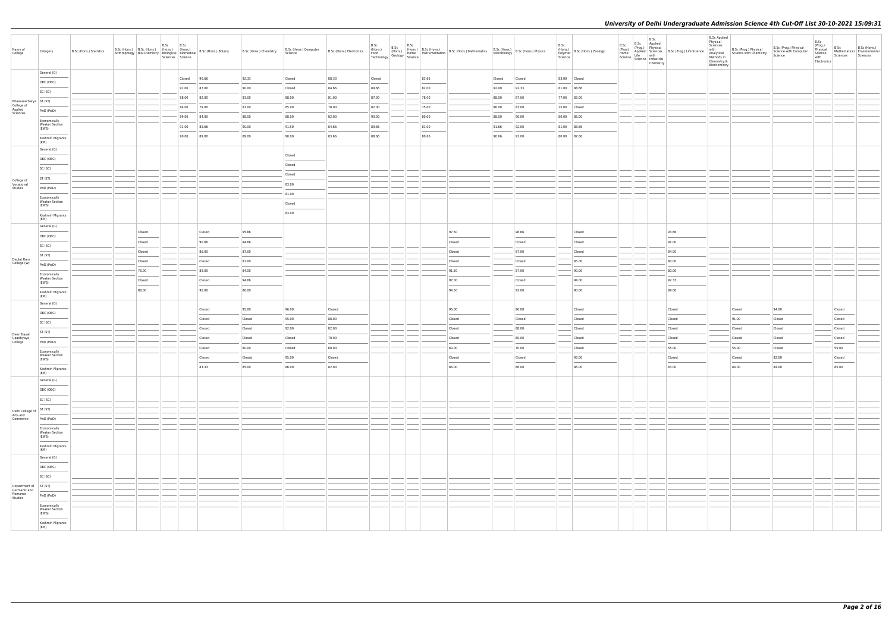| Name of<br>College                                            | Category                                       | B.Sc (Hons.) Statistics | B.Sc (Hons.) B.Sc (Hons.) (Hons.) (Hons.) |                 | B.Sc | B.Sc<br>Sciences Science |       | Anthropology   Bio-Chemistry   Biological   Biomedical   B.Sc (Hons.) Botany | B.Sc (Hons.) Chemistry | B.Sc (Hons.) Computer<br>Science | B.Sc (Hons.) Electronics | B.Sc<br>(Hons.)<br>Food<br>Technology | B.Sc<br>B.Sc (Hons.)<br>(Hons.) (Hons.) I<br>Geology Science |       | (Hons.) B.Sc (Hons.) B.Sc (Hons.) Mathematics B.Sc (Hons.) B.Sc (Hons.) Physics<br>Home Instrumentation B.Sc (Hons.) Mathematics Microbiology B.Sc (Hons.) Physics |        |                 | B.Sc<br>Science | (Hons.)<br>Polymer B.Sc (Hons.) Zoology | B.Sc<br>(Pass) (Prog.) Physical<br>Home Applied Sciences<br>Science Life with<br>Science Industrial | B.Sc<br>(Prog.) Physical | B.Sc<br>Applied<br>Chemistry | Applied Sciences B.Sc (Prog.) Life Science<br>Life with | <b>B.Sc Applied</b><br>Physical<br>Sciences<br>with<br>Methods in<br>Chemistry &<br>Biochemistry | B.Sc (Prog.) Physical<br>Analytical Science with Chemistry | B.Sc (Prog.) Physical<br>Science with Computer<br>Science | B.Sc<br>(Prog.)<br>Physical<br>Science<br>with<br>Electronics | B.Sc<br>Sciences | B.Sc (Hons.)<br>Mathematical Environmental<br>Sciences |
|---------------------------------------------------------------|------------------------------------------------|-------------------------|-------------------------------------------|-----------------|------|--------------------------|-------|------------------------------------------------------------------------------|------------------------|----------------------------------|--------------------------|---------------------------------------|--------------------------------------------------------------|-------|--------------------------------------------------------------------------------------------------------------------------------------------------------------------|--------|-----------------|-----------------|-----------------------------------------|-----------------------------------------------------------------------------------------------------|--------------------------|------------------------------|---------------------------------------------------------|--------------------------------------------------------------------------------------------------|------------------------------------------------------------|-----------------------------------------------------------|---------------------------------------------------------------|------------------|--------------------------------------------------------|
|                                                               | General (G)                                    |                         |                                           |                 |      | Closed                   | 90.66 |                                                                              | 92.33                  | Closed                           | 88.33                    | Closed                                |                                                              | 83.66 |                                                                                                                                                                    | Closed | Closed          |                 | 83.00 Closed                            |                                                                                                     |                          |                              |                                                         |                                                                                                  |                                                            |                                                           |                                                               |                  |                                                        |
|                                                               | OBC (OBC)                                      |                         |                                           |                 |      | 91.00                    | 87.00 |                                                                              | 90.00                  | Closed                           | 84.66                    | 89.66                                 |                                                              | 82.00 |                                                                                                                                                                    | 92.00  | 92.33           |                 | 81.00 88.66                             |                                                                                                     |                          |                              |                                                         |                                                                                                  |                                                            |                                                           |                                                               |                  |                                                        |
|                                                               | SC (SC)                                        |                         |                                           |                 |      | 88.00                    | 82.00 |                                                                              | 83.00                  | 88.00                            | 81.00                    | 87.00                                 |                                                              | 78.00 |                                                                                                                                                                    | 88.00  | 87.00           |                 | 77.00 83.00                             |                                                                                                     |                          |                              |                                                         |                                                                                                  |                                                            |                                                           |                                                               |                  |                                                        |
| Bhaskaracharya   ST (ST)<br>College of<br>Applied<br>Sciences |                                                |                         |                                           |                 |      | 84.00                    | 79.00 |                                                                              | 81.00                  | 85.00                            | 78.00                    | 82.00                                 |                                                              | 75.00 |                                                                                                                                                                    | 86.00  | 83.00           |                 | 75.00 Closed                            |                                                                                                     |                          |                              |                                                         |                                                                                                  |                                                            |                                                           |                                                               |                  |                                                        |
|                                                               | PwD (PwD)                                      |                         |                                           |                 |      | 89.00                    | 84.00 |                                                                              | 88.00                  | 88.00                            | 82.00                    | 90.00                                 |                                                              | 80.00 |                                                                                                                                                                    | 88.00  | 90.00           |                 | 80.00 88.00                             |                                                                                                     |                          |                              |                                                         |                                                                                                  |                                                            |                                                           |                                                               |                  |                                                        |
|                                                               | Economically<br><b>Weaker Section</b>          |                         |                                           |                 |      | 91.00                    | 89.66 |                                                                              | 90.00                  | 91.50                            | 84.66                    | 89.66                                 |                                                              | 81.00 |                                                                                                                                                                    | 91.66  | 92.00           |                 | 81.00 88.66                             |                                                                                                     |                          |                              |                                                         |                                                                                                  |                                                            |                                                           |                                                               |                  |                                                        |
|                                                               | (EWS)<br>Kashmiri Migrants                     |                         |                                           |                 |      | 90.00                    | 89.00 |                                                                              | 89.00                  | 90.00                            | 83.66                    | 88.66                                 |                                                              | 80.66 |                                                                                                                                                                    | 90.66  | 91.00           |                 | 80.00 87.66                             |                                                                                                     |                          |                              |                                                         |                                                                                                  |                                                            |                                                           |                                                               |                  |                                                        |
|                                                               | (KM)                                           |                         |                                           |                 |      |                          |       |                                                                              |                        |                                  |                          |                                       |                                                              |       |                                                                                                                                                                    |        |                 |                 |                                         |                                                                                                     |                          |                              |                                                         |                                                                                                  |                                                            |                                                           |                                                               |                  |                                                        |
|                                                               | General (G)                                    |                         |                                           |                 |      |                          |       |                                                                              |                        | Closed                           |                          |                                       |                                                              |       |                                                                                                                                                                    |        |                 |                 |                                         |                                                                                                     |                          |                              |                                                         |                                                                                                  |                                                            |                                                           |                                                               |                  |                                                        |
|                                                               | OBC (OBC)                                      |                         |                                           |                 |      |                          |       |                                                                              |                        | Closed                           |                          |                                       |                                                              |       |                                                                                                                                                                    |        |                 |                 |                                         |                                                                                                     |                          |                              |                                                         |                                                                                                  |                                                            |                                                           |                                                               |                  |                                                        |
|                                                               | SC (SC)                                        |                         |                                           |                 |      |                          |       |                                                                              |                        | Closed                           |                          |                                       |                                                              |       |                                                                                                                                                                    |        |                 |                 |                                         |                                                                                                     |                          |                              |                                                         |                                                                                                  |                                                            |                                                           |                                                               |                  |                                                        |
| College of<br>Vocational                                      | ST (ST)                                        |                         |                                           |                 |      |                          |       |                                                                              |                        | 83.00                            |                          |                                       |                                                              |       |                                                                                                                                                                    |        |                 |                 |                                         |                                                                                                     |                          |                              |                                                         |                                                                                                  |                                                            |                                                           |                                                               |                  |                                                        |
| Studies                                                       | PwD (PwD)                                      |                         |                                           |                 |      |                          |       |                                                                              |                        | 81.00                            |                          |                                       |                                                              |       |                                                                                                                                                                    |        |                 |                 |                                         |                                                                                                     |                          |                              |                                                         |                                                                                                  |                                                            |                                                           |                                                               |                  |                                                        |
|                                                               | Economically<br><b>Weaker Section</b><br>(EWS) |                         |                                           |                 |      |                          |       |                                                                              |                        | Closed                           |                          |                                       |                                                              |       |                                                                                                                                                                    |        |                 |                 |                                         |                                                                                                     |                          |                              |                                                         |                                                                                                  |                                                            |                                                           |                                                               |                  |                                                        |
|                                                               | Kashmiri Migrants<br>(KM)                      |                         |                                           |                 |      |                          |       |                                                                              |                        | 83.00                            |                          |                                       |                                                              |       |                                                                                                                                                                    |        |                 |                 |                                         |                                                                                                     |                          |                              |                                                         |                                                                                                  |                                                            |                                                           |                                                               |                  |                                                        |
|                                                               | General (G)                                    |                         |                                           |                 |      |                          |       |                                                                              |                        |                                  |                          |                                       |                                                              |       |                                                                                                                                                                    |        |                 |                 |                                         |                                                                                                     |                          |                              |                                                         |                                                                                                  |                                                            |                                                           |                                                               |                  |                                                        |
|                                                               | OBC (OBC)                                      |                         |                                           | Closed          |      |                          |       | Closed                                                                       | 95.66                  |                                  |                          |                                       |                                                              |       | 97.50                                                                                                                                                              |        | 96.66           |                 | Closed                                  |                                                                                                     |                          |                              | 93.66                                                   |                                                                                                  |                                                            |                                                           |                                                               |                  |                                                        |
|                                                               | SC (SC)                                        |                         |                                           | Closed          |      |                          |       | 90.66                                                                        | 94.66                  |                                  |                          |                                       |                                                              |       | Closed                                                                                                                                                             |        | Closed          |                 | Closed                                  |                                                                                                     |                          |                              | 91.00                                                   |                                                                                                  |                                                            |                                                           |                                                               |                  |                                                        |
| Daulat Ram                                                    | ST (ST)                                        |                         |                                           | Closed          |      |                          |       | 86.00                                                                        | 87.00<br>81.00         |                                  |                          |                                       |                                                              |       | Closed                                                                                                                                                             |        | 87.00           |                 | Closed<br>85.00                         |                                                                                                     |                          |                              | 84.00<br>80.00                                          |                                                                                                  |                                                            |                                                           |                                                               |                  |                                                        |
| College (W)                                                   | PwD (PwD)                                      |                         |                                           | Closed<br>78.00 |      |                          |       | Closed<br>89.00                                                              | 84.00                  |                                  |                          |                                       |                                                              |       | Closed<br>91.50                                                                                                                                                    |        | Closed<br>87.00 |                 | 90.00                                   |                                                                                                     |                          |                              | 80.00                                                   |                                                                                                  |                                                            |                                                           |                                                               |                  |                                                        |
|                                                               | Economically<br><b>Weaker Section</b>          |                         |                                           | Closed          |      |                          |       | Closed                                                                       | 94.66                  |                                  |                          |                                       |                                                              |       | 97.00                                                                                                                                                              |        | Closed          |                 | 94.00                                   |                                                                                                     |                          |                              | 92.33                                                   |                                                                                                  |                                                            |                                                           |                                                               |                  |                                                        |
|                                                               | (EWS)                                          |                         |                                           | 88.00           |      |                          |       | 90.00                                                                        | 86.00                  |                                  |                          |                                       |                                                              |       | 94.50                                                                                                                                                              |        | 92.00           |                 | 90.00                                   |                                                                                                     |                          |                              | 89.00                                                   |                                                                                                  |                                                            |                                                           |                                                               |                  |                                                        |
|                                                               | Kashmiri Migrants<br>(KM)                      |                         |                                           |                 |      |                          |       |                                                                              |                        |                                  |                          |                                       |                                                              |       |                                                                                                                                                                    |        |                 |                 |                                         |                                                                                                     |                          |                              |                                                         |                                                                                                  |                                                            |                                                           |                                                               |                  |                                                        |
|                                                               | General (G)                                    |                         |                                           |                 |      |                          |       | Closed                                                                       | 95.00                  | 96.00                            | Closed                   |                                       |                                                              |       | 96.00                                                                                                                                                              |        | 96.00           |                 | Closed                                  |                                                                                                     |                          |                              | Closed                                                  |                                                                                                  | Closed                                                     | 94.00                                                     |                                                               | Closed           |                                                        |
|                                                               | OBC (OBC)                                      |                         |                                           |                 |      |                          |       | Closed                                                                       | Closed                 | 95.00                            | 88.00                    |                                       |                                                              |       | Closed                                                                                                                                                             |        | Closed          |                 | Closed                                  |                                                                                                     |                          |                              | Closed                                                  |                                                                                                  | 91.00                                                      | Closed                                                    |                                                               | Closed           |                                                        |
|                                                               | SC (SC)                                        |                         |                                           |                 |      |                          |       | Closed                                                                       | Closed                 | 92.00                            | 82.00                    |                                       |                                                              |       | Closed                                                                                                                                                             |        | 88.00           |                 | Closed                                  |                                                                                                     |                          |                              | Closed                                                  |                                                                                                  | Closed                                                     | Closed                                                    |                                                               | Closed           |                                                        |
| Deen Dayal<br>Upadhyaya<br>College                            | ST (ST)                                        |                         |                                           |                 |      |                          |       | Closed                                                                       | Closed                 | Closed                           | 70.00                    |                                       |                                                              |       | Closed                                                                                                                                                             |        | 80.00           |                 | Closed                                  |                                                                                                     |                          |                              | Closed                                                  |                                                                                                  | Closed                                                     | Closed                                                    |                                                               | Closed           |                                                        |
|                                                               | PwD (PwD)                                      |                         |                                           |                 |      |                          |       | Closed                                                                       | 60.00                  | Closed                           | 60.00                    |                                       |                                                              |       | 60.00                                                                                                                                                              |        | 70.00           |                 | Closed                                  |                                                                                                     |                          |                              | 55.00                                                   |                                                                                                  | 55.00                                                      | Closed                                                    |                                                               | 55.00            |                                                        |
|                                                               | Economically<br><b>Weaker Section</b><br>(EWS) |                         |                                           |                 |      |                          |       | Closed                                                                       | Closed                 | 95.00                            | Closed                   |                                       |                                                              |       | Closed                                                                                                                                                             |        | Closed          |                 | 93.00                                   |                                                                                                     |                          |                              | Closed                                                  |                                                                                                  | Closed                                                     | 92.00                                                     |                                                               | Closed           |                                                        |
|                                                               | Kashmiri Migrants                              |                         |                                           |                 |      |                          |       | 83.33                                                                        | 85.00                  | 86.00                            | 82.00                    |                                       |                                                              |       | $\sim$<br>86.00                                                                                                                                                    |        | 86.00           |                 | 86.00                                   |                                                                                                     |                          |                              | 83.00                                                   |                                                                                                  | $\frac{1}{2}$<br>84.00                                     | 84.00                                                     |                                                               | $\sim$<br>85.00  |                                                        |
|                                                               | (KM)<br>General (G)                            |                         |                                           |                 |      |                          |       |                                                                              |                        |                                  |                          |                                       |                                                              |       |                                                                                                                                                                    |        |                 |                 |                                         |                                                                                                     |                          |                              |                                                         |                                                                                                  |                                                            |                                                           |                                                               |                  |                                                        |
|                                                               | OBC (OBC)                                      |                         |                                           |                 |      |                          |       |                                                                              |                        |                                  |                          |                                       |                                                              |       |                                                                                                                                                                    |        |                 |                 |                                         |                                                                                                     |                          |                              |                                                         |                                                                                                  |                                                            |                                                           |                                                               |                  |                                                        |
|                                                               | SC (SC)                                        |                         |                                           |                 |      |                          |       |                                                                              |                        |                                  |                          |                                       |                                                              |       |                                                                                                                                                                    |        |                 |                 |                                         |                                                                                                     |                          |                              |                                                         |                                                                                                  |                                                            |                                                           |                                                               |                  |                                                        |
|                                                               | ST(ST)                                         |                         |                                           |                 |      |                          |       |                                                                              |                        |                                  |                          |                                       |                                                              |       |                                                                                                                                                                    |        |                 |                 |                                         |                                                                                                     |                          |                              |                                                         |                                                                                                  |                                                            |                                                           |                                                               |                  |                                                        |
| Delhi College of<br>Arts and<br>Commerce                      | PwD (PwD)                                      |                         |                                           |                 |      |                          |       |                                                                              |                        |                                  |                          |                                       |                                                              |       |                                                                                                                                                                    |        |                 |                 |                                         |                                                                                                     |                          |                              |                                                         |                                                                                                  |                                                            |                                                           |                                                               |                  |                                                        |
|                                                               | Economically                                   |                         |                                           |                 |      |                          |       |                                                                              |                        |                                  |                          |                                       |                                                              |       |                                                                                                                                                                    |        |                 |                 |                                         |                                                                                                     |                          |                              |                                                         |                                                                                                  |                                                            |                                                           |                                                               |                  |                                                        |
|                                                               | <b>Weaker Section</b><br>(EWS)                 |                         |                                           |                 |      |                          |       |                                                                              |                        |                                  |                          |                                       |                                                              |       |                                                                                                                                                                    |        |                 |                 |                                         |                                                                                                     |                          |                              |                                                         |                                                                                                  |                                                            |                                                           |                                                               |                  |                                                        |
|                                                               | Kashmiri Migrants                              |                         |                                           |                 |      |                          |       |                                                                              |                        |                                  |                          |                                       |                                                              |       |                                                                                                                                                                    |        |                 |                 |                                         |                                                                                                     |                          |                              |                                                         |                                                                                                  |                                                            |                                                           |                                                               |                  |                                                        |
|                                                               | (KM)<br>General (G)                            |                         |                                           |                 |      |                          |       |                                                                              |                        |                                  |                          |                                       |                                                              |       |                                                                                                                                                                    |        |                 |                 |                                         |                                                                                                     |                          |                              |                                                         |                                                                                                  |                                                            |                                                           |                                                               |                  |                                                        |
|                                                               | OBC (OBC)                                      |                         |                                           |                 |      |                          |       |                                                                              |                        |                                  |                          |                                       |                                                              |       |                                                                                                                                                                    |        |                 |                 |                                         |                                                                                                     |                          |                              |                                                         |                                                                                                  |                                                            |                                                           |                                                               |                  |                                                        |
|                                                               | SC (SC)                                        |                         |                                           |                 |      |                          |       |                                                                              |                        |                                  |                          |                                       |                                                              |       |                                                                                                                                                                    |        |                 |                 |                                         |                                                                                                     |                          |                              |                                                         |                                                                                                  |                                                            |                                                           |                                                               |                  |                                                        |
| Department of                                                 | ST (ST)                                        |                         |                                           |                 |      |                          |       |                                                                              |                        |                                  |                          |                                       |                                                              |       |                                                                                                                                                                    |        |                 |                 |                                         |                                                                                                     |                          |                              |                                                         |                                                                                                  |                                                            |                                                           |                                                               |                  |                                                        |
| Germanic and<br>Romance<br>Studies                            | PwD (PwD)                                      |                         |                                           |                 |      |                          |       |                                                                              |                        |                                  |                          |                                       |                                                              |       |                                                                                                                                                                    |        |                 |                 |                                         |                                                                                                     |                          |                              |                                                         |                                                                                                  |                                                            |                                                           |                                                               |                  |                                                        |
|                                                               | Economically<br><b>Weaker Section</b>          |                         |                                           |                 |      |                          |       |                                                                              |                        |                                  |                          |                                       |                                                              |       |                                                                                                                                                                    |        |                 |                 |                                         |                                                                                                     |                          |                              |                                                         |                                                                                                  |                                                            |                                                           |                                                               |                  |                                                        |
|                                                               | (EWS)<br>Kashmiri Migrants<br>(KM)             |                         |                                           |                 |      |                          |       |                                                                              |                        |                                  |                          |                                       |                                                              |       |                                                                                                                                                                    |        |                 |                 |                                         |                                                                                                     |                          |                              |                                                         |                                                                                                  |                                                            |                                                           |                                                               |                  |                                                        |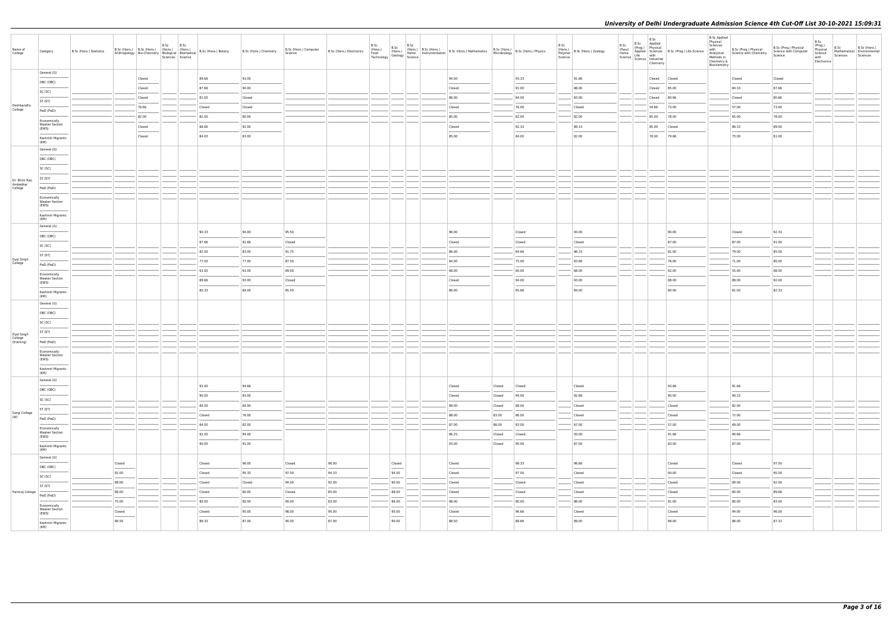| Name of<br>College                 | Category                                       | B.Sc (Hons.) Statistics | B.Sc (Hons.) B.Sc (Hons.) (Hons.) (Hons.) |        | B.Sc | B.Sc<br>Sciences Science | Anthropology   Bio-Chemistry   Biological   Biomedical   B.Sc (Hons.) Botany | B.Sc (Hons.) Chemistry | B.Sc (Hons.) Computer<br>Science | B.Sc (Hons.) Electronics | B.Sc<br>(Hons.)<br>Food<br>Technology |                                   | B.Sc<br>B.Sc (Hons.)<br>(Hons.) (Hons.)<br>Geology Science | (Hons.) B.Sc (Hons.) | Home Instrumentation B.Sc (Hons.) Mathematics B.Sc (Hons.)<br>Home Instrumentation B.Sc (Hons.) Mathematics Microbiology |        | $\left  \begin{array}{c} \text{B.Sc (Hons.)} \\ \text{13.2.2.2.2.2.2.2.0.0003} \end{array} \right $ B.Sc (Hons.) Physics | B.Sc<br>Science | (Hons.)<br>Polymer B.Sc (Hons.) Zoology | B.Sc<br>(Pass)<br>Home<br>Science   Science   Industrial | B.Sc<br>(Prog.) Physical | B.Sc<br>Applied<br>Chemistry | Applied Sciences B.Sc (Prog.) Life Science<br>Life with | <b>B.Sc Applied</b><br>Physical<br>Sciences<br>with<br>Methods in<br>Chemistry &<br>Biochemistry | B.Sc (Prog.) Physical<br>Analytical Science with Chemistry | B.Sc (Prog.) Physical<br>Science with Computer<br>Science | B.Sc<br>(Prog.)<br>Physical<br>Science<br>with<br>Electronics | B.Sc<br>Sciences | B.Sc (Hons.)<br>Mathematical Environmental<br>Sciences |
|------------------------------------|------------------------------------------------|-------------------------|-------------------------------------------|--------|------|--------------------------|------------------------------------------------------------------------------|------------------------|----------------------------------|--------------------------|---------------------------------------|-----------------------------------|------------------------------------------------------------|----------------------|--------------------------------------------------------------------------------------------------------------------------|--------|--------------------------------------------------------------------------------------------------------------------------|-----------------|-----------------------------------------|----------------------------------------------------------|--------------------------|------------------------------|---------------------------------------------------------|--------------------------------------------------------------------------------------------------|------------------------------------------------------------|-----------------------------------------------------------|---------------------------------------------------------------|------------------|--------------------------------------------------------|
|                                    | General (G)                                    |                         |                                           | Closed |      |                          | 89.66                                                                        | 93.00                  |                                  |                          |                                       |                                   |                                                            |                      | 94.50                                                                                                                    |        | 93.33                                                                                                                    |                 | 91.66                                   |                                                          |                          | Closed                       | Closed                                                  |                                                                                                  | Closed                                                     | Closed                                                    |                                                               |                  |                                                        |
|                                    | OBC (OBC)                                      |                         |                                           | Closed |      |                          | 87.66                                                                        | 90.00                  |                                  |                          |                                       |                                   |                                                            |                      | Closed                                                                                                                   |        | 91.00                                                                                                                    |                 | 88.00                                   |                                                          |                          | Closed                       | 85.00                                                   |                                                                                                  | 84.33                                                      | 87.66                                                     |                                                               |                  |                                                        |
|                                    | SC (SC)                                        |                         |                                           | Closed |      |                          | 81.00                                                                        | Closed                 |                                  |                          |                                       |                                   |                                                            |                      | 86.00                                                                                                                    |        | 84.00                                                                                                                    |                 | 83.00                                   |                                                          |                          | Closed                       | 80.66                                                   |                                                                                                  | Closed                                                     | 80.66                                                     |                                                               |                  |                                                        |
| Deshbandhu<br>College              | ST (ST)                                        |                         |                                           | 76.66  |      |                          | Closed                                                                       | Closed                 |                                  |                          |                                       |                                   |                                                            |                      | Closed                                                                                                                   |        | 76.00                                                                                                                    |                 | Closed                                  |                                                          |                          | 54.66                        | 73.00                                                   |                                                                                                  | 57.00                                                      | 73.00                                                     |                                                               |                  |                                                        |
|                                    | PwD (PwD)                                      |                         |                                           | 82.00  |      |                          | 82.00                                                                        | 80.00                  |                                  |                          |                                       |                                   |                                                            |                      | 85.00                                                                                                                    |        | 82.00                                                                                                                    |                 | 82.00                                   |                                                          |                          | 65.00                        | 78.00                                                   |                                                                                                  | 65.00                                                      | 78.00                                                     |                                                               |                  |                                                        |
|                                    | Economically<br><b>Weaker Section</b><br>(EWS) |                         |                                           | Closed |      |                          | 88.66                                                                        | 92.00                  |                                  |                          |                                       |                                   |                                                            |                      | Closed                                                                                                                   |        | 92.33                                                                                                                    |                 | 89.33                                   |                                                          |                          | 85.00                        | Closed                                                  |                                                                                                  | 86.33                                                      | 89.00                                                     |                                                               |                  |                                                        |
|                                    | Kashmiri Migrants                              |                         |                                           | Closed |      |                          | 84.00                                                                        | 83.00                  |                                  |                          |                                       |                                   |                                                            |                      | 85.00                                                                                                                    |        | 84.00                                                                                                                    |                 | 82.00                                   |                                                          |                          | 76.00                        | 79.66                                                   |                                                                                                  | 75.00                                                      | 81.00                                                     |                                                               |                  |                                                        |
|                                    | (KM)<br>General (G)                            |                         |                                           |        |      |                          |                                                                              |                        |                                  |                          |                                       |                                   |                                                            |                      |                                                                                                                          |        |                                                                                                                          |                 |                                         |                                                          |                          |                              |                                                         |                                                                                                  |                                                            |                                                           |                                                               |                  |                                                        |
|                                    | OBC (OBC)                                      |                         |                                           |        |      |                          |                                                                              |                        |                                  |                          |                                       |                                   |                                                            |                      |                                                                                                                          |        |                                                                                                                          |                 |                                         |                                                          |                          |                              |                                                         |                                                                                                  |                                                            |                                                           |                                                               |                  |                                                        |
|                                    | SC (SC)                                        |                         |                                           |        |      |                          |                                                                              |                        |                                  |                          |                                       |                                   |                                                            |                      |                                                                                                                          |        |                                                                                                                          |                 |                                         |                                                          |                          |                              |                                                         |                                                                                                  |                                                            |                                                           |                                                               |                  |                                                        |
| Dr. Bhim Rao                       | ST (ST)                                        |                         |                                           |        |      |                          |                                                                              |                        |                                  |                          |                                       |                                   |                                                            |                      |                                                                                                                          |        |                                                                                                                          |                 |                                         |                                                          |                          |                              |                                                         |                                                                                                  |                                                            |                                                           |                                                               |                  |                                                        |
| Ambedkar<br>College                | PwD (PwD)                                      |                         |                                           |        |      |                          |                                                                              |                        |                                  |                          |                                       |                                   |                                                            |                      |                                                                                                                          |        |                                                                                                                          |                 |                                         |                                                          |                          |                              |                                                         |                                                                                                  |                                                            |                                                           |                                                               |                  |                                                        |
|                                    | Economically<br><b>Weaker Section</b>          |                         |                                           |        |      |                          |                                                                              |                        |                                  |                          |                                       |                                   |                                                            |                      |                                                                                                                          |        |                                                                                                                          |                 |                                         |                                                          |                          |                              |                                                         |                                                                                                  |                                                            |                                                           |                                                               |                  |                                                        |
|                                    | (EWS)<br>Kashmiri Migrants                     |                         |                                           |        |      |                          |                                                                              |                        |                                  |                          |                                       |                                   |                                                            |                      |                                                                                                                          |        |                                                                                                                          |                 |                                         |                                                          |                          |                              |                                                         |                                                                                                  |                                                            |                                                           |                                                               |                  |                                                        |
|                                    | (KM)<br>General (G)                            |                         |                                           |        |      |                          |                                                                              |                        |                                  |                          |                                       |                                   |                                                            |                      |                                                                                                                          |        |                                                                                                                          |                 |                                         |                                                          |                          |                              |                                                         |                                                                                                  |                                                            |                                                           |                                                               |                  |                                                        |
|                                    | OBC (OBC)                                      |                         |                                           |        |      |                          | 90.33                                                                        | 94.00                  | 95.50                            |                          |                                       |                                   |                                                            |                      | 96.00                                                                                                                    |        | Closed                                                                                                                   |                 | 94.00                                   |                                                          |                          |                              | 90.00                                                   |                                                                                                  | Closed                                                     | 92.33                                                     |                                                               |                  |                                                        |
|                                    | SC (SC)                                        |                         |                                           |        |      |                          | 87.66                                                                        | 92.66                  | Closed                           |                          |                                       |                                   |                                                            |                      | Closed                                                                                                                   |        | Closed                                                                                                                   |                 | Closed                                  |                                                          |                          |                              | 87.00                                                   |                                                                                                  | 87.00                                                      | 91.00                                                     |                                                               |                  |                                                        |
|                                    | ST (ST)                                        |                         |                                           |        |      |                          | 82.00                                                                        | 83.00                  | 91.75                            |                          |                                       |                                   |                                                            |                      | 86.00                                                                                                                    |        | 84.66                                                                                                                    |                 | 86.33                                   |                                                          |                          |                              | 81.00                                                   |                                                                                                  | 79.00                                                      | 85.00                                                     |                                                               |                  |                                                        |
| Dyal Singh<br>College              | PwD (PwD)                                      |                         |                                           |        |      |                          | 77.00                                                                        | 77.00                  | 87.50                            |                          |                                       |                                   |                                                            |                      | 84.00                                                                                                                    |        | 75.00                                                                                                                    |                 | 83.66                                   |                                                          |                          |                              | 76.00                                                   |                                                                                                  | 71.00                                                      | 80.00                                                     |                                                               |                  |                                                        |
|                                    | Economically                                   |                         |                                           |        |      |                          | 63.00                                                                        | 63.00                  | 69.00                            |                          |                                       |                                   |                                                            |                      | 68.00                                                                                                                    |        | 60.00                                                                                                                    |                 | 68.00                                   |                                                          |                          |                              | 62.00                                                   |                                                                                                  | 55.00                                                      | 68.00                                                     |                                                               |                  |                                                        |
|                                    | <b>Weaker Section</b><br>(EWS)                 |                         |                                           |        |      |                          | 89.66                                                                        | 93.00                  | Closed                           |                          |                                       |                                   |                                                            |                      | Closed                                                                                                                   |        | 94.00                                                                                                                    |                 | 93.00                                   |                                                          |                          |                              | 88.00                                                   |                                                                                                  | 89.00                                                      | 92.00                                                     |                                                               |                  |                                                        |
|                                    | Kashmiri Migrants<br>(KM)                      |                         |                                           |        |      |                          | 80.33                                                                        | 84.00                  | 85.50                            |                          |                                       |                                   |                                                            |                      | 86.00                                                                                                                    |        | 85.66                                                                                                                    |                 | 84.00                                   |                                                          |                          |                              | 80.00                                                   |                                                                                                  | 81.00                                                      | 82.33                                                     |                                                               |                  |                                                        |
|                                    | General (G)                                    |                         |                                           |        |      |                          |                                                                              |                        |                                  |                          |                                       |                                   |                                                            |                      |                                                                                                                          |        |                                                                                                                          |                 |                                         |                                                          |                          |                              |                                                         |                                                                                                  |                                                            |                                                           |                                                               |                  |                                                        |
|                                    | OBC (OBC)                                      |                         |                                           |        |      |                          |                                                                              |                        |                                  |                          |                                       |                                   |                                                            |                      |                                                                                                                          |        |                                                                                                                          |                 |                                         |                                                          |                          |                              |                                                         |                                                                                                  |                                                            |                                                           |                                                               |                  |                                                        |
|                                    | SC (SC)                                        |                         |                                           |        |      |                          |                                                                              |                        |                                  |                          |                                       |                                   |                                                            |                      |                                                                                                                          |        |                                                                                                                          |                 |                                         |                                                          |                          |                              |                                                         |                                                                                                  |                                                            |                                                           |                                                               |                  |                                                        |
|                                    | ST (ST)                                        |                         |                                           |        |      |                          |                                                                              |                        |                                  |                          |                                       |                                   |                                                            |                      |                                                                                                                          |        |                                                                                                                          |                 |                                         |                                                          |                          |                              |                                                         |                                                                                                  |                                                            |                                                           |                                                               |                  |                                                        |
| Dyal Singh<br>College<br>(Evening) | PwD (PwD)                                      |                         |                                           |        |      |                          |                                                                              |                        |                                  |                          |                                       |                                   |                                                            |                      |                                                                                                                          |        |                                                                                                                          |                 |                                         |                                                          |                          |                              |                                                         |                                                                                                  |                                                            |                                                           |                                                               |                  |                                                        |
|                                    | Economically<br><b>Weaker Section</b><br>(EWS) |                         |                                           |        |      |                          |                                                                              |                        |                                  |                          |                                       |                                   |                                                            |                      |                                                                                                                          |        |                                                                                                                          |                 |                                         |                                                          |                          |                              |                                                         |                                                                                                  |                                                            |                                                           |                                                               |                  |                                                        |
|                                    | Kashmiri Migrants                              |                         |                                           |        |      |                          |                                                                              |                        |                                  |                          |                                       |                                   |                                                            |                      |                                                                                                                          |        |                                                                                                                          |                 |                                         |                                                          |                          |                              |                                                         |                                                                                                  |                                                            |                                                           |                                                               |                  |                                                        |
|                                    | (KM)<br>General (G)                            |                         |                                           |        |      |                          |                                                                              |                        |                                  |                          |                                       |                                   |                                                            |                      |                                                                                                                          |        |                                                                                                                          |                 |                                         |                                                          |                          |                              |                                                         |                                                                                                  |                                                            |                                                           |                                                               |                  |                                                        |
|                                    | OBC (OBC)                                      |                         |                                           |        |      |                          | 93.00                                                                        | 94.66                  |                                  |                          |                                       |                                   |                                                            |                      | Closed                                                                                                                   | Closed | Closed                                                                                                                   |                 | Closed                                  |                                                          |                          |                              | 93.66                                                   |                                                                                                  | 91.66                                                      |                                                           |                                                               |                  |                                                        |
|                                    | SC (SC)                                        |                         |                                           |        |      |                          | 90.00                                                                        | 93.00                  |                                  |                          |                                       |                                   |                                                            |                      | Closed                                                                                                                   | Closed | 94.00                                                                                                                    |                 | 92.66                                   |                                                          |                          |                              | 90.00                                                   |                                                                                                  | 90.33                                                      |                                                           |                                                               |                  |                                                        |
|                                    | ST (ST)                                        |                         |                                           |        |      |                          | 84.00                                                                        | 84.00                  |                                  |                          |                                       |                                   |                                                            |                      | 89.00                                                                                                                    | Closed | 88.00                                                                                                                    |                 | Closed                                  |                                                          |                          |                              | Closed                                                  |                                                                                                  | 82.00                                                      |                                                           |                                                               |                  |                                                        |
| Gargi College<br>(W)               | PwD (PwD)                                      |                         |                                           |        |      |                          | Closed                                                                       | 76.00                  |                                  |                          |                                       |                                   |                                                            |                      | 88.00                                                                                                                    | 83.00  | 86.00                                                                                                                    |                 | Closed                                  |                                                          |                          |                              | Closed                                                  |                                                                                                  | 72.00                                                      |                                                           |                                                               |                  |                                                        |
|                                    | Economically                                   |                         |                                           |        |      |                          | 64.00                                                                        | 82.00                  |                                  |                          |                                       |                                   |                                                            |                      | 87.00                                                                                                                    | 86.00  | 83.00                                                                                                                    |                 | 67.00                                   |                                                          |                          |                              | 57.00                                                   |                                                                                                  | 69.00                                                      |                                                           |                                                               |                  |                                                        |
|                                    | <b>Weaker Section</b><br>(EWS)                 |                         |                                           |        |      |                          | 92.00                                                                        | 94.00                  |                                  |                          |                                       |                                   |                                                            |                      | 96.25                                                                                                                    | Closed | Closed                                                                                                                   |                 | 93.00                                   |                                                          |                          |                              | 91.66                                                   |                                                                                                  | 90.66                                                      |                                                           |                                                               |                  |                                                        |
|                                    | Kashmiri Migrants<br>(KM)                      |                         |                                           |        |      |                          | 90.00                                                                        | 91.00                  |                                  |                          |                                       |                                   |                                                            |                      | 93.00                                                                                                                    | Closed | 90.00                                                                                                                    |                 | 87.00                                   |                                                          |                          |                              | 83.00                                                   |                                                                                                  | 87.00                                                      |                                                           |                                                               |                  |                                                        |
|                                    | General (G)                                    |                         | Closed                                    |        |      |                          | Closed                                                                       | 96.00                  | Closed                           | 96.00                    |                                       | Closed                            |                                                            |                      | Closed                                                                                                                   |        | 98.33                                                                                                                    |                 | 96.66                                   |                                                          |                          |                              | Closed                                                  |                                                                                                  | Closed                                                     | 97.00                                                     |                                                               |                  |                                                        |
|                                    | OBC (OBC)                                      |                         | $\overline{\phantom{a}}$<br>92.00         |        |      |                          | Closed                                                                       | 95.33                  | 97.50                            | 94.33                    |                                       | $\overline{\phantom{a}}$<br>94.00 |                                                            |                      | Closed                                                                                                                   |        | 97.00                                                                                                                    |                 | Closed                                  |                                                          |                          |                              | 94.00                                                   |                                                                                                  | Closed                                                     | 95.00                                                     |                                                               |                  |                                                        |
|                                    | SC (SC)                                        |                         | 88.00                                     |        |      |                          | Closed                                                                       | Closed                 | 94.00                            | 92.00                    |                                       | 90.00                             |                                                            |                      | Closed                                                                                                                   |        | Closed                                                                                                                   |                 | Closed                                  |                                                          |                          |                              | Closed                                                  |                                                                                                  | 89.00                                                      | 92.00                                                     |                                                               |                  |                                                        |
| Hansraj College                    | ST (ST)<br>PwD (PwD)                           |                         | 88.00                                     |        |      |                          | Closed                                                                       | 80.00                  | Closed                           | 85.00                    |                                       | 88.00                             |                                                            |                      | Closed                                                                                                                   |        | Closed                                                                                                                   |                 | Closed                                  |                                                          |                          |                              | Closed                                                  |                                                                                                  | 80.00                                                      | 89.66                                                     |                                                               |                  |                                                        |
|                                    | Economically                                   |                         | 75.00                                     |        |      |                          | 80.00                                                                        | 80.00                  | 90.00                            | 83.00                    |                                       | 86.00                             |                                                            |                      | 88.00                                                                                                                    |        | 80.00                                                                                                                    |                 | 86.00                                   |                                                          |                          |                              | 81.00                                                   |                                                                                                  | 80.00                                                      | 83.00                                                     |                                                               |                  |                                                        |
|                                    | <b>Weaker Section</b><br>(EWS)                 |                         | Closed                                    |        |      |                          | Closed                                                                       | 95.00                  | 98.00                            | 95.00                    |                                       | 95.00                             |                                                            |                      | Closed                                                                                                                   |        | 96.66                                                                                                                    |                 | Closed                                  |                                                          |                          |                              | Closed                                                  |                                                                                                  | 94.00                                                      | 96.00                                                     |                                                               |                  |                                                        |
|                                    | Kashmiri Migrants<br>(KM)                      |                         | 86.50                                     |        |      |                          | 86.33                                                                        | 87.00                  | 90.00                            | 87.00                    |                                       | 90.00                             |                                                            |                      | 88.50                                                                                                                    |        | 88.66                                                                                                                    |                 | 89.00                                   |                                                          |                          |                              | 89.00                                                   |                                                                                                  | 86.00                                                      | 87.33                                                     |                                                               |                  |                                                        |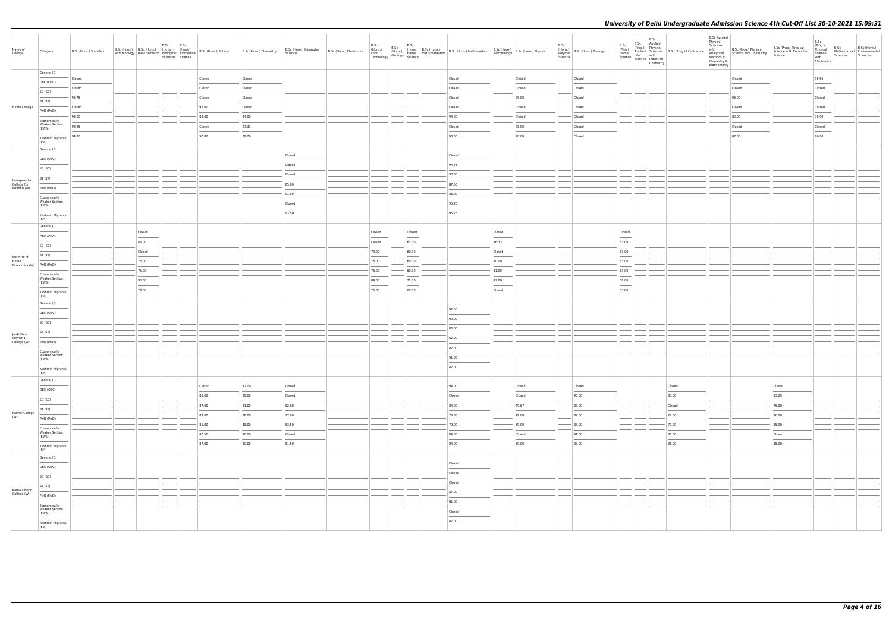| General (G)<br>Closed<br>Closed<br>Closed<br>Closed<br>95.66<br>Closed<br>Closed<br>Closed<br>OBC (OBC)<br>Closed<br>Closed<br>Closed<br>Closed<br>Closed<br>Closed<br>Closed<br>Closed<br>SC (SC)<br>96.75<br>96.00<br>93.00<br>Closed<br>Closed<br>Closed<br>Closed<br>Closed<br>ST (ST)<br>92.00<br>Hindu College<br>Closed<br>Closed<br>Closed<br>Closed<br>Closed<br>Closed<br>Closed<br>PwD (PwD)<br>88.00<br>84.00<br>94.00<br>82.00<br>70.00<br>93.00<br>Closed<br>Closed<br>Economically<br><b>Weaker Section</b><br>98.25<br>97.33<br>Closed<br>Closed<br>98.00<br>Closed<br>Closed<br>Closed<br>(EWS)<br>$\sim$<br>$\frac{1}{2}$<br>90.00<br>86.00<br>89.00<br>93.00<br>90.00<br>Closed<br>87.00<br>94.00<br>Kashmiri Migrants<br>(KM)<br>General (G)<br>Closed<br>Closed<br>OBC (OBC)<br>Closed<br>94.75<br>SC (SC)<br>Closed<br>90.00<br>ST (ST)<br>Indraprastha<br>85.00<br>87.50<br>College for<br>PwD (PwD)<br>Women (W)<br>91.00<br>86.00<br>Economically<br><b>Weaker Section</b><br>Closed<br>95.25<br>(EWS)<br>93.50<br>95.25<br>Kashmiri Migrants<br>(KM)<br>General (G)<br>Closed<br>Closed<br>Closed<br>Closed<br>Closed<br>OBC (OBC)<br>$\frac{1}{2} \left( \frac{1}{2} \right) \left( \frac{1}{2} \right) \left( \frac{1}{2} \right) \left( \frac{1}{2} \right) \left( \frac{1}{2} \right) \left( \frac{1}{2} \right) \left( \frac{1}{2} \right) \left( \frac{1}{2} \right) \left( \frac{1}{2} \right) \left( \frac{1}{2} \right) \left( \frac{1}{2} \right) \left( \frac{1}{2} \right) \left( \frac{1}{2} \right) \left( \frac{1}{2} \right) \left( \frac{1}{2} \right) \left( \frac{1}{2} \right) \left( \frac$<br>53.00<br>85.00<br>63.00<br>86.33<br>Closed<br>SC (SC)<br>60.00<br>53.00<br>Closed<br>79.00<br>Closed<br>ST (ST)<br>Institute of<br>53.00<br>60.00<br>80.00<br>75.00<br>75.00<br>Home<br>Economics (W) PwD (PwD)<br>75.00<br>60.00<br>81.00<br>53.00<br>75.00<br>Economically<br><b>Weaker Section</b><br>68.00<br>75.00<br>91.00<br>90.00<br>89.66<br>(EWS)<br><b>Contract Contract</b><br>$\frac{1}{2} \left( \frac{1}{2} \right) \left( \frac{1}{2} \right) \left( \frac{1}{2} \right) \left( \frac{1}{2} \right) \left( \frac{1}{2} \right) \left( \frac{1}{2} \right) \left( \frac{1}{2} \right) \left( \frac{1}{2} \right) \left( \frac{1}{2} \right) \left( \frac{1}{2} \right) \left( \frac{1}{2} \right) \left( \frac{1}{2} \right) \left( \frac{1}{2} \right) \left( \frac{1}{2} \right) \left( \frac{1}{2} \right) \left( \frac{1}{2} \right) \left( \frac$<br>$\frac{1}{2}$<br>78.00<br>60.00<br>53.00<br>75.00<br>Closed<br>Kashmiri Migrants<br>(KM)<br>General (G)<br>92.50<br>OBC (OBC)<br>90.00<br>SC (SC)<br>83.00<br>ST (ST)<br>Janki Devi<br>Memorial<br>82.00<br>PwD (PwD)<br>College (W)<br>82.00<br>Economically<br><b>Weaker Section</b><br>91.00<br>(EWS)<br>$\sim$<br>82.00<br>Kashmiri Migrants<br>(KM)<br>General (G)<br>Closed<br>92.00<br>Closed<br>94.00<br>Closed<br>Closed<br>Closed<br>Closed<br>OBC (OBC)<br>88.00<br>89.00<br>83.00<br>Closed<br>Closed<br>Closed<br>90.00<br>85.00<br>SC (SC)<br>87.00<br>81.00<br>82.00<br>84.00<br>79.67<br>87.00<br>76.00<br>Closed<br>$\frac{1}{2} \left( \frac{1}{2} \right) \left( \frac{1}{2} \right) \left( \frac{1}{2} \right) \left( \frac{1}{2} \right) \left( \frac{1}{2} \right) \left( \frac{1}{2} \right) \left( \frac{1}{2} \right) \left( \frac{1}{2} \right) \left( \frac{1}{2} \right) \left( \frac{1}{2} \right) \left( \frac{1}{2} \right) \left( \frac{1}{2} \right) \left( \frac{1}{2} \right) \left( \frac{1}{2} \right) \left( \frac{1}{2} \right) \left( \frac{1}{2} \right) \left( \frac$<br>ST (ST)<br>Kalindi College<br>83.00<br>77.00<br>88.00<br>78.00<br>79.00<br>84.00<br>74.00<br>76.00<br>(W)<br>PwD (PwD)<br>81.00<br>88.00<br>83.50<br>79.00<br>89.00<br>83.00<br>79.00<br>85.00<br>Economically<br><b>Weaker Section</b><br>80.50<br>90.00<br>Closed<br>89.00<br>91.00<br>85.00<br>Closed<br>Closed<br>(EWS)<br>87.00<br>90.00<br>81.50<br>84.00<br>88.00<br>85.00<br>85.00<br>89.00<br>Kashmiri Migrants<br>(KM)<br>General (G)<br>Closed<br>OBC (OBC)<br>Closed<br>SC (SC)<br>Closed<br>ST (ST)<br>Kamala Nehru<br>87.00<br>College (W)<br>PwD (PwD)<br>81.00<br>Economically<br><b>Weaker Section</b><br>Closed<br>(EWS)<br>$\frac{1}{2} \left( \frac{1}{2} \right) \left( \frac{1}{2} \right) \left( \frac{1}{2} \right) \left( \frac{1}{2} \right) \left( \frac{1}{2} \right) \left( \frac{1}{2} \right) \left( \frac{1}{2} \right) \left( \frac{1}{2} \right) \left( \frac{1}{2} \right) \left( \frac{1}{2} \right) \left( \frac{1}{2} \right) \left( \frac{1}{2} \right) \left( \frac{1}{2} \right) \left( \frac{1}{2} \right) \left( \frac{1}{2} \right) \left( \frac{1}{2} \right) \left( \frac$<br>82.00<br>Kashmiri Migrants<br>(KM) | Name of<br>College | Category | B.Sc (Hons.) Statistics | B.Sc (Hons.) B.Sc (Hons.) (Hons.) (Hons.) | B.Sc | B.Sc<br>Sciences Science |  | B.Sc (Hons.) Computer<br>Science |  |  | B.Sc (Hons.) B.Sc (Bos.) B.Sc (Hons.)<br>B.Sc (Hons.) B.Sc (Hons.) B.Sc (Hons.) B.Sc (Hons.) B.Sc (Hons.) B.Sc (Hons.) Mathematics B.Sc (Hons.) B.Sc (Hons.) Physics<br>Technology Geology Science Technology Science |  | B.Sc<br>Science | (Hons.)<br>Polymer B.Sc (Hons.) Zoology | B.Sc<br>(Pass)<br>Home | B.Sc<br>Science   Science   Industrial<br>Chemistry | B.Sc<br>(Prog.) Physical<br>Applied Sciences B.Sc (Prog.) Life Science<br>Life with the life and the life with the life with the life and the life and the life with the life of the life of the life of the life of the life of the | <b>B.Sc Applied</b><br>Physical<br>Sciences<br>with<br>Methods in<br>Chemistry &<br>Biochemistry | B.Sc (Prog.) Physical<br>Analytical Science with Chemistry | B.Sc (Prog.) Physical<br>Science with Computer<br>Science | B.Sc<br>(Prog.)<br>Physical<br>Science<br>with<br>Electronics | B.Sc<br>Mathematical Environmental<br>Sciences | B.Sc (Hons.)<br>Sciences |
|----------------------------------------------------------------------------------------------------------------------------------------------------------------------------------------------------------------------------------------------------------------------------------------------------------------------------------------------------------------------------------------------------------------------------------------------------------------------------------------------------------------------------------------------------------------------------------------------------------------------------------------------------------------------------------------------------------------------------------------------------------------------------------------------------------------------------------------------------------------------------------------------------------------------------------------------------------------------------------------------------------------------------------------------------------------------------------------------------------------------------------------------------------------------------------------------------------------------------------------------------------------------------------------------------------------------------------------------------------------------------------------------------------------------------------------------------------------------------------------------------------------------------------------------------------------------------------------------------------------------------------------------------------------------------------------------------------------------------------------------------------------------------------------------------------------------------------------------------------------------------------------------------------------------------------------------------------------------------------------------------------------------------------------------------------------------------------------------------------------------------------------------------------------------------------------------------------------------------------------------------------------------------------------------------------------------------------------------------------------------------------------------------------------------------------------------------------------------------------------------------------------------------------------------------------------------------------------------------------------------------------------------------------------------------------------------------------------------------------------------------------------------------------------------------------------------------------------------------------------------------------------------------------------------------------------------------------------------------------------------------------------------------------------------------------------------------------------------------------------------------------------------------------------------------------------------------------------------------------------------------------------------------------------------------------------------------------------------------------------------------------------------------------------------------------------------------------------------------------------------------------------------------------------------------------------------------------------------------------------------------------------------------------------------------------------------------------------------------------------------------------------------------------------------------------------------------------------------------------------------------------------------------------------------------------------------------------------------------------------------------------------------------------------------------------------------------------------------------------------------------------------------------------------------------------------------------------------------------------------------------------------------------------------------------------------------------------------------------------------------------------------------------------------------------------------------------------------------------------------------------------------------------------------------------------------------------------------------------------------------------------------------------------------------------------------------------------------------------------------------------------------------------------------------------------|--------------------|----------|-------------------------|-------------------------------------------|------|--------------------------|--|----------------------------------|--|--|-----------------------------------------------------------------------------------------------------------------------------------------------------------------------------------------------------------------------|--|-----------------|-----------------------------------------|------------------------|-----------------------------------------------------|--------------------------------------------------------------------------------------------------------------------------------------------------------------------------------------------------------------------------------------|--------------------------------------------------------------------------------------------------|------------------------------------------------------------|-----------------------------------------------------------|---------------------------------------------------------------|------------------------------------------------|--------------------------|
|                                                                                                                                                                                                                                                                                                                                                                                                                                                                                                                                                                                                                                                                                                                                                                                                                                                                                                                                                                                                                                                                                                                                                                                                                                                                                                                                                                                                                                                                                                                                                                                                                                                                                                                                                                                                                                                                                                                                                                                                                                                                                                                                                                                                                                                                                                                                                                                                                                                                                                                                                                                                                                                                                                                                                                                                                                                                                                                                                                                                                                                                                                                                                                                                                                                                                                                                                                                                                                                                                                                                                                                                                                                                                                                                                                                                                                                                                                                                                                                                                                                                                                                                                                                                                                                                                                                                                                                                                                                                                                                                                                                                                                                                                                                                                                                                          |                    |          |                         |                                           |      |                          |  |                                  |  |  |                                                                                                                                                                                                                       |  |                 |                                         |                        |                                                     |                                                                                                                                                                                                                                      |                                                                                                  |                                                            |                                                           |                                                               |                                                |                          |
|                                                                                                                                                                                                                                                                                                                                                                                                                                                                                                                                                                                                                                                                                                                                                                                                                                                                                                                                                                                                                                                                                                                                                                                                                                                                                                                                                                                                                                                                                                                                                                                                                                                                                                                                                                                                                                                                                                                                                                                                                                                                                                                                                                                                                                                                                                                                                                                                                                                                                                                                                                                                                                                                                                                                                                                                                                                                                                                                                                                                                                                                                                                                                                                                                                                                                                                                                                                                                                                                                                                                                                                                                                                                                                                                                                                                                                                                                                                                                                                                                                                                                                                                                                                                                                                                                                                                                                                                                                                                                                                                                                                                                                                                                                                                                                                                          |                    |          |                         |                                           |      |                          |  |                                  |  |  |                                                                                                                                                                                                                       |  |                 |                                         |                        |                                                     |                                                                                                                                                                                                                                      |                                                                                                  |                                                            |                                                           |                                                               |                                                |                          |
|                                                                                                                                                                                                                                                                                                                                                                                                                                                                                                                                                                                                                                                                                                                                                                                                                                                                                                                                                                                                                                                                                                                                                                                                                                                                                                                                                                                                                                                                                                                                                                                                                                                                                                                                                                                                                                                                                                                                                                                                                                                                                                                                                                                                                                                                                                                                                                                                                                                                                                                                                                                                                                                                                                                                                                                                                                                                                                                                                                                                                                                                                                                                                                                                                                                                                                                                                                                                                                                                                                                                                                                                                                                                                                                                                                                                                                                                                                                                                                                                                                                                                                                                                                                                                                                                                                                                                                                                                                                                                                                                                                                                                                                                                                                                                                                                          |                    |          |                         |                                           |      |                          |  |                                  |  |  |                                                                                                                                                                                                                       |  |                 |                                         |                        |                                                     |                                                                                                                                                                                                                                      |                                                                                                  |                                                            |                                                           |                                                               |                                                |                          |
|                                                                                                                                                                                                                                                                                                                                                                                                                                                                                                                                                                                                                                                                                                                                                                                                                                                                                                                                                                                                                                                                                                                                                                                                                                                                                                                                                                                                                                                                                                                                                                                                                                                                                                                                                                                                                                                                                                                                                                                                                                                                                                                                                                                                                                                                                                                                                                                                                                                                                                                                                                                                                                                                                                                                                                                                                                                                                                                                                                                                                                                                                                                                                                                                                                                                                                                                                                                                                                                                                                                                                                                                                                                                                                                                                                                                                                                                                                                                                                                                                                                                                                                                                                                                                                                                                                                                                                                                                                                                                                                                                                                                                                                                                                                                                                                                          |                    |          |                         |                                           |      |                          |  |                                  |  |  |                                                                                                                                                                                                                       |  |                 |                                         |                        |                                                     |                                                                                                                                                                                                                                      |                                                                                                  |                                                            |                                                           |                                                               |                                                |                          |
|                                                                                                                                                                                                                                                                                                                                                                                                                                                                                                                                                                                                                                                                                                                                                                                                                                                                                                                                                                                                                                                                                                                                                                                                                                                                                                                                                                                                                                                                                                                                                                                                                                                                                                                                                                                                                                                                                                                                                                                                                                                                                                                                                                                                                                                                                                                                                                                                                                                                                                                                                                                                                                                                                                                                                                                                                                                                                                                                                                                                                                                                                                                                                                                                                                                                                                                                                                                                                                                                                                                                                                                                                                                                                                                                                                                                                                                                                                                                                                                                                                                                                                                                                                                                                                                                                                                                                                                                                                                                                                                                                                                                                                                                                                                                                                                                          |                    |          |                         |                                           |      |                          |  |                                  |  |  |                                                                                                                                                                                                                       |  |                 |                                         |                        |                                                     |                                                                                                                                                                                                                                      |                                                                                                  |                                                            |                                                           |                                                               |                                                |                          |
|                                                                                                                                                                                                                                                                                                                                                                                                                                                                                                                                                                                                                                                                                                                                                                                                                                                                                                                                                                                                                                                                                                                                                                                                                                                                                                                                                                                                                                                                                                                                                                                                                                                                                                                                                                                                                                                                                                                                                                                                                                                                                                                                                                                                                                                                                                                                                                                                                                                                                                                                                                                                                                                                                                                                                                                                                                                                                                                                                                                                                                                                                                                                                                                                                                                                                                                                                                                                                                                                                                                                                                                                                                                                                                                                                                                                                                                                                                                                                                                                                                                                                                                                                                                                                                                                                                                                                                                                                                                                                                                                                                                                                                                                                                                                                                                                          |                    |          |                         |                                           |      |                          |  |                                  |  |  |                                                                                                                                                                                                                       |  |                 |                                         |                        |                                                     |                                                                                                                                                                                                                                      |                                                                                                  |                                                            |                                                           |                                                               |                                                |                          |
|                                                                                                                                                                                                                                                                                                                                                                                                                                                                                                                                                                                                                                                                                                                                                                                                                                                                                                                                                                                                                                                                                                                                                                                                                                                                                                                                                                                                                                                                                                                                                                                                                                                                                                                                                                                                                                                                                                                                                                                                                                                                                                                                                                                                                                                                                                                                                                                                                                                                                                                                                                                                                                                                                                                                                                                                                                                                                                                                                                                                                                                                                                                                                                                                                                                                                                                                                                                                                                                                                                                                                                                                                                                                                                                                                                                                                                                                                                                                                                                                                                                                                                                                                                                                                                                                                                                                                                                                                                                                                                                                                                                                                                                                                                                                                                                                          |                    |          |                         |                                           |      |                          |  |                                  |  |  |                                                                                                                                                                                                                       |  |                 |                                         |                        |                                                     |                                                                                                                                                                                                                                      |                                                                                                  |                                                            |                                                           |                                                               |                                                |                          |
|                                                                                                                                                                                                                                                                                                                                                                                                                                                                                                                                                                                                                                                                                                                                                                                                                                                                                                                                                                                                                                                                                                                                                                                                                                                                                                                                                                                                                                                                                                                                                                                                                                                                                                                                                                                                                                                                                                                                                                                                                                                                                                                                                                                                                                                                                                                                                                                                                                                                                                                                                                                                                                                                                                                                                                                                                                                                                                                                                                                                                                                                                                                                                                                                                                                                                                                                                                                                                                                                                                                                                                                                                                                                                                                                                                                                                                                                                                                                                                                                                                                                                                                                                                                                                                                                                                                                                                                                                                                                                                                                                                                                                                                                                                                                                                                                          |                    |          |                         |                                           |      |                          |  |                                  |  |  |                                                                                                                                                                                                                       |  |                 |                                         |                        |                                                     |                                                                                                                                                                                                                                      |                                                                                                  |                                                            |                                                           |                                                               |                                                |                          |
|                                                                                                                                                                                                                                                                                                                                                                                                                                                                                                                                                                                                                                                                                                                                                                                                                                                                                                                                                                                                                                                                                                                                                                                                                                                                                                                                                                                                                                                                                                                                                                                                                                                                                                                                                                                                                                                                                                                                                                                                                                                                                                                                                                                                                                                                                                                                                                                                                                                                                                                                                                                                                                                                                                                                                                                                                                                                                                                                                                                                                                                                                                                                                                                                                                                                                                                                                                                                                                                                                                                                                                                                                                                                                                                                                                                                                                                                                                                                                                                                                                                                                                                                                                                                                                                                                                                                                                                                                                                                                                                                                                                                                                                                                                                                                                                                          |                    |          |                         |                                           |      |                          |  |                                  |  |  |                                                                                                                                                                                                                       |  |                 |                                         |                        |                                                     |                                                                                                                                                                                                                                      |                                                                                                  |                                                            |                                                           |                                                               |                                                |                          |
|                                                                                                                                                                                                                                                                                                                                                                                                                                                                                                                                                                                                                                                                                                                                                                                                                                                                                                                                                                                                                                                                                                                                                                                                                                                                                                                                                                                                                                                                                                                                                                                                                                                                                                                                                                                                                                                                                                                                                                                                                                                                                                                                                                                                                                                                                                                                                                                                                                                                                                                                                                                                                                                                                                                                                                                                                                                                                                                                                                                                                                                                                                                                                                                                                                                                                                                                                                                                                                                                                                                                                                                                                                                                                                                                                                                                                                                                                                                                                                                                                                                                                                                                                                                                                                                                                                                                                                                                                                                                                                                                                                                                                                                                                                                                                                                                          |                    |          |                         |                                           |      |                          |  |                                  |  |  |                                                                                                                                                                                                                       |  |                 |                                         |                        |                                                     |                                                                                                                                                                                                                                      |                                                                                                  |                                                            |                                                           |                                                               |                                                |                          |
|                                                                                                                                                                                                                                                                                                                                                                                                                                                                                                                                                                                                                                                                                                                                                                                                                                                                                                                                                                                                                                                                                                                                                                                                                                                                                                                                                                                                                                                                                                                                                                                                                                                                                                                                                                                                                                                                                                                                                                                                                                                                                                                                                                                                                                                                                                                                                                                                                                                                                                                                                                                                                                                                                                                                                                                                                                                                                                                                                                                                                                                                                                                                                                                                                                                                                                                                                                                                                                                                                                                                                                                                                                                                                                                                                                                                                                                                                                                                                                                                                                                                                                                                                                                                                                                                                                                                                                                                                                                                                                                                                                                                                                                                                                                                                                                                          |                    |          |                         |                                           |      |                          |  |                                  |  |  |                                                                                                                                                                                                                       |  |                 |                                         |                        |                                                     |                                                                                                                                                                                                                                      |                                                                                                  |                                                            |                                                           |                                                               |                                                |                          |
|                                                                                                                                                                                                                                                                                                                                                                                                                                                                                                                                                                                                                                                                                                                                                                                                                                                                                                                                                                                                                                                                                                                                                                                                                                                                                                                                                                                                                                                                                                                                                                                                                                                                                                                                                                                                                                                                                                                                                                                                                                                                                                                                                                                                                                                                                                                                                                                                                                                                                                                                                                                                                                                                                                                                                                                                                                                                                                                                                                                                                                                                                                                                                                                                                                                                                                                                                                                                                                                                                                                                                                                                                                                                                                                                                                                                                                                                                                                                                                                                                                                                                                                                                                                                                                                                                                                                                                                                                                                                                                                                                                                                                                                                                                                                                                                                          |                    |          |                         |                                           |      |                          |  |                                  |  |  |                                                                                                                                                                                                                       |  |                 |                                         |                        |                                                     |                                                                                                                                                                                                                                      |                                                                                                  |                                                            |                                                           |                                                               |                                                |                          |
|                                                                                                                                                                                                                                                                                                                                                                                                                                                                                                                                                                                                                                                                                                                                                                                                                                                                                                                                                                                                                                                                                                                                                                                                                                                                                                                                                                                                                                                                                                                                                                                                                                                                                                                                                                                                                                                                                                                                                                                                                                                                                                                                                                                                                                                                                                                                                                                                                                                                                                                                                                                                                                                                                                                                                                                                                                                                                                                                                                                                                                                                                                                                                                                                                                                                                                                                                                                                                                                                                                                                                                                                                                                                                                                                                                                                                                                                                                                                                                                                                                                                                                                                                                                                                                                                                                                                                                                                                                                                                                                                                                                                                                                                                                                                                                                                          |                    |          |                         |                                           |      |                          |  |                                  |  |  |                                                                                                                                                                                                                       |  |                 |                                         |                        |                                                     |                                                                                                                                                                                                                                      |                                                                                                  |                                                            |                                                           |                                                               |                                                |                          |
|                                                                                                                                                                                                                                                                                                                                                                                                                                                                                                                                                                                                                                                                                                                                                                                                                                                                                                                                                                                                                                                                                                                                                                                                                                                                                                                                                                                                                                                                                                                                                                                                                                                                                                                                                                                                                                                                                                                                                                                                                                                                                                                                                                                                                                                                                                                                                                                                                                                                                                                                                                                                                                                                                                                                                                                                                                                                                                                                                                                                                                                                                                                                                                                                                                                                                                                                                                                                                                                                                                                                                                                                                                                                                                                                                                                                                                                                                                                                                                                                                                                                                                                                                                                                                                                                                                                                                                                                                                                                                                                                                                                                                                                                                                                                                                                                          |                    |          |                         |                                           |      |                          |  |                                  |  |  |                                                                                                                                                                                                                       |  |                 |                                         |                        |                                                     |                                                                                                                                                                                                                                      |                                                                                                  |                                                            |                                                           |                                                               |                                                |                          |
|                                                                                                                                                                                                                                                                                                                                                                                                                                                                                                                                                                                                                                                                                                                                                                                                                                                                                                                                                                                                                                                                                                                                                                                                                                                                                                                                                                                                                                                                                                                                                                                                                                                                                                                                                                                                                                                                                                                                                                                                                                                                                                                                                                                                                                                                                                                                                                                                                                                                                                                                                                                                                                                                                                                                                                                                                                                                                                                                                                                                                                                                                                                                                                                                                                                                                                                                                                                                                                                                                                                                                                                                                                                                                                                                                                                                                                                                                                                                                                                                                                                                                                                                                                                                                                                                                                                                                                                                                                                                                                                                                                                                                                                                                                                                                                                                          |                    |          |                         |                                           |      |                          |  |                                  |  |  |                                                                                                                                                                                                                       |  |                 |                                         |                        |                                                     |                                                                                                                                                                                                                                      |                                                                                                  |                                                            |                                                           |                                                               |                                                |                          |
|                                                                                                                                                                                                                                                                                                                                                                                                                                                                                                                                                                                                                                                                                                                                                                                                                                                                                                                                                                                                                                                                                                                                                                                                                                                                                                                                                                                                                                                                                                                                                                                                                                                                                                                                                                                                                                                                                                                                                                                                                                                                                                                                                                                                                                                                                                                                                                                                                                                                                                                                                                                                                                                                                                                                                                                                                                                                                                                                                                                                                                                                                                                                                                                                                                                                                                                                                                                                                                                                                                                                                                                                                                                                                                                                                                                                                                                                                                                                                                                                                                                                                                                                                                                                                                                                                                                                                                                                                                                                                                                                                                                                                                                                                                                                                                                                          |                    |          |                         |                                           |      |                          |  |                                  |  |  |                                                                                                                                                                                                                       |  |                 |                                         |                        |                                                     |                                                                                                                                                                                                                                      |                                                                                                  |                                                            |                                                           |                                                               |                                                |                          |
|                                                                                                                                                                                                                                                                                                                                                                                                                                                                                                                                                                                                                                                                                                                                                                                                                                                                                                                                                                                                                                                                                                                                                                                                                                                                                                                                                                                                                                                                                                                                                                                                                                                                                                                                                                                                                                                                                                                                                                                                                                                                                                                                                                                                                                                                                                                                                                                                                                                                                                                                                                                                                                                                                                                                                                                                                                                                                                                                                                                                                                                                                                                                                                                                                                                                                                                                                                                                                                                                                                                                                                                                                                                                                                                                                                                                                                                                                                                                                                                                                                                                                                                                                                                                                                                                                                                                                                                                                                                                                                                                                                                                                                                                                                                                                                                                          |                    |          |                         |                                           |      |                          |  |                                  |  |  |                                                                                                                                                                                                                       |  |                 |                                         |                        |                                                     |                                                                                                                                                                                                                                      |                                                                                                  |                                                            |                                                           |                                                               |                                                |                          |
|                                                                                                                                                                                                                                                                                                                                                                                                                                                                                                                                                                                                                                                                                                                                                                                                                                                                                                                                                                                                                                                                                                                                                                                                                                                                                                                                                                                                                                                                                                                                                                                                                                                                                                                                                                                                                                                                                                                                                                                                                                                                                                                                                                                                                                                                                                                                                                                                                                                                                                                                                                                                                                                                                                                                                                                                                                                                                                                                                                                                                                                                                                                                                                                                                                                                                                                                                                                                                                                                                                                                                                                                                                                                                                                                                                                                                                                                                                                                                                                                                                                                                                                                                                                                                                                                                                                                                                                                                                                                                                                                                                                                                                                                                                                                                                                                          |                    |          |                         |                                           |      |                          |  |                                  |  |  |                                                                                                                                                                                                                       |  |                 |                                         |                        |                                                     |                                                                                                                                                                                                                                      |                                                                                                  |                                                            |                                                           |                                                               |                                                |                          |
|                                                                                                                                                                                                                                                                                                                                                                                                                                                                                                                                                                                                                                                                                                                                                                                                                                                                                                                                                                                                                                                                                                                                                                                                                                                                                                                                                                                                                                                                                                                                                                                                                                                                                                                                                                                                                                                                                                                                                                                                                                                                                                                                                                                                                                                                                                                                                                                                                                                                                                                                                                                                                                                                                                                                                                                                                                                                                                                                                                                                                                                                                                                                                                                                                                                                                                                                                                                                                                                                                                                                                                                                                                                                                                                                                                                                                                                                                                                                                                                                                                                                                                                                                                                                                                                                                                                                                                                                                                                                                                                                                                                                                                                                                                                                                                                                          |                    |          |                         |                                           |      |                          |  |                                  |  |  |                                                                                                                                                                                                                       |  |                 |                                         |                        |                                                     |                                                                                                                                                                                                                                      |                                                                                                  |                                                            |                                                           |                                                               |                                                |                          |
|                                                                                                                                                                                                                                                                                                                                                                                                                                                                                                                                                                                                                                                                                                                                                                                                                                                                                                                                                                                                                                                                                                                                                                                                                                                                                                                                                                                                                                                                                                                                                                                                                                                                                                                                                                                                                                                                                                                                                                                                                                                                                                                                                                                                                                                                                                                                                                                                                                                                                                                                                                                                                                                                                                                                                                                                                                                                                                                                                                                                                                                                                                                                                                                                                                                                                                                                                                                                                                                                                                                                                                                                                                                                                                                                                                                                                                                                                                                                                                                                                                                                                                                                                                                                                                                                                                                                                                                                                                                                                                                                                                                                                                                                                                                                                                                                          |                    |          |                         |                                           |      |                          |  |                                  |  |  |                                                                                                                                                                                                                       |  |                 |                                         |                        |                                                     |                                                                                                                                                                                                                                      |                                                                                                  |                                                            |                                                           |                                                               |                                                |                          |
|                                                                                                                                                                                                                                                                                                                                                                                                                                                                                                                                                                                                                                                                                                                                                                                                                                                                                                                                                                                                                                                                                                                                                                                                                                                                                                                                                                                                                                                                                                                                                                                                                                                                                                                                                                                                                                                                                                                                                                                                                                                                                                                                                                                                                                                                                                                                                                                                                                                                                                                                                                                                                                                                                                                                                                                                                                                                                                                                                                                                                                                                                                                                                                                                                                                                                                                                                                                                                                                                                                                                                                                                                                                                                                                                                                                                                                                                                                                                                                                                                                                                                                                                                                                                                                                                                                                                                                                                                                                                                                                                                                                                                                                                                                                                                                                                          |                    |          |                         |                                           |      |                          |  |                                  |  |  |                                                                                                                                                                                                                       |  |                 |                                         |                        |                                                     |                                                                                                                                                                                                                                      |                                                                                                  |                                                            |                                                           |                                                               |                                                |                          |
|                                                                                                                                                                                                                                                                                                                                                                                                                                                                                                                                                                                                                                                                                                                                                                                                                                                                                                                                                                                                                                                                                                                                                                                                                                                                                                                                                                                                                                                                                                                                                                                                                                                                                                                                                                                                                                                                                                                                                                                                                                                                                                                                                                                                                                                                                                                                                                                                                                                                                                                                                                                                                                                                                                                                                                                                                                                                                                                                                                                                                                                                                                                                                                                                                                                                                                                                                                                                                                                                                                                                                                                                                                                                                                                                                                                                                                                                                                                                                                                                                                                                                                                                                                                                                                                                                                                                                                                                                                                                                                                                                                                                                                                                                                                                                                                                          |                    |          |                         |                                           |      |                          |  |                                  |  |  |                                                                                                                                                                                                                       |  |                 |                                         |                        |                                                     |                                                                                                                                                                                                                                      |                                                                                                  |                                                            |                                                           |                                                               |                                                |                          |
|                                                                                                                                                                                                                                                                                                                                                                                                                                                                                                                                                                                                                                                                                                                                                                                                                                                                                                                                                                                                                                                                                                                                                                                                                                                                                                                                                                                                                                                                                                                                                                                                                                                                                                                                                                                                                                                                                                                                                                                                                                                                                                                                                                                                                                                                                                                                                                                                                                                                                                                                                                                                                                                                                                                                                                                                                                                                                                                                                                                                                                                                                                                                                                                                                                                                                                                                                                                                                                                                                                                                                                                                                                                                                                                                                                                                                                                                                                                                                                                                                                                                                                                                                                                                                                                                                                                                                                                                                                                                                                                                                                                                                                                                                                                                                                                                          |                    |          |                         |                                           |      |                          |  |                                  |  |  |                                                                                                                                                                                                                       |  |                 |                                         |                        |                                                     |                                                                                                                                                                                                                                      |                                                                                                  |                                                            |                                                           |                                                               |                                                |                          |
|                                                                                                                                                                                                                                                                                                                                                                                                                                                                                                                                                                                                                                                                                                                                                                                                                                                                                                                                                                                                                                                                                                                                                                                                                                                                                                                                                                                                                                                                                                                                                                                                                                                                                                                                                                                                                                                                                                                                                                                                                                                                                                                                                                                                                                                                                                                                                                                                                                                                                                                                                                                                                                                                                                                                                                                                                                                                                                                                                                                                                                                                                                                                                                                                                                                                                                                                                                                                                                                                                                                                                                                                                                                                                                                                                                                                                                                                                                                                                                                                                                                                                                                                                                                                                                                                                                                                                                                                                                                                                                                                                                                                                                                                                                                                                                                                          |                    |          |                         |                                           |      |                          |  |                                  |  |  |                                                                                                                                                                                                                       |  |                 |                                         |                        |                                                     |                                                                                                                                                                                                                                      |                                                                                                  |                                                            |                                                           |                                                               |                                                |                          |
|                                                                                                                                                                                                                                                                                                                                                                                                                                                                                                                                                                                                                                                                                                                                                                                                                                                                                                                                                                                                                                                                                                                                                                                                                                                                                                                                                                                                                                                                                                                                                                                                                                                                                                                                                                                                                                                                                                                                                                                                                                                                                                                                                                                                                                                                                                                                                                                                                                                                                                                                                                                                                                                                                                                                                                                                                                                                                                                                                                                                                                                                                                                                                                                                                                                                                                                                                                                                                                                                                                                                                                                                                                                                                                                                                                                                                                                                                                                                                                                                                                                                                                                                                                                                                                                                                                                                                                                                                                                                                                                                                                                                                                                                                                                                                                                                          |                    |          |                         |                                           |      |                          |  |                                  |  |  |                                                                                                                                                                                                                       |  |                 |                                         |                        |                                                     |                                                                                                                                                                                                                                      |                                                                                                  |                                                            |                                                           |                                                               |                                                |                          |
|                                                                                                                                                                                                                                                                                                                                                                                                                                                                                                                                                                                                                                                                                                                                                                                                                                                                                                                                                                                                                                                                                                                                                                                                                                                                                                                                                                                                                                                                                                                                                                                                                                                                                                                                                                                                                                                                                                                                                                                                                                                                                                                                                                                                                                                                                                                                                                                                                                                                                                                                                                                                                                                                                                                                                                                                                                                                                                                                                                                                                                                                                                                                                                                                                                                                                                                                                                                                                                                                                                                                                                                                                                                                                                                                                                                                                                                                                                                                                                                                                                                                                                                                                                                                                                                                                                                                                                                                                                                                                                                                                                                                                                                                                                                                                                                                          |                    |          |                         |                                           |      |                          |  |                                  |  |  |                                                                                                                                                                                                                       |  |                 |                                         |                        |                                                     |                                                                                                                                                                                                                                      |                                                                                                  |                                                            |                                                           |                                                               |                                                |                          |
|                                                                                                                                                                                                                                                                                                                                                                                                                                                                                                                                                                                                                                                                                                                                                                                                                                                                                                                                                                                                                                                                                                                                                                                                                                                                                                                                                                                                                                                                                                                                                                                                                                                                                                                                                                                                                                                                                                                                                                                                                                                                                                                                                                                                                                                                                                                                                                                                                                                                                                                                                                                                                                                                                                                                                                                                                                                                                                                                                                                                                                                                                                                                                                                                                                                                                                                                                                                                                                                                                                                                                                                                                                                                                                                                                                                                                                                                                                                                                                                                                                                                                                                                                                                                                                                                                                                                                                                                                                                                                                                                                                                                                                                                                                                                                                                                          |                    |          |                         |                                           |      |                          |  |                                  |  |  |                                                                                                                                                                                                                       |  |                 |                                         |                        |                                                     |                                                                                                                                                                                                                                      |                                                                                                  |                                                            |                                                           |                                                               |                                                |                          |
|                                                                                                                                                                                                                                                                                                                                                                                                                                                                                                                                                                                                                                                                                                                                                                                                                                                                                                                                                                                                                                                                                                                                                                                                                                                                                                                                                                                                                                                                                                                                                                                                                                                                                                                                                                                                                                                                                                                                                                                                                                                                                                                                                                                                                                                                                                                                                                                                                                                                                                                                                                                                                                                                                                                                                                                                                                                                                                                                                                                                                                                                                                                                                                                                                                                                                                                                                                                                                                                                                                                                                                                                                                                                                                                                                                                                                                                                                                                                                                                                                                                                                                                                                                                                                                                                                                                                                                                                                                                                                                                                                                                                                                                                                                                                                                                                          |                    |          |                         |                                           |      |                          |  |                                  |  |  |                                                                                                                                                                                                                       |  |                 |                                         |                        |                                                     |                                                                                                                                                                                                                                      |                                                                                                  |                                                            |                                                           |                                                               |                                                |                          |
|                                                                                                                                                                                                                                                                                                                                                                                                                                                                                                                                                                                                                                                                                                                                                                                                                                                                                                                                                                                                                                                                                                                                                                                                                                                                                                                                                                                                                                                                                                                                                                                                                                                                                                                                                                                                                                                                                                                                                                                                                                                                                                                                                                                                                                                                                                                                                                                                                                                                                                                                                                                                                                                                                                                                                                                                                                                                                                                                                                                                                                                                                                                                                                                                                                                                                                                                                                                                                                                                                                                                                                                                                                                                                                                                                                                                                                                                                                                                                                                                                                                                                                                                                                                                                                                                                                                                                                                                                                                                                                                                                                                                                                                                                                                                                                                                          |                    |          |                         |                                           |      |                          |  |                                  |  |  |                                                                                                                                                                                                                       |  |                 |                                         |                        |                                                     |                                                                                                                                                                                                                                      |                                                                                                  |                                                            |                                                           |                                                               |                                                |                          |
|                                                                                                                                                                                                                                                                                                                                                                                                                                                                                                                                                                                                                                                                                                                                                                                                                                                                                                                                                                                                                                                                                                                                                                                                                                                                                                                                                                                                                                                                                                                                                                                                                                                                                                                                                                                                                                                                                                                                                                                                                                                                                                                                                                                                                                                                                                                                                                                                                                                                                                                                                                                                                                                                                                                                                                                                                                                                                                                                                                                                                                                                                                                                                                                                                                                                                                                                                                                                                                                                                                                                                                                                                                                                                                                                                                                                                                                                                                                                                                                                                                                                                                                                                                                                                                                                                                                                                                                                                                                                                                                                                                                                                                                                                                                                                                                                          |                    |          |                         |                                           |      |                          |  |                                  |  |  |                                                                                                                                                                                                                       |  |                 |                                         |                        |                                                     |                                                                                                                                                                                                                                      |                                                                                                  |                                                            |                                                           |                                                               |                                                |                          |
|                                                                                                                                                                                                                                                                                                                                                                                                                                                                                                                                                                                                                                                                                                                                                                                                                                                                                                                                                                                                                                                                                                                                                                                                                                                                                                                                                                                                                                                                                                                                                                                                                                                                                                                                                                                                                                                                                                                                                                                                                                                                                                                                                                                                                                                                                                                                                                                                                                                                                                                                                                                                                                                                                                                                                                                                                                                                                                                                                                                                                                                                                                                                                                                                                                                                                                                                                                                                                                                                                                                                                                                                                                                                                                                                                                                                                                                                                                                                                                                                                                                                                                                                                                                                                                                                                                                                                                                                                                                                                                                                                                                                                                                                                                                                                                                                          |                    |          |                         |                                           |      |                          |  |                                  |  |  |                                                                                                                                                                                                                       |  |                 |                                         |                        |                                                     |                                                                                                                                                                                                                                      |                                                                                                  |                                                            |                                                           |                                                               |                                                |                          |
|                                                                                                                                                                                                                                                                                                                                                                                                                                                                                                                                                                                                                                                                                                                                                                                                                                                                                                                                                                                                                                                                                                                                                                                                                                                                                                                                                                                                                                                                                                                                                                                                                                                                                                                                                                                                                                                                                                                                                                                                                                                                                                                                                                                                                                                                                                                                                                                                                                                                                                                                                                                                                                                                                                                                                                                                                                                                                                                                                                                                                                                                                                                                                                                                                                                                                                                                                                                                                                                                                                                                                                                                                                                                                                                                                                                                                                                                                                                                                                                                                                                                                                                                                                                                                                                                                                                                                                                                                                                                                                                                                                                                                                                                                                                                                                                                          |                    |          |                         |                                           |      |                          |  |                                  |  |  |                                                                                                                                                                                                                       |  |                 |                                         |                        |                                                     |                                                                                                                                                                                                                                      |                                                                                                  |                                                            |                                                           |                                                               |                                                |                          |
|                                                                                                                                                                                                                                                                                                                                                                                                                                                                                                                                                                                                                                                                                                                                                                                                                                                                                                                                                                                                                                                                                                                                                                                                                                                                                                                                                                                                                                                                                                                                                                                                                                                                                                                                                                                                                                                                                                                                                                                                                                                                                                                                                                                                                                                                                                                                                                                                                                                                                                                                                                                                                                                                                                                                                                                                                                                                                                                                                                                                                                                                                                                                                                                                                                                                                                                                                                                                                                                                                                                                                                                                                                                                                                                                                                                                                                                                                                                                                                                                                                                                                                                                                                                                                                                                                                                                                                                                                                                                                                                                                                                                                                                                                                                                                                                                          |                    |          |                         |                                           |      |                          |  |                                  |  |  |                                                                                                                                                                                                                       |  |                 |                                         |                        |                                                     |                                                                                                                                                                                                                                      |                                                                                                  |                                                            |                                                           |                                                               |                                                |                          |
|                                                                                                                                                                                                                                                                                                                                                                                                                                                                                                                                                                                                                                                                                                                                                                                                                                                                                                                                                                                                                                                                                                                                                                                                                                                                                                                                                                                                                                                                                                                                                                                                                                                                                                                                                                                                                                                                                                                                                                                                                                                                                                                                                                                                                                                                                                                                                                                                                                                                                                                                                                                                                                                                                                                                                                                                                                                                                                                                                                                                                                                                                                                                                                                                                                                                                                                                                                                                                                                                                                                                                                                                                                                                                                                                                                                                                                                                                                                                                                                                                                                                                                                                                                                                                                                                                                                                                                                                                                                                                                                                                                                                                                                                                                                                                                                                          |                    |          |                         |                                           |      |                          |  |                                  |  |  |                                                                                                                                                                                                                       |  |                 |                                         |                        |                                                     |                                                                                                                                                                                                                                      |                                                                                                  |                                                            |                                                           |                                                               |                                                |                          |
|                                                                                                                                                                                                                                                                                                                                                                                                                                                                                                                                                                                                                                                                                                                                                                                                                                                                                                                                                                                                                                                                                                                                                                                                                                                                                                                                                                                                                                                                                                                                                                                                                                                                                                                                                                                                                                                                                                                                                                                                                                                                                                                                                                                                                                                                                                                                                                                                                                                                                                                                                                                                                                                                                                                                                                                                                                                                                                                                                                                                                                                                                                                                                                                                                                                                                                                                                                                                                                                                                                                                                                                                                                                                                                                                                                                                                                                                                                                                                                                                                                                                                                                                                                                                                                                                                                                                                                                                                                                                                                                                                                                                                                                                                                                                                                                                          |                    |          |                         |                                           |      |                          |  |                                  |  |  |                                                                                                                                                                                                                       |  |                 |                                         |                        |                                                     |                                                                                                                                                                                                                                      |                                                                                                  |                                                            |                                                           |                                                               |                                                |                          |
|                                                                                                                                                                                                                                                                                                                                                                                                                                                                                                                                                                                                                                                                                                                                                                                                                                                                                                                                                                                                                                                                                                                                                                                                                                                                                                                                                                                                                                                                                                                                                                                                                                                                                                                                                                                                                                                                                                                                                                                                                                                                                                                                                                                                                                                                                                                                                                                                                                                                                                                                                                                                                                                                                                                                                                                                                                                                                                                                                                                                                                                                                                                                                                                                                                                                                                                                                                                                                                                                                                                                                                                                                                                                                                                                                                                                                                                                                                                                                                                                                                                                                                                                                                                                                                                                                                                                                                                                                                                                                                                                                                                                                                                                                                                                                                                                          |                    |          |                         |                                           |      |                          |  |                                  |  |  |                                                                                                                                                                                                                       |  |                 |                                         |                        |                                                     |                                                                                                                                                                                                                                      |                                                                                                  |                                                            |                                                           |                                                               |                                                |                          |
|                                                                                                                                                                                                                                                                                                                                                                                                                                                                                                                                                                                                                                                                                                                                                                                                                                                                                                                                                                                                                                                                                                                                                                                                                                                                                                                                                                                                                                                                                                                                                                                                                                                                                                                                                                                                                                                                                                                                                                                                                                                                                                                                                                                                                                                                                                                                                                                                                                                                                                                                                                                                                                                                                                                                                                                                                                                                                                                                                                                                                                                                                                                                                                                                                                                                                                                                                                                                                                                                                                                                                                                                                                                                                                                                                                                                                                                                                                                                                                                                                                                                                                                                                                                                                                                                                                                                                                                                                                                                                                                                                                                                                                                                                                                                                                                                          |                    |          |                         |                                           |      |                          |  |                                  |  |  |                                                                                                                                                                                                                       |  |                 |                                         |                        |                                                     |                                                                                                                                                                                                                                      |                                                                                                  |                                                            |                                                           |                                                               |                                                |                          |
|                                                                                                                                                                                                                                                                                                                                                                                                                                                                                                                                                                                                                                                                                                                                                                                                                                                                                                                                                                                                                                                                                                                                                                                                                                                                                                                                                                                                                                                                                                                                                                                                                                                                                                                                                                                                                                                                                                                                                                                                                                                                                                                                                                                                                                                                                                                                                                                                                                                                                                                                                                                                                                                                                                                                                                                                                                                                                                                                                                                                                                                                                                                                                                                                                                                                                                                                                                                                                                                                                                                                                                                                                                                                                                                                                                                                                                                                                                                                                                                                                                                                                                                                                                                                                                                                                                                                                                                                                                                                                                                                                                                                                                                                                                                                                                                                          |                    |          |                         |                                           |      |                          |  |                                  |  |  |                                                                                                                                                                                                                       |  |                 |                                         |                        |                                                     |                                                                                                                                                                                                                                      |                                                                                                  |                                                            |                                                           |                                                               |                                                |                          |
|                                                                                                                                                                                                                                                                                                                                                                                                                                                                                                                                                                                                                                                                                                                                                                                                                                                                                                                                                                                                                                                                                                                                                                                                                                                                                                                                                                                                                                                                                                                                                                                                                                                                                                                                                                                                                                                                                                                                                                                                                                                                                                                                                                                                                                                                                                                                                                                                                                                                                                                                                                                                                                                                                                                                                                                                                                                                                                                                                                                                                                                                                                                                                                                                                                                                                                                                                                                                                                                                                                                                                                                                                                                                                                                                                                                                                                                                                                                                                                                                                                                                                                                                                                                                                                                                                                                                                                                                                                                                                                                                                                                                                                                                                                                                                                                                          |                    |          |                         |                                           |      |                          |  |                                  |  |  |                                                                                                                                                                                                                       |  |                 |                                         |                        |                                                     |                                                                                                                                                                                                                                      |                                                                                                  |                                                            |                                                           |                                                               |                                                |                          |
|                                                                                                                                                                                                                                                                                                                                                                                                                                                                                                                                                                                                                                                                                                                                                                                                                                                                                                                                                                                                                                                                                                                                                                                                                                                                                                                                                                                                                                                                                                                                                                                                                                                                                                                                                                                                                                                                                                                                                                                                                                                                                                                                                                                                                                                                                                                                                                                                                                                                                                                                                                                                                                                                                                                                                                                                                                                                                                                                                                                                                                                                                                                                                                                                                                                                                                                                                                                                                                                                                                                                                                                                                                                                                                                                                                                                                                                                                                                                                                                                                                                                                                                                                                                                                                                                                                                                                                                                                                                                                                                                                                                                                                                                                                                                                                                                          |                    |          |                         |                                           |      |                          |  |                                  |  |  |                                                                                                                                                                                                                       |  |                 |                                         |                        |                                                     |                                                                                                                                                                                                                                      |                                                                                                  |                                                            |                                                           |                                                               |                                                |                          |
|                                                                                                                                                                                                                                                                                                                                                                                                                                                                                                                                                                                                                                                                                                                                                                                                                                                                                                                                                                                                                                                                                                                                                                                                                                                                                                                                                                                                                                                                                                                                                                                                                                                                                                                                                                                                                                                                                                                                                                                                                                                                                                                                                                                                                                                                                                                                                                                                                                                                                                                                                                                                                                                                                                                                                                                                                                                                                                                                                                                                                                                                                                                                                                                                                                                                                                                                                                                                                                                                                                                                                                                                                                                                                                                                                                                                                                                                                                                                                                                                                                                                                                                                                                                                                                                                                                                                                                                                                                                                                                                                                                                                                                                                                                                                                                                                          |                    |          |                         |                                           |      |                          |  |                                  |  |  |                                                                                                                                                                                                                       |  |                 |                                         |                        |                                                     |                                                                                                                                                                                                                                      |                                                                                                  |                                                            |                                                           |                                                               |                                                |                          |
|                                                                                                                                                                                                                                                                                                                                                                                                                                                                                                                                                                                                                                                                                                                                                                                                                                                                                                                                                                                                                                                                                                                                                                                                                                                                                                                                                                                                                                                                                                                                                                                                                                                                                                                                                                                                                                                                                                                                                                                                                                                                                                                                                                                                                                                                                                                                                                                                                                                                                                                                                                                                                                                                                                                                                                                                                                                                                                                                                                                                                                                                                                                                                                                                                                                                                                                                                                                                                                                                                                                                                                                                                                                                                                                                                                                                                                                                                                                                                                                                                                                                                                                                                                                                                                                                                                                                                                                                                                                                                                                                                                                                                                                                                                                                                                                                          |                    |          |                         |                                           |      |                          |  |                                  |  |  |                                                                                                                                                                                                                       |  |                 |                                         |                        |                                                     |                                                                                                                                                                                                                                      |                                                                                                  |                                                            |                                                           |                                                               |                                                |                          |
|                                                                                                                                                                                                                                                                                                                                                                                                                                                                                                                                                                                                                                                                                                                                                                                                                                                                                                                                                                                                                                                                                                                                                                                                                                                                                                                                                                                                                                                                                                                                                                                                                                                                                                                                                                                                                                                                                                                                                                                                                                                                                                                                                                                                                                                                                                                                                                                                                                                                                                                                                                                                                                                                                                                                                                                                                                                                                                                                                                                                                                                                                                                                                                                                                                                                                                                                                                                                                                                                                                                                                                                                                                                                                                                                                                                                                                                                                                                                                                                                                                                                                                                                                                                                                                                                                                                                                                                                                                                                                                                                                                                                                                                                                                                                                                                                          |                    |          |                         |                                           |      |                          |  |                                  |  |  |                                                                                                                                                                                                                       |  |                 |                                         |                        |                                                     |                                                                                                                                                                                                                                      |                                                                                                  |                                                            |                                                           |                                                               |                                                |                          |
|                                                                                                                                                                                                                                                                                                                                                                                                                                                                                                                                                                                                                                                                                                                                                                                                                                                                                                                                                                                                                                                                                                                                                                                                                                                                                                                                                                                                                                                                                                                                                                                                                                                                                                                                                                                                                                                                                                                                                                                                                                                                                                                                                                                                                                                                                                                                                                                                                                                                                                                                                                                                                                                                                                                                                                                                                                                                                                                                                                                                                                                                                                                                                                                                                                                                                                                                                                                                                                                                                                                                                                                                                                                                                                                                                                                                                                                                                                                                                                                                                                                                                                                                                                                                                                                                                                                                                                                                                                                                                                                                                                                                                                                                                                                                                                                                          |                    |          |                         |                                           |      |                          |  |                                  |  |  |                                                                                                                                                                                                                       |  |                 |                                         |                        |                                                     |                                                                                                                                                                                                                                      |                                                                                                  |                                                            |                                                           |                                                               |                                                |                          |
|                                                                                                                                                                                                                                                                                                                                                                                                                                                                                                                                                                                                                                                                                                                                                                                                                                                                                                                                                                                                                                                                                                                                                                                                                                                                                                                                                                                                                                                                                                                                                                                                                                                                                                                                                                                                                                                                                                                                                                                                                                                                                                                                                                                                                                                                                                                                                                                                                                                                                                                                                                                                                                                                                                                                                                                                                                                                                                                                                                                                                                                                                                                                                                                                                                                                                                                                                                                                                                                                                                                                                                                                                                                                                                                                                                                                                                                                                                                                                                                                                                                                                                                                                                                                                                                                                                                                                                                                                                                                                                                                                                                                                                                                                                                                                                                                          |                    |          |                         |                                           |      |                          |  |                                  |  |  |                                                                                                                                                                                                                       |  |                 |                                         |                        |                                                     |                                                                                                                                                                                                                                      |                                                                                                  |                                                            |                                                           |                                                               |                                                |                          |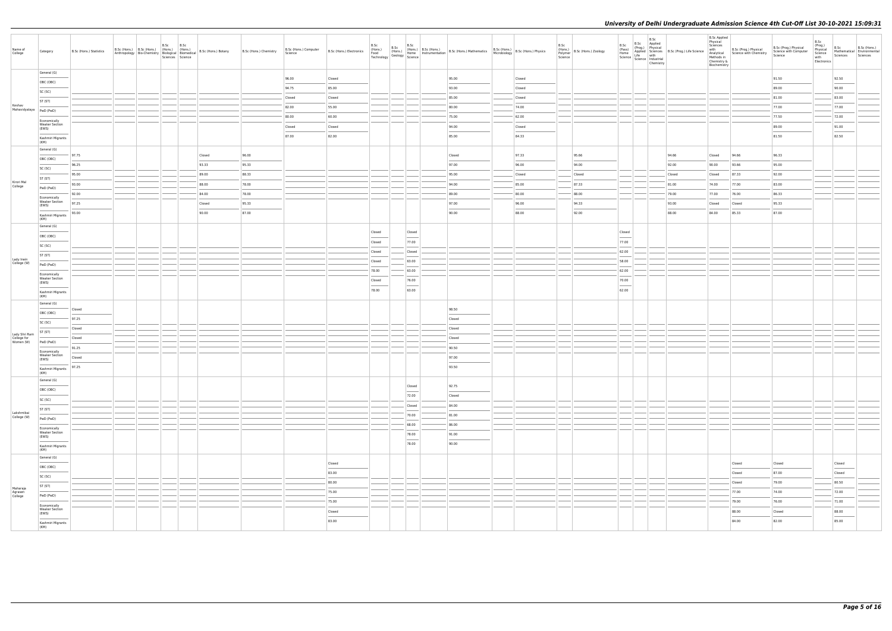| Name of<br>College                        | Category                                       | B.Sc (Hons.) Statistics |  | B.Sc B.Sc | Sciences Science | B.Sc (Hons.) B.Sc (Hons.) (Hons.) (Hons.) (Hons.) 8.Sc (Hons.) Botany<br>Anthropology Bio-Chemistry Biological Biomedical B.Sc (Hons.) Botany | B.Sc (Hons.) Chemistry | B.Sc (Hons.) Computer<br>Science | B.Sc (Hons.) Electronics | B.Sc   | B.Sc<br>B.Sc                                                                                                                                                                                                                                                                                                                                                                                                                                                                         | U.S. (Hons.)<br>(Hons.) B.Sc (Hons.) B.Sc (Hons.) Mathematics B.Sc (Hons.) B.Sc (Hons.) Physics<br>Fechnology Home Instrumentation B.Sc (Hons.) Mathematics Microbiology B.Sc (Hons.) Physics<br>Technology Science |        | B.Sc<br>Science | (Hons.)<br>Polymer B.Sc (Hons.) Zoology | B.Sc<br>.sc B.Sc Applied<br>(Pass) (Prog.) Physical<br>Home Applied Science B.Sc (Prog.) Life Science  <br>Science   Life with<br>Science   Industrial<br>Chemistry<br>Chemistry                                                                                                                                                                                                                                                                                                     |        | <b>B.Sc Applied</b><br>Physical<br>Sciences<br>Methods in<br>Chemistry &<br>Biochemistry | with B.Sc (Prog.) Physical<br>Analytical Science with Chemistry | B.Sc (Prog.) Physical<br>Science with Computer<br>Science | B.Sc<br>(Prog.)<br>Physical<br>Science<br>with<br>Electronics | B.Sc<br>Sciences Sciences                                                                                                                                                                                                                                                                                                                                                                                                                                                           | B.Sc (Hons.)<br>Mathematical Environmental |
|-------------------------------------------|------------------------------------------------|-------------------------|--|-----------|------------------|-----------------------------------------------------------------------------------------------------------------------------------------------|------------------------|----------------------------------|--------------------------|--------|--------------------------------------------------------------------------------------------------------------------------------------------------------------------------------------------------------------------------------------------------------------------------------------------------------------------------------------------------------------------------------------------------------------------------------------------------------------------------------------|---------------------------------------------------------------------------------------------------------------------------------------------------------------------------------------------------------------------|--------|-----------------|-----------------------------------------|--------------------------------------------------------------------------------------------------------------------------------------------------------------------------------------------------------------------------------------------------------------------------------------------------------------------------------------------------------------------------------------------------------------------------------------------------------------------------------------|--------|------------------------------------------------------------------------------------------|-----------------------------------------------------------------|-----------------------------------------------------------|---------------------------------------------------------------|-------------------------------------------------------------------------------------------------------------------------------------------------------------------------------------------------------------------------------------------------------------------------------------------------------------------------------------------------------------------------------------------------------------------------------------------------------------------------------------|--------------------------------------------|
|                                           | General (G)                                    |                         |  |           |                  |                                                                                                                                               |                        | 96.00                            | Closed                   |        |                                                                                                                                                                                                                                                                                                                                                                                                                                                                                      | 95.00                                                                                                                                                                                                               | Closed |                 |                                         |                                                                                                                                                                                                                                                                                                                                                                                                                                                                                      |        |                                                                                          |                                                                 | 91.50                                                     |                                                               | 92.50                                                                                                                                                                                                                                                                                                                                                                                                                                                                               |                                            |
|                                           | OBC (OBC)                                      |                         |  |           |                  |                                                                                                                                               |                        | 94.75                            | 85.00                    |        |                                                                                                                                                                                                                                                                                                                                                                                                                                                                                      | 93.00                                                                                                                                                                                                               | Closed |                 |                                         |                                                                                                                                                                                                                                                                                                                                                                                                                                                                                      |        |                                                                                          |                                                                 | 89.00                                                     |                                                               | 90.00                                                                                                                                                                                                                                                                                                                                                                                                                                                                               |                                            |
|                                           | SC (SC)                                        |                         |  |           |                  |                                                                                                                                               |                        | Closed                           | Closed                   |        |                                                                                                                                                                                                                                                                                                                                                                                                                                                                                      | 85.00                                                                                                                                                                                                               | Closed |                 |                                         |                                                                                                                                                                                                                                                                                                                                                                                                                                                                                      |        |                                                                                          |                                                                 | 81.00                                                     |                                                               | 83.00                                                                                                                                                                                                                                                                                                                                                                                                                                                                               |                                            |
| Keshav<br>Mahavidyalaya                   | ST (ST)                                        |                         |  |           |                  |                                                                                                                                               |                        | 82.00                            | 55.00                    |        |                                                                                                                                                                                                                                                                                                                                                                                                                                                                                      | 80.00                                                                                                                                                                                                               | 74.00  |                 |                                         |                                                                                                                                                                                                                                                                                                                                                                                                                                                                                      |        |                                                                                          |                                                                 | 77.00                                                     |                                                               | 77.00                                                                                                                                                                                                                                                                                                                                                                                                                                                                               |                                            |
|                                           | PwD (PwD)                                      |                         |  |           |                  |                                                                                                                                               |                        | 80.00                            | 60.00                    |        |                                                                                                                                                                                                                                                                                                                                                                                                                                                                                      | 75.00                                                                                                                                                                                                               | 62.00  |                 |                                         |                                                                                                                                                                                                                                                                                                                                                                                                                                                                                      |        |                                                                                          |                                                                 | 77.50                                                     |                                                               | 72.00                                                                                                                                                                                                                                                                                                                                                                                                                                                                               |                                            |
|                                           | Economically<br><b>Weaker Section</b><br>(EWS) |                         |  |           |                  |                                                                                                                                               |                        | Closed                           | Closed                   |        |                                                                                                                                                                                                                                                                                                                                                                                                                                                                                      | 94.00                                                                                                                                                                                                               | Closed |                 |                                         |                                                                                                                                                                                                                                                                                                                                                                                                                                                                                      |        |                                                                                          |                                                                 | 89.00                                                     |                                                               | 91.00                                                                                                                                                                                                                                                                                                                                                                                                                                                                               |                                            |
|                                           | Kashmiri Migrants                              |                         |  |           |                  |                                                                                                                                               |                        | 87.00                            | 82.00                    |        |                                                                                                                                                                                                                                                                                                                                                                                                                                                                                      | 85.00                                                                                                                                                                                                               | 84.33  |                 |                                         |                                                                                                                                                                                                                                                                                                                                                                                                                                                                                      |        |                                                                                          |                                                                 | 81.50                                                     |                                                               | $\frac{1}{2} \left( \frac{1}{2} \right) \left( \frac{1}{2} \right) \left( \frac{1}{2} \right) \left( \frac{1}{2} \right) \left( \frac{1}{2} \right) \left( \frac{1}{2} \right) \left( \frac{1}{2} \right) \left( \frac{1}{2} \right) \left( \frac{1}{2} \right) \left( \frac{1}{2} \right) \left( \frac{1}{2} \right) \left( \frac{1}{2} \right) \left( \frac{1}{2} \right) \left( \frac{1}{2} \right) \left( \frac{1}{2} \right) \left( \frac{1}{2} \right) \left( \frac$<br>82.50 |                                            |
|                                           | (KM)<br>General (G)                            |                         |  |           |                  |                                                                                                                                               |                        |                                  |                          |        |                                                                                                                                                                                                                                                                                                                                                                                                                                                                                      |                                                                                                                                                                                                                     |        |                 |                                         |                                                                                                                                                                                                                                                                                                                                                                                                                                                                                      |        |                                                                                          |                                                                 |                                                           |                                                               |                                                                                                                                                                                                                                                                                                                                                                                                                                                                                     |                                            |
|                                           | OBC (OBC)                                      | 97.75                   |  |           |                  | Closed                                                                                                                                        | 96.00                  |                                  |                          |        |                                                                                                                                                                                                                                                                                                                                                                                                                                                                                      | Closed                                                                                                                                                                                                              | 97.33  |                 | 95.66                                   |                                                                                                                                                                                                                                                                                                                                                                                                                                                                                      | 94.66  | Closed                                                                                   | 94.66                                                           | 96.33                                                     |                                                               |                                                                                                                                                                                                                                                                                                                                                                                                                                                                                     |                                            |
|                                           | SC (SC)                                        | 96.25                   |  |           |                  | 93.33                                                                                                                                         | 95.33                  |                                  |                          |        |                                                                                                                                                                                                                                                                                                                                                                                                                                                                                      | 97.00                                                                                                                                                                                                               | 96.00  |                 | 94.00                                   |                                                                                                                                                                                                                                                                                                                                                                                                                                                                                      | 92.00  | 90.00                                                                                    | 93.66                                                           | 95.00                                                     |                                                               |                                                                                                                                                                                                                                                                                                                                                                                                                                                                                     |                                            |
|                                           | ST (ST)                                        | 95.00                   |  |           |                  | 89.00                                                                                                                                         | 88.33                  |                                  |                          |        |                                                                                                                                                                                                                                                                                                                                                                                                                                                                                      | 95.00                                                                                                                                                                                                               | Closed |                 | Closed                                  |                                                                                                                                                                                                                                                                                                                                                                                                                                                                                      | Closed | Closed                                                                                   | 87.33                                                           | 92.00                                                     |                                                               |                                                                                                                                                                                                                                                                                                                                                                                                                                                                                     |                                            |
| Kirori Mal<br>College                     | PwD (PwD)                                      | 93.00                   |  |           |                  | 88.00                                                                                                                                         | 78.00                  |                                  |                          |        |                                                                                                                                                                                                                                                                                                                                                                                                                                                                                      | 94.00                                                                                                                                                                                                               | 85.00  |                 | 87.33                                   |                                                                                                                                                                                                                                                                                                                                                                                                                                                                                      | 81.00  | 74.00                                                                                    | 77.00                                                           | 83.00                                                     |                                                               |                                                                                                                                                                                                                                                                                                                                                                                                                                                                                     |                                            |
|                                           | Economically                                   | 92.00                   |  |           |                  | 84.00                                                                                                                                         | 78.00                  |                                  |                          |        |                                                                                                                                                                                                                                                                                                                                                                                                                                                                                      | 89.00                                                                                                                                                                                                               | 80.00  |                 | 88.00                                   |                                                                                                                                                                                                                                                                                                                                                                                                                                                                                      | 79.00  | 77.00                                                                                    | 76.00                                                           | 86.33                                                     |                                                               |                                                                                                                                                                                                                                                                                                                                                                                                                                                                                     |                                            |
|                                           | <b>Weaker Section</b><br>(EWS)                 | 97.25                   |  |           |                  | Closed                                                                                                                                        | 95.33                  |                                  |                          |        |                                                                                                                                                                                                                                                                                                                                                                                                                                                                                      | 97.00                                                                                                                                                                                                               | 96.00  |                 | 94.33                                   |                                                                                                                                                                                                                                                                                                                                                                                                                                                                                      | 93.00  | Closed                                                                                   | Closed                                                          | 95.33                                                     |                                                               |                                                                                                                                                                                                                                                                                                                                                                                                                                                                                     |                                            |
|                                           | Kashmiri Migrants<br>(KM)                      | 93.00                   |  |           |                  | 90.00                                                                                                                                         | 87.00                  |                                  |                          |        |                                                                                                                                                                                                                                                                                                                                                                                                                                                                                      | 90.00                                                                                                                                                                                                               | 88.00  |                 | 92.00                                   |                                                                                                                                                                                                                                                                                                                                                                                                                                                                                      | 88.00  | 84.00                                                                                    | 85.33                                                           | 87.00                                                     |                                                               |                                                                                                                                                                                                                                                                                                                                                                                                                                                                                     |                                            |
|                                           | General (G)                                    |                         |  |           |                  |                                                                                                                                               |                        |                                  |                          |        |                                                                                                                                                                                                                                                                                                                                                                                                                                                                                      |                                                                                                                                                                                                                     |        |                 |                                         |                                                                                                                                                                                                                                                                                                                                                                                                                                                                                      |        |                                                                                          |                                                                 |                                                           |                                                               |                                                                                                                                                                                                                                                                                                                                                                                                                                                                                     |                                            |
|                                           | OBC (OBC)                                      |                         |  |           |                  |                                                                                                                                               |                        |                                  |                          | Closed | Closed<br>$\frac{1}{2} \left( \frac{1}{2} \right) \left( \frac{1}{2} \right) \left( \frac{1}{2} \right) \left( \frac{1}{2} \right) \left( \frac{1}{2} \right) \left( \frac{1}{2} \right) \left( \frac{1}{2} \right) \left( \frac{1}{2} \right) \left( \frac{1}{2} \right) \left( \frac{1}{2} \right) \left( \frac{1}{2} \right) \left( \frac{1}{2} \right) \left( \frac{1}{2} \right) \left( \frac{1}{2} \right) \left( \frac{1}{2} \right) \left( \frac{1}{2} \right) \left( \frac$ |                                                                                                                                                                                                                     |        |                 |                                         | Closed<br>$\frac{1}{2} \left( \frac{1}{2} \right) \left( \frac{1}{2} \right) \left( \frac{1}{2} \right) \left( \frac{1}{2} \right) \left( \frac{1}{2} \right) \left( \frac{1}{2} \right) \left( \frac{1}{2} \right) \left( \frac{1}{2} \right) \left( \frac{1}{2} \right) \left( \frac{1}{2} \right) \left( \frac{1}{2} \right) \left( \frac{1}{2} \right) \left( \frac{1}{2} \right) \left( \frac{1}{2} \right) \left( \frac{1}{2} \right) \left( \frac{1}{2} \right) \left( \frac$ |        |                                                                                          |                                                                 |                                                           |                                                               |                                                                                                                                                                                                                                                                                                                                                                                                                                                                                     |                                            |
|                                           | SC (SC)                                        |                         |  |           |                  |                                                                                                                                               |                        |                                  |                          | Closed | 77.00                                                                                                                                                                                                                                                                                                                                                                                                                                                                                |                                                                                                                                                                                                                     |        |                 |                                         | 77.00                                                                                                                                                                                                                                                                                                                                                                                                                                                                                |        |                                                                                          |                                                                 |                                                           |                                                               |                                                                                                                                                                                                                                                                                                                                                                                                                                                                                     |                                            |
|                                           | ST (ST)                                        |                         |  |           |                  |                                                                                                                                               |                        |                                  |                          | Closed | Closed                                                                                                                                                                                                                                                                                                                                                                                                                                                                               |                                                                                                                                                                                                                     |        |                 |                                         | 62.00                                                                                                                                                                                                                                                                                                                                                                                                                                                                                |        |                                                                                          |                                                                 |                                                           |                                                               |                                                                                                                                                                                                                                                                                                                                                                                                                                                                                     |                                            |
| Lady Irwin<br>College (W)                 | PwD (PwD)                                      |                         |  |           |                  |                                                                                                                                               |                        |                                  |                          | Closed | 63.00                                                                                                                                                                                                                                                                                                                                                                                                                                                                                |                                                                                                                                                                                                                     |        |                 |                                         | 58.00                                                                                                                                                                                                                                                                                                                                                                                                                                                                                |        |                                                                                          |                                                                 |                                                           |                                                               |                                                                                                                                                                                                                                                                                                                                                                                                                                                                                     |                                            |
|                                           | Economically<br><b>Weaker Section</b>          |                         |  |           |                  |                                                                                                                                               |                        |                                  |                          | 78.00  | 63.00                                                                                                                                                                                                                                                                                                                                                                                                                                                                                |                                                                                                                                                                                                                     |        |                 |                                         | 62.00                                                                                                                                                                                                                                                                                                                                                                                                                                                                                |        |                                                                                          |                                                                 |                                                           |                                                               |                                                                                                                                                                                                                                                                                                                                                                                                                                                                                     |                                            |
|                                           | (EWS)                                          |                         |  |           |                  |                                                                                                                                               |                        |                                  |                          | Closed | 76.00<br>$\frac{1}{2}$                                                                                                                                                                                                                                                                                                                                                                                                                                                               |                                                                                                                                                                                                                     |        |                 |                                         | 70.00<br>$\sim$                                                                                                                                                                                                                                                                                                                                                                                                                                                                      |        |                                                                                          |                                                                 |                                                           |                                                               |                                                                                                                                                                                                                                                                                                                                                                                                                                                                                     |                                            |
|                                           | Kashmiri Migrants<br>(KM)                      |                         |  |           |                  |                                                                                                                                               |                        |                                  |                          | 78.00  | 63.00                                                                                                                                                                                                                                                                                                                                                                                                                                                                                |                                                                                                                                                                                                                     |        |                 |                                         | 62.00                                                                                                                                                                                                                                                                                                                                                                                                                                                                                |        |                                                                                          |                                                                 |                                                           |                                                               |                                                                                                                                                                                                                                                                                                                                                                                                                                                                                     |                                            |
|                                           | General (G)                                    | Closed                  |  |           |                  |                                                                                                                                               |                        |                                  |                          |        |                                                                                                                                                                                                                                                                                                                                                                                                                                                                                      | 98.50                                                                                                                                                                                                               |        |                 |                                         |                                                                                                                                                                                                                                                                                                                                                                                                                                                                                      |        |                                                                                          |                                                                 |                                                           |                                                               |                                                                                                                                                                                                                                                                                                                                                                                                                                                                                     |                                            |
|                                           | OBC (OBC)                                      | 97.25                   |  |           |                  |                                                                                                                                               |                        |                                  |                          |        |                                                                                                                                                                                                                                                                                                                                                                                                                                                                                      | Closed                                                                                                                                                                                                              |        |                 |                                         |                                                                                                                                                                                                                                                                                                                                                                                                                                                                                      |        |                                                                                          |                                                                 |                                                           |                                                               |                                                                                                                                                                                                                                                                                                                                                                                                                                                                                     |                                            |
|                                           | SC (SC)                                        | Closed                  |  |           |                  |                                                                                                                                               |                        |                                  |                          |        |                                                                                                                                                                                                                                                                                                                                                                                                                                                                                      | Closed                                                                                                                                                                                                              |        |                 |                                         |                                                                                                                                                                                                                                                                                                                                                                                                                                                                                      |        |                                                                                          |                                                                 |                                                           |                                                               |                                                                                                                                                                                                                                                                                                                                                                                                                                                                                     |                                            |
| Lady Shri Ram<br>College for<br>Women (W) | ST (ST)                                        | Closed                  |  |           |                  |                                                                                                                                               |                        |                                  |                          |        |                                                                                                                                                                                                                                                                                                                                                                                                                                                                                      | Closed                                                                                                                                                                                                              |        |                 |                                         |                                                                                                                                                                                                                                                                                                                                                                                                                                                                                      |        |                                                                                          |                                                                 |                                                           |                                                               |                                                                                                                                                                                                                                                                                                                                                                                                                                                                                     |                                            |
|                                           | PwD (PwD)                                      | 91.25                   |  |           |                  |                                                                                                                                               |                        |                                  |                          |        |                                                                                                                                                                                                                                                                                                                                                                                                                                                                                      | 90.50                                                                                                                                                                                                               |        |                 |                                         |                                                                                                                                                                                                                                                                                                                                                                                                                                                                                      |        |                                                                                          |                                                                 |                                                           |                                                               |                                                                                                                                                                                                                                                                                                                                                                                                                                                                                     |                                            |
|                                           | Economically<br><b>Weaker Section</b><br>(EWS) | Closed                  |  |           |                  |                                                                                                                                               |                        |                                  |                          |        |                                                                                                                                                                                                                                                                                                                                                                                                                                                                                      | 97.00                                                                                                                                                                                                               |        |                 |                                         |                                                                                                                                                                                                                                                                                                                                                                                                                                                                                      |        |                                                                                          |                                                                 |                                                           |                                                               |                                                                                                                                                                                                                                                                                                                                                                                                                                                                                     |                                            |
|                                           | Kashmiri Migrants                              | 97.25                   |  |           |                  |                                                                                                                                               |                        |                                  |                          |        |                                                                                                                                                                                                                                                                                                                                                                                                                                                                                      | 93.50                                                                                                                                                                                                               |        |                 |                                         |                                                                                                                                                                                                                                                                                                                                                                                                                                                                                      |        |                                                                                          |                                                                 |                                                           |                                                               |                                                                                                                                                                                                                                                                                                                                                                                                                                                                                     |                                            |
|                                           | (KM)<br>General (G)                            |                         |  |           |                  |                                                                                                                                               |                        |                                  |                          |        |                                                                                                                                                                                                                                                                                                                                                                                                                                                                                      |                                                                                                                                                                                                                     |        |                 |                                         |                                                                                                                                                                                                                                                                                                                                                                                                                                                                                      |        |                                                                                          |                                                                 |                                                           |                                                               |                                                                                                                                                                                                                                                                                                                                                                                                                                                                                     |                                            |
|                                           | OBC (OBC)                                      |                         |  |           |                  |                                                                                                                                               |                        |                                  |                          |        | Closed                                                                                                                                                                                                                                                                                                                                                                                                                                                                               | 92.75                                                                                                                                                                                                               |        |                 |                                         |                                                                                                                                                                                                                                                                                                                                                                                                                                                                                      |        |                                                                                          |                                                                 |                                                           |                                                               |                                                                                                                                                                                                                                                                                                                                                                                                                                                                                     |                                            |
|                                           | SC (SC)                                        |                         |  |           |                  |                                                                                                                                               |                        |                                  |                          |        | 72.00                                                                                                                                                                                                                                                                                                                                                                                                                                                                                | Closed                                                                                                                                                                                                              |        |                 |                                         |                                                                                                                                                                                                                                                                                                                                                                                                                                                                                      |        |                                                                                          |                                                                 |                                                           |                                                               |                                                                                                                                                                                                                                                                                                                                                                                                                                                                                     |                                            |
|                                           | ST (ST)                                        |                         |  |           |                  |                                                                                                                                               |                        |                                  |                          |        | Closed                                                                                                                                                                                                                                                                                                                                                                                                                                                                               | 84.00                                                                                                                                                                                                               |        |                 |                                         |                                                                                                                                                                                                                                                                                                                                                                                                                                                                                      |        |                                                                                          |                                                                 |                                                           |                                                               |                                                                                                                                                                                                                                                                                                                                                                                                                                                                                     |                                            |
| Lakshmibai<br>College (W)                 | PwD (PwD)                                      |                         |  |           |                  |                                                                                                                                               |                        |                                  |                          |        | 70.00                                                                                                                                                                                                                                                                                                                                                                                                                                                                                | 81.00                                                                                                                                                                                                               |        |                 |                                         |                                                                                                                                                                                                                                                                                                                                                                                                                                                                                      |        |                                                                                          |                                                                 |                                                           |                                                               |                                                                                                                                                                                                                                                                                                                                                                                                                                                                                     |                                            |
|                                           | Economically                                   |                         |  |           |                  |                                                                                                                                               |                        |                                  |                          |        | 68.00                                                                                                                                                                                                                                                                                                                                                                                                                                                                                | 86.00                                                                                                                                                                                                               |        |                 |                                         |                                                                                                                                                                                                                                                                                                                                                                                                                                                                                      |        |                                                                                          |                                                                 |                                                           |                                                               |                                                                                                                                                                                                                                                                                                                                                                                                                                                                                     |                                            |
|                                           | <b>Weaker Section</b><br>(EWS)                 |                         |  |           |                  |                                                                                                                                               |                        |                                  |                          |        | 78.00<br>$\sim$                                                                                                                                                                                                                                                                                                                                                                                                                                                                      | 91.00                                                                                                                                                                                                               |        |                 |                                         |                                                                                                                                                                                                                                                                                                                                                                                                                                                                                      |        |                                                                                          |                                                                 |                                                           |                                                               |                                                                                                                                                                                                                                                                                                                                                                                                                                                                                     |                                            |
|                                           | Kashmiri Migrants                              |                         |  |           |                  |                                                                                                                                               |                        |                                  |                          |        | 78.00                                                                                                                                                                                                                                                                                                                                                                                                                                                                                | 90.00                                                                                                                                                                                                               |        |                 |                                         |                                                                                                                                                                                                                                                                                                                                                                                                                                                                                      |        |                                                                                          |                                                                 |                                                           |                                                               |                                                                                                                                                                                                                                                                                                                                                                                                                                                                                     |                                            |
|                                           | (KM)<br>General (G)                            |                         |  |           |                  |                                                                                                                                               |                        |                                  |                          |        |                                                                                                                                                                                                                                                                                                                                                                                                                                                                                      |                                                                                                                                                                                                                     |        |                 |                                         |                                                                                                                                                                                                                                                                                                                                                                                                                                                                                      |        |                                                                                          |                                                                 |                                                           |                                                               |                                                                                                                                                                                                                                                                                                                                                                                                                                                                                     |                                            |
|                                           | OBC (OBC)                                      |                         |  |           |                  |                                                                                                                                               |                        |                                  | Closed                   |        |                                                                                                                                                                                                                                                                                                                                                                                                                                                                                      |                                                                                                                                                                                                                     |        |                 |                                         |                                                                                                                                                                                                                                                                                                                                                                                                                                                                                      |        |                                                                                          | Closed                                                          | Closed                                                    |                                                               | Closed<br>$\overline{\phantom{a}}$                                                                                                                                                                                                                                                                                                                                                                                                                                                  |                                            |
|                                           | SC (SC)                                        |                         |  |           |                  |                                                                                                                                               |                        |                                  | 83.00                    |        |                                                                                                                                                                                                                                                                                                                                                                                                                                                                                      |                                                                                                                                                                                                                     |        |                 |                                         |                                                                                                                                                                                                                                                                                                                                                                                                                                                                                      |        |                                                                                          | Closed                                                          | 87.00                                                     |                                                               | Closed                                                                                                                                                                                                                                                                                                                                                                                                                                                                              |                                            |
| Maharaja                                  | ST (ST)                                        |                         |  |           |                  |                                                                                                                                               |                        |                                  | 80.00                    |        |                                                                                                                                                                                                                                                                                                                                                                                                                                                                                      |                                                                                                                                                                                                                     |        |                 |                                         |                                                                                                                                                                                                                                                                                                                                                                                                                                                                                      |        |                                                                                          | Closed                                                          | 79.00                                                     |                                                               | 80.50                                                                                                                                                                                                                                                                                                                                                                                                                                                                               |                                            |
| Agrasen<br>College                        | PwD (PwD)                                      |                         |  |           |                  |                                                                                                                                               |                        |                                  | 75.00                    |        |                                                                                                                                                                                                                                                                                                                                                                                                                                                                                      |                                                                                                                                                                                                                     |        |                 |                                         |                                                                                                                                                                                                                                                                                                                                                                                                                                                                                      |        |                                                                                          | 77.00                                                           | 74.00                                                     |                                                               | 72.00                                                                                                                                                                                                                                                                                                                                                                                                                                                                               |                                            |
|                                           | Economically<br><b>Weaker Section</b>          |                         |  |           |                  |                                                                                                                                               |                        |                                  | 75.00                    |        |                                                                                                                                                                                                                                                                                                                                                                                                                                                                                      |                                                                                                                                                                                                                     |        |                 |                                         |                                                                                                                                                                                                                                                                                                                                                                                                                                                                                      |        |                                                                                          | 79.00                                                           | 76.00                                                     |                                                               | 71.00                                                                                                                                                                                                                                                                                                                                                                                                                                                                               |                                            |
|                                           | (EWS)                                          |                         |  |           |                  |                                                                                                                                               |                        |                                  | Closed                   |        |                                                                                                                                                                                                                                                                                                                                                                                                                                                                                      |                                                                                                                                                                                                                     |        |                 |                                         |                                                                                                                                                                                                                                                                                                                                                                                                                                                                                      |        |                                                                                          | 88.00                                                           | Closed                                                    |                                                               | 88.00                                                                                                                                                                                                                                                                                                                                                                                                                                                                               |                                            |
|                                           | Kashmiri Migrants<br>(KM)                      |                         |  |           |                  |                                                                                                                                               |                        |                                  | 83.00                    |        |                                                                                                                                                                                                                                                                                                                                                                                                                                                                                      |                                                                                                                                                                                                                     |        |                 |                                         |                                                                                                                                                                                                                                                                                                                                                                                                                                                                                      |        |                                                                                          | 84.00                                                           | 82.00                                                     |                                                               | 85.00                                                                                                                                                                                                                                                                                                                                                                                                                                                                               |                                            |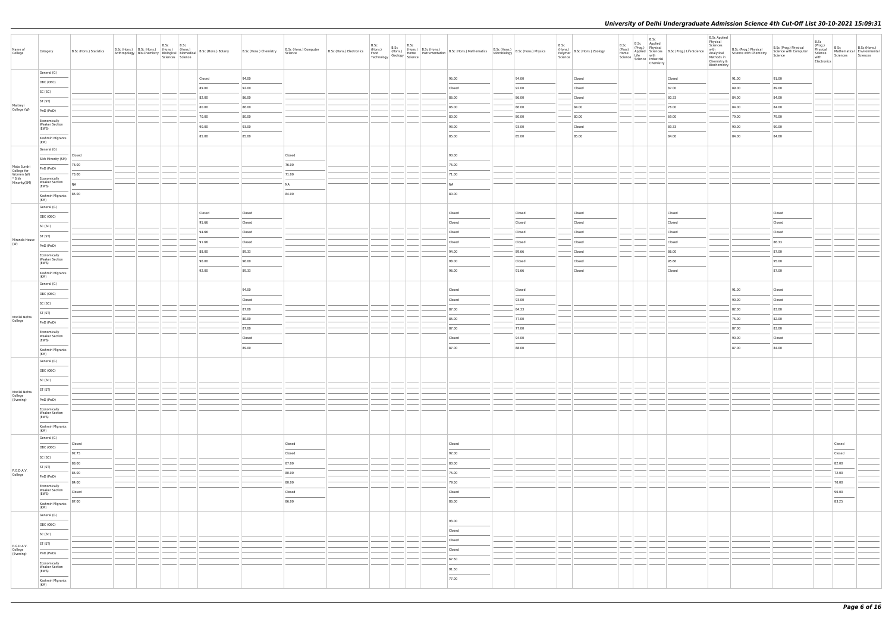| Name of<br>College                    | Category                                                                                                                                                                                                                                                                                                                                                                                                                                                                                | B.Sc (Hons.) Statistics | B.Sc (Hons.) B.Sc (Hons.) (Hons.) (Hons.)<br>Anthropology   Bio-Chemistry   Biological   Biomedical | B.Sc | B.Sc<br>Sciences Science |       | B.Sc (Hons.) Botany | B.Sc (Hons.) Chemistry | B.Sc (Hons.) Computer<br>Science                                                                                                                                                                                                                                                                                                                                                                                                                                                    | B.Sc (Hons.) Electronics<br>Food<br>Technology | B.Sc | B.Sc | B.Sc<br>(Hons.) (Hons.)<br>Geology Home I<br>Science | (Hons.) B.Sc (Hons.) B.Sc (Hons.) Mathematics B.Sc (Hons.) B.Sc (Hons.) Physics<br>Home Instrumentation B.Sc (Hons.) Mathematics Microbiology B.Sc (Hons.) Physics                                                                                                                                                                                                                                                                                                                  |        | B.Sc<br>Science | (Hons.)<br>Polymer B.Sc (Hons.) Zoology | B.Sc | B.Sc | B.Sc<br>Applied<br>(Pass) (Prog.) Physical<br>Home Applied Sciences<br>Science Life with<br>Science Industrial<br>Chemistry | Processing<br>Applied Sciences<br>Life with<br>Life with | <b>B.Sc Applied</b><br>Physical<br>Sciences<br>Methods in<br>Chemistry &<br>Biochemistry | with B.Sc (Prog.) Physical<br>Analytical Science with Chemistry | B.Sc (Prog.) Physical<br>Science with Computer<br>Science | B.Sc<br>(Prog.)<br>Physical<br>Science<br>with<br>Electronics | B.Sc<br>Sciences                  | B.Sc (Hons.)<br>Mathematical Environmental<br>Sciences |
|---------------------------------------|-----------------------------------------------------------------------------------------------------------------------------------------------------------------------------------------------------------------------------------------------------------------------------------------------------------------------------------------------------------------------------------------------------------------------------------------------------------------------------------------|-------------------------|-----------------------------------------------------------------------------------------------------|------|--------------------------|-------|---------------------|------------------------|-------------------------------------------------------------------------------------------------------------------------------------------------------------------------------------------------------------------------------------------------------------------------------------------------------------------------------------------------------------------------------------------------------------------------------------------------------------------------------------|------------------------------------------------|------|------|------------------------------------------------------|-------------------------------------------------------------------------------------------------------------------------------------------------------------------------------------------------------------------------------------------------------------------------------------------------------------------------------------------------------------------------------------------------------------------------------------------------------------------------------------|--------|-----------------|-----------------------------------------|------|------|-----------------------------------------------------------------------------------------------------------------------------|----------------------------------------------------------|------------------------------------------------------------------------------------------|-----------------------------------------------------------------|-----------------------------------------------------------|---------------------------------------------------------------|-----------------------------------|--------------------------------------------------------|
|                                       | General (G)                                                                                                                                                                                                                                                                                                                                                                                                                                                                             |                         |                                                                                                     |      |                          |       | Closed              | 94.00                  |                                                                                                                                                                                                                                                                                                                                                                                                                                                                                     |                                                |      |      |                                                      | 95.00                                                                                                                                                                                                                                                                                                                                                                                                                                                                               | 94.00  |                 | Closed                                  |      |      |                                                                                                                             | Closed                                                   |                                                                                          | 91.00                                                           | 91.00                                                     |                                                               |                                   |                                                        |
|                                       | OBC (OBC)                                                                                                                                                                                                                                                                                                                                                                                                                                                                               |                         |                                                                                                     |      |                          | 89.00 |                     | 92.00                  |                                                                                                                                                                                                                                                                                                                                                                                                                                                                                     |                                                |      |      |                                                      | Closed                                                                                                                                                                                                                                                                                                                                                                                                                                                                              | 92.00  |                 | Closed                                  |      |      |                                                                                                                             | 87.00                                                    |                                                                                          | 89.00                                                           | 89.00                                                     |                                                               |                                   |                                                        |
|                                       | SC (SC)                                                                                                                                                                                                                                                                                                                                                                                                                                                                                 |                         |                                                                                                     |      |                          | 82.00 |                     | 86.00                  |                                                                                                                                                                                                                                                                                                                                                                                                                                                                                     |                                                |      |      |                                                      | 86.00                                                                                                                                                                                                                                                                                                                                                                                                                                                                               | 86.00  |                 | Closed                                  |      |      |                                                                                                                             | 80.33                                                    |                                                                                          | 84.00                                                           | 84.00                                                     |                                                               |                                   |                                                        |
| Maitreyi<br>College (W)               | ST (ST)                                                                                                                                                                                                                                                                                                                                                                                                                                                                                 |                         |                                                                                                     |      |                          | 80.00 |                     | 86.00                  |                                                                                                                                                                                                                                                                                                                                                                                                                                                                                     |                                                |      |      |                                                      | 86.00                                                                                                                                                                                                                                                                                                                                                                                                                                                                               | 86.00  |                 | 84.00                                   |      |      |                                                                                                                             | 76.00                                                    |                                                                                          | 84.00                                                           | 84.00                                                     |                                                               |                                   |                                                        |
|                                       | PwD (PwD)                                                                                                                                                                                                                                                                                                                                                                                                                                                                               |                         |                                                                                                     |      |                          | 70.00 |                     | 80.00                  |                                                                                                                                                                                                                                                                                                                                                                                                                                                                                     |                                                |      |      |                                                      | 80.00                                                                                                                                                                                                                                                                                                                                                                                                                                                                               | 80.00  |                 | 80.00                                   |      |      |                                                                                                                             | 69.00                                                    |                                                                                          | 79.00                                                           | 79.00                                                     |                                                               |                                   |                                                        |
|                                       | Economically<br><b>Weaker Section</b>                                                                                                                                                                                                                                                                                                                                                                                                                                                   |                         |                                                                                                     |      |                          | 90.00 |                     | 93.00                  |                                                                                                                                                                                                                                                                                                                                                                                                                                                                                     |                                                |      |      |                                                      | 93.00                                                                                                                                                                                                                                                                                                                                                                                                                                                                               | 93.00  |                 | Closed                                  |      |      |                                                                                                                             | 89.33                                                    |                                                                                          | 90.00                                                           | 90.00                                                     |                                                               |                                   |                                                        |
|                                       | (EWS)<br>Kashmiri Migrants                                                                                                                                                                                                                                                                                                                                                                                                                                                              |                         |                                                                                                     |      |                          | 85.00 |                     | 85.00                  |                                                                                                                                                                                                                                                                                                                                                                                                                                                                                     |                                                |      |      |                                                      | 85.00                                                                                                                                                                                                                                                                                                                                                                                                                                                                               | 85.00  |                 | 85.00                                   |      |      |                                                                                                                             | 84.00                                                    |                                                                                          | 84.00                                                           | 84.00                                                     |                                                               |                                   |                                                        |
|                                       | (KM)                                                                                                                                                                                                                                                                                                                                                                                                                                                                                    |                         |                                                                                                     |      |                          |       |                     |                        |                                                                                                                                                                                                                                                                                                                                                                                                                                                                                     |                                                |      |      |                                                      |                                                                                                                                                                                                                                                                                                                                                                                                                                                                                     |        |                 |                                         |      |      |                                                                                                                             |                                                          |                                                                                          |                                                                 |                                                           |                                                               |                                   |                                                        |
|                                       | General (G)<br>Sikh Minority (SM)                                                                                                                                                                                                                                                                                                                                                                                                                                                       | Closed                  |                                                                                                     |      |                          |       |                     |                        | Closed                                                                                                                                                                                                                                                                                                                                                                                                                                                                              |                                                |      |      |                                                      | 90.00                                                                                                                                                                                                                                                                                                                                                                                                                                                                               |        |                 |                                         |      |      |                                                                                                                             |                                                          |                                                                                          |                                                                 |                                                           |                                                               |                                   |                                                        |
| Mata Sundri                           | PwD (PwD)                                                                                                                                                                                                                                                                                                                                                                                                                                                                               | 76.00                   |                                                                                                     |      |                          |       |                     |                        | 76.00                                                                                                                                                                                                                                                                                                                                                                                                                                                                               |                                                |      |      |                                                      | 75.00                                                                                                                                                                                                                                                                                                                                                                                                                                                                               |        |                 |                                         |      |      |                                                                                                                             |                                                          |                                                                                          |                                                                 |                                                           |                                                               |                                   |                                                        |
| College for<br>Women (W)              | <b>Contract Contract</b><br>Economically                                                                                                                                                                                                                                                                                                                                                                                                                                                | 73.00                   |                                                                                                     |      |                          |       |                     |                        | 71.00                                                                                                                                                                                                                                                                                                                                                                                                                                                                               |                                                |      |      |                                                      | 71.00                                                                                                                                                                                                                                                                                                                                                                                                                                                                               |        |                 |                                         |      |      |                                                                                                                             |                                                          |                                                                                          |                                                                 |                                                           |                                                               |                                   |                                                        |
| * Sikh<br>Minority(SM)                | <b>Weaker Section</b><br>(EWS)                                                                                                                                                                                                                                                                                                                                                                                                                                                          | NA                      |                                                                                                     |      |                          |       |                     |                        | <b>NA</b>                                                                                                                                                                                                                                                                                                                                                                                                                                                                           |                                                |      |      |                                                      | <b>NA</b>                                                                                                                                                                                                                                                                                                                                                                                                                                                                           |        |                 |                                         |      |      |                                                                                                                             |                                                          |                                                                                          |                                                                 |                                                           |                                                               |                                   |                                                        |
|                                       | Kashmiri Migrants                                                                                                                                                                                                                                                                                                                                                                                                                                                                       | 85.00                   |                                                                                                     |      |                          |       |                     |                        | 84.00                                                                                                                                                                                                                                                                                                                                                                                                                                                                               |                                                |      |      |                                                      | 80.00                                                                                                                                                                                                                                                                                                                                                                                                                                                                               |        |                 |                                         |      |      |                                                                                                                             |                                                          |                                                                                          |                                                                 |                                                           |                                                               |                                   |                                                        |
|                                       | (KM)<br>General (G)                                                                                                                                                                                                                                                                                                                                                                                                                                                                     |                         |                                                                                                     |      |                          |       |                     |                        |                                                                                                                                                                                                                                                                                                                                                                                                                                                                                     |                                                |      |      |                                                      |                                                                                                                                                                                                                                                                                                                                                                                                                                                                                     |        |                 |                                         |      |      |                                                                                                                             |                                                          |                                                                                          |                                                                 |                                                           |                                                               |                                   |                                                        |
|                                       | OBC (OBC)                                                                                                                                                                                                                                                                                                                                                                                                                                                                               |                         |                                                                                                     |      |                          |       | Closed              | Closed                 |                                                                                                                                                                                                                                                                                                                                                                                                                                                                                     |                                                |      |      |                                                      | Closed                                                                                                                                                                                                                                                                                                                                                                                                                                                                              | Closed |                 | Closed                                  |      |      |                                                                                                                             | Closed                                                   |                                                                                          |                                                                 | Closed                                                    |                                                               |                                   |                                                        |
|                                       | SC (SC)                                                                                                                                                                                                                                                                                                                                                                                                                                                                                 |                         |                                                                                                     |      |                          | 95.66 |                     | Closed                 |                                                                                                                                                                                                                                                                                                                                                                                                                                                                                     |                                                |      |      |                                                      | Closed                                                                                                                                                                                                                                                                                                                                                                                                                                                                              | Closed |                 | Closed                                  |      |      |                                                                                                                             | Closed                                                   |                                                                                          |                                                                 | Closed                                                    |                                                               |                                   |                                                        |
|                                       | ST (ST)                                                                                                                                                                                                                                                                                                                                                                                                                                                                                 |                         |                                                                                                     |      |                          | 94.66 |                     | Closed                 |                                                                                                                                                                                                                                                                                                                                                                                                                                                                                     |                                                |      |      |                                                      | Closed                                                                                                                                                                                                                                                                                                                                                                                                                                                                              | Closed |                 | Closed                                  |      |      |                                                                                                                             | Closed                                                   |                                                                                          |                                                                 | Closed                                                    |                                                               |                                   |                                                        |
| Miranda House<br>(W)                  | PwD (PwD)                                                                                                                                                                                                                                                                                                                                                                                                                                                                               |                         |                                                                                                     |      |                          | 91.66 |                     | Closed                 |                                                                                                                                                                                                                                                                                                                                                                                                                                                                                     |                                                |      |      |                                                      | Closed                                                                                                                                                                                                                                                                                                                                                                                                                                                                              | Closed |                 | Closed                                  |      |      |                                                                                                                             | Closed                                                   |                                                                                          |                                                                 | 86.33                                                     |                                                               |                                   |                                                        |
|                                       | Economically<br><b>Weaker Section</b>                                                                                                                                                                                                                                                                                                                                                                                                                                                   |                         |                                                                                                     |      |                          | 88.00 |                     | 89.33                  |                                                                                                                                                                                                                                                                                                                                                                                                                                                                                     |                                                |      |      |                                                      | 94.00                                                                                                                                                                                                                                                                                                                                                                                                                                                                               | 89.66  |                 | Closed                                  |      |      |                                                                                                                             | 86.00                                                    |                                                                                          |                                                                 | 87.00                                                     |                                                               |                                   |                                                        |
|                                       | (EWS)                                                                                                                                                                                                                                                                                                                                                                                                                                                                                   |                         |                                                                                                     |      |                          | 96.00 |                     | 96.00                  |                                                                                                                                                                                                                                                                                                                                                                                                                                                                                     |                                                |      |      |                                                      | 98.00                                                                                                                                                                                                                                                                                                                                                                                                                                                                               | Closed |                 | Closed                                  |      |      |                                                                                                                             | 95.66                                                    |                                                                                          |                                                                 | 95.00                                                     |                                                               |                                   |                                                        |
|                                       | Kashmiri Migrants<br>(KM)                                                                                                                                                                                                                                                                                                                                                                                                                                                               |                         |                                                                                                     |      |                          | 92.00 |                     | 89.33                  |                                                                                                                                                                                                                                                                                                                                                                                                                                                                                     |                                                |      |      |                                                      | 96.00                                                                                                                                                                                                                                                                                                                                                                                                                                                                               | 91.66  |                 | Closed                                  |      |      |                                                                                                                             | Closed                                                   |                                                                                          |                                                                 | 87.00                                                     |                                                               |                                   |                                                        |
|                                       | General (G)                                                                                                                                                                                                                                                                                                                                                                                                                                                                             |                         |                                                                                                     |      |                          |       |                     | 94.00                  |                                                                                                                                                                                                                                                                                                                                                                                                                                                                                     |                                                |      |      |                                                      | Closed                                                                                                                                                                                                                                                                                                                                                                                                                                                                              | Closed |                 |                                         |      |      |                                                                                                                             |                                                          |                                                                                          | 91.00                                                           | Closed                                                    |                                                               |                                   |                                                        |
|                                       | OBC (OBC)                                                                                                                                                                                                                                                                                                                                                                                                                                                                               |                         |                                                                                                     |      |                          |       |                     | Closed                 |                                                                                                                                                                                                                                                                                                                                                                                                                                                                                     |                                                |      |      |                                                      | Closed                                                                                                                                                                                                                                                                                                                                                                                                                                                                              | 93.00  |                 |                                         |      |      |                                                                                                                             |                                                          |                                                                                          | 90.00                                                           | Closed                                                    |                                                               |                                   |                                                        |
|                                       | SC (SC)                                                                                                                                                                                                                                                                                                                                                                                                                                                                                 |                         |                                                                                                     |      |                          |       |                     | 87.00                  |                                                                                                                                                                                                                                                                                                                                                                                                                                                                                     |                                                |      |      |                                                      | 87.00                                                                                                                                                                                                                                                                                                                                                                                                                                                                               | 84.33  |                 |                                         |      |      |                                                                                                                             |                                                          |                                                                                          | 82.00                                                           | 83.00                                                     |                                                               |                                   |                                                        |
| Motilal Nehru                         | ST (ST)                                                                                                                                                                                                                                                                                                                                                                                                                                                                                 |                         |                                                                                                     |      |                          |       |                     | 80.00                  |                                                                                                                                                                                                                                                                                                                                                                                                                                                                                     |                                                |      |      |                                                      | 85.00                                                                                                                                                                                                                                                                                                                                                                                                                                                                               | 77.00  |                 |                                         |      |      |                                                                                                                             |                                                          |                                                                                          | 75.00                                                           | 82.00                                                     |                                                               |                                   |                                                        |
| College                               | PwD (PwD)                                                                                                                                                                                                                                                                                                                                                                                                                                                                               |                         |                                                                                                     |      |                          |       |                     | 87.00                  |                                                                                                                                                                                                                                                                                                                                                                                                                                                                                     |                                                |      |      |                                                      | 87.00                                                                                                                                                                                                                                                                                                                                                                                                                                                                               | 77.00  |                 |                                         |      |      |                                                                                                                             |                                                          |                                                                                          | 87.00                                                           | 83.00                                                     |                                                               |                                   |                                                        |
|                                       | Economically<br>Weaker Section<br>(EWS)                                                                                                                                                                                                                                                                                                                                                                                                                                                 |                         |                                                                                                     |      |                          |       |                     | Closed                 |                                                                                                                                                                                                                                                                                                                                                                                                                                                                                     |                                                |      |      |                                                      | Closed                                                                                                                                                                                                                                                                                                                                                                                                                                                                              | 94.00  |                 |                                         |      |      |                                                                                                                             |                                                          |                                                                                          | 90.00                                                           | Closed                                                    |                                                               |                                   |                                                        |
|                                       | Kashmiri Migrants                                                                                                                                                                                                                                                                                                                                                                                                                                                                       |                         |                                                                                                     |      |                          |       |                     | 89.00                  |                                                                                                                                                                                                                                                                                                                                                                                                                                                                                     |                                                |      |      |                                                      | 87.00                                                                                                                                                                                                                                                                                                                                                                                                                                                                               | 88.00  |                 |                                         |      |      |                                                                                                                             |                                                          |                                                                                          | 87.00                                                           | 84.00                                                     |                                                               |                                   |                                                        |
|                                       | (KM)<br>General (G)                                                                                                                                                                                                                                                                                                                                                                                                                                                                     |                         |                                                                                                     |      |                          |       |                     |                        |                                                                                                                                                                                                                                                                                                                                                                                                                                                                                     |                                                |      |      |                                                      |                                                                                                                                                                                                                                                                                                                                                                                                                                                                                     |        |                 |                                         |      |      |                                                                                                                             |                                                          |                                                                                          |                                                                 |                                                           |                                                               |                                   |                                                        |
|                                       |                                                                                                                                                                                                                                                                                                                                                                                                                                                                                         |                         |                                                                                                     |      |                          |       |                     |                        |                                                                                                                                                                                                                                                                                                                                                                                                                                                                                     |                                                |      |      |                                                      |                                                                                                                                                                                                                                                                                                                                                                                                                                                                                     |        |                 |                                         |      |      |                                                                                                                             |                                                          |                                                                                          |                                                                 |                                                           |                                                               |                                   |                                                        |
|                                       | OBC (OBC)<br>SC (SC)                                                                                                                                                                                                                                                                                                                                                                                                                                                                    |                         |                                                                                                     |      |                          |       |                     |                        |                                                                                                                                                                                                                                                                                                                                                                                                                                                                                     |                                                |      |      |                                                      |                                                                                                                                                                                                                                                                                                                                                                                                                                                                                     |        |                 |                                         |      |      |                                                                                                                             |                                                          |                                                                                          |                                                                 |                                                           |                                                               |                                   |                                                        |
|                                       | ST (ST)                                                                                                                                                                                                                                                                                                                                                                                                                                                                                 |                         |                                                                                                     |      |                          |       |                     |                        |                                                                                                                                                                                                                                                                                                                                                                                                                                                                                     |                                                |      |      |                                                      |                                                                                                                                                                                                                                                                                                                                                                                                                                                                                     |        |                 |                                         |      |      |                                                                                                                             |                                                          |                                                                                          |                                                                 |                                                           |                                                               |                                   |                                                        |
| Motilal Nehru<br>College<br>(Evening) | PwD (PwD)                                                                                                                                                                                                                                                                                                                                                                                                                                                                               |                         |                                                                                                     |      |                          |       |                     |                        |                                                                                                                                                                                                                                                                                                                                                                                                                                                                                     |                                                |      |      |                                                      |                                                                                                                                                                                                                                                                                                                                                                                                                                                                                     |        |                 |                                         |      |      |                                                                                                                             |                                                          |                                                                                          |                                                                 |                                                           |                                                               |                                   |                                                        |
|                                       | Economically                                                                                                                                                                                                                                                                                                                                                                                                                                                                            |                         |                                                                                                     |      |                          |       |                     |                        |                                                                                                                                                                                                                                                                                                                                                                                                                                                                                     |                                                |      |      |                                                      |                                                                                                                                                                                                                                                                                                                                                                                                                                                                                     |        |                 |                                         |      |      |                                                                                                                             |                                                          |                                                                                          |                                                                 |                                                           |                                                               |                                   |                                                        |
|                                       | <b>Weaker Section</b><br>(EWS)                                                                                                                                                                                                                                                                                                                                                                                                                                                          |                         |                                                                                                     |      |                          |       |                     |                        |                                                                                                                                                                                                                                                                                                                                                                                                                                                                                     |                                                |      |      |                                                      |                                                                                                                                                                                                                                                                                                                                                                                                                                                                                     |        |                 |                                         |      |      |                                                                                                                             |                                                          |                                                                                          |                                                                 |                                                           |                                                               |                                   |                                                        |
|                                       | Kashmiri Migrants<br>(KM)                                                                                                                                                                                                                                                                                                                                                                                                                                                               |                         |                                                                                                     |      |                          |       |                     |                        |                                                                                                                                                                                                                                                                                                                                                                                                                                                                                     |                                                |      |      |                                                      |                                                                                                                                                                                                                                                                                                                                                                                                                                                                                     |        |                 |                                         |      |      |                                                                                                                             |                                                          |                                                                                          |                                                                 |                                                           |                                                               |                                   |                                                        |
|                                       | General (G)                                                                                                                                                                                                                                                                                                                                                                                                                                                                             |                         |                                                                                                     |      |                          |       |                     |                        |                                                                                                                                                                                                                                                                                                                                                                                                                                                                                     |                                                |      |      |                                                      |                                                                                                                                                                                                                                                                                                                                                                                                                                                                                     |        |                 |                                         |      |      |                                                                                                                             |                                                          |                                                                                          |                                                                 |                                                           |                                                               |                                   |                                                        |
|                                       | OBC (OBC)<br>$\frac{1}{2} \left( \frac{1}{2} \right) \left( \frac{1}{2} \right) \left( \frac{1}{2} \right) \left( \frac{1}{2} \right) \left( \frac{1}{2} \right) \left( \frac{1}{2} \right) \left( \frac{1}{2} \right) \left( \frac{1}{2} \right) \left( \frac{1}{2} \right) \left( \frac{1}{2} \right) \left( \frac{1}{2} \right) \left( \frac{1}{2} \right) \left( \frac{1}{2} \right) \left( \frac{1}{2} \right) \left( \frac{1}{2} \right) \left( \frac{1}{2} \right) \left( \frac$ | Closed                  |                                                                                                     |      |                          |       |                     |                        | Closed                                                                                                                                                                                                                                                                                                                                                                                                                                                                              |                                                |      |      |                                                      | Closed                                                                                                                                                                                                                                                                                                                                                                                                                                                                              |        |                 |                                         |      |      |                                                                                                                             |                                                          |                                                                                          |                                                                 |                                                           |                                                               | Closed                            |                                                        |
|                                       | SC (SC)                                                                                                                                                                                                                                                                                                                                                                                                                                                                                 | 92.75<br>88.00          |                                                                                                     |      |                          |       |                     |                        | Closed<br>87.00                                                                                                                                                                                                                                                                                                                                                                                                                                                                     |                                                |      |      |                                                      | 92.00<br>83.00                                                                                                                                                                                                                                                                                                                                                                                                                                                                      |        |                 |                                         |      |      |                                                                                                                             |                                                          |                                                                                          |                                                                 |                                                           |                                                               | Closed<br>82.00                   |                                                        |
| P.G.D.A.V.<br>College                 | ST (ST)                                                                                                                                                                                                                                                                                                                                                                                                                                                                                 | 85.00                   |                                                                                                     |      |                          |       |                     |                        | 80.00                                                                                                                                                                                                                                                                                                                                                                                                                                                                               |                                                |      |      |                                                      | 75.00                                                                                                                                                                                                                                                                                                                                                                                                                                                                               |        |                 |                                         |      |      |                                                                                                                             |                                                          |                                                                                          |                                                                 |                                                           |                                                               | 72.00                             |                                                        |
|                                       | PwD (PwD)                                                                                                                                                                                                                                                                                                                                                                                                                                                                               | 84.00                   |                                                                                                     |      |                          |       |                     |                        | 80.00                                                                                                                                                                                                                                                                                                                                                                                                                                                                               |                                                |      |      |                                                      | 79.50                                                                                                                                                                                                                                                                                                                                                                                                                                                                               |        |                 |                                         |      |      |                                                                                                                             |                                                          |                                                                                          |                                                                 |                                                           |                                                               | 70.00                             |                                                        |
|                                       | Economically<br><b>Weaker Section</b>                                                                                                                                                                                                                                                                                                                                                                                                                                                   | Closed                  |                                                                                                     |      |                          |       |                     |                        | Closed                                                                                                                                                                                                                                                                                                                                                                                                                                                                              |                                                |      |      |                                                      | Closed                                                                                                                                                                                                                                                                                                                                                                                                                                                                              |        |                 |                                         |      |      |                                                                                                                             |                                                          |                                                                                          |                                                                 |                                                           |                                                               | 90.00                             |                                                        |
|                                       | (EWS)<br>Kashmiri Migrants                                                                                                                                                                                                                                                                                                                                                                                                                                                              | 87.00                   |                                                                                                     |      |                          |       |                     |                        | $\frac{1}{2} \left( \frac{1}{2} \right) \left( \frac{1}{2} \right) \left( \frac{1}{2} \right) \left( \frac{1}{2} \right) \left( \frac{1}{2} \right) \left( \frac{1}{2} \right) \left( \frac{1}{2} \right) \left( \frac{1}{2} \right) \left( \frac{1}{2} \right) \left( \frac{1}{2} \right) \left( \frac{1}{2} \right) \left( \frac{1}{2} \right) \left( \frac{1}{2} \right) \left( \frac{1}{2} \right) \left( \frac{1}{2} \right) \left( \frac{1}{2} \right) \left( \frac$<br>86.00 |                                                |      |      |                                                      | $\frac{1}{2} \left( \frac{1}{2} \right) \left( \frac{1}{2} \right) \left( \frac{1}{2} \right) \left( \frac{1}{2} \right) \left( \frac{1}{2} \right) \left( \frac{1}{2} \right) \left( \frac{1}{2} \right) \left( \frac{1}{2} \right) \left( \frac{1}{2} \right) \left( \frac{1}{2} \right) \left( \frac{1}{2} \right) \left( \frac{1}{2} \right) \left( \frac{1}{2} \right) \left( \frac{1}{2} \right) \left( \frac{1}{2} \right) \left( \frac{1}{2} \right) \left( \frac$<br>86.00 |        |                 |                                         |      |      |                                                                                                                             |                                                          |                                                                                          |                                                                 |                                                           |                                                               | $\overline{\phantom{a}}$<br>83.25 |                                                        |
|                                       | (KM)                                                                                                                                                                                                                                                                                                                                                                                                                                                                                    |                         |                                                                                                     |      |                          |       |                     |                        |                                                                                                                                                                                                                                                                                                                                                                                                                                                                                     |                                                |      |      |                                                      |                                                                                                                                                                                                                                                                                                                                                                                                                                                                                     |        |                 |                                         |      |      |                                                                                                                             |                                                          |                                                                                          |                                                                 |                                                           |                                                               |                                   |                                                        |
|                                       | General (G)<br>OBC (OBC)                                                                                                                                                                                                                                                                                                                                                                                                                                                                |                         |                                                                                                     |      |                          |       |                     |                        |                                                                                                                                                                                                                                                                                                                                                                                                                                                                                     |                                                |      |      |                                                      | 93.00                                                                                                                                                                                                                                                                                                                                                                                                                                                                               |        |                 |                                         |      |      |                                                                                                                             |                                                          |                                                                                          |                                                                 |                                                           |                                                               |                                   |                                                        |
|                                       | SC (SC)                                                                                                                                                                                                                                                                                                                                                                                                                                                                                 |                         |                                                                                                     |      |                          |       |                     |                        |                                                                                                                                                                                                                                                                                                                                                                                                                                                                                     |                                                |      |      |                                                      | Closed                                                                                                                                                                                                                                                                                                                                                                                                                                                                              |        |                 |                                         |      |      |                                                                                                                             |                                                          |                                                                                          |                                                                 |                                                           |                                                               |                                   |                                                        |
|                                       |                                                                                                                                                                                                                                                                                                                                                                                                                                                                                         |                         |                                                                                                     |      |                          |       |                     |                        |                                                                                                                                                                                                                                                                                                                                                                                                                                                                                     |                                                |      |      |                                                      | Closed                                                                                                                                                                                                                                                                                                                                                                                                                                                                              |        |                 |                                         |      |      |                                                                                                                             |                                                          |                                                                                          |                                                                 |                                                           |                                                               |                                   |                                                        |
| P.G.D.A.V.<br>College<br>(Evening)    | ST (ST)<br>PwD (PwD)                                                                                                                                                                                                                                                                                                                                                                                                                                                                    |                         |                                                                                                     |      |                          |       |                     |                        |                                                                                                                                                                                                                                                                                                                                                                                                                                                                                     |                                                |      |      |                                                      | Closed                                                                                                                                                                                                                                                                                                                                                                                                                                                                              |        |                 |                                         |      |      |                                                                                                                             |                                                          |                                                                                          |                                                                 |                                                           |                                                               |                                   |                                                        |
|                                       | Economically                                                                                                                                                                                                                                                                                                                                                                                                                                                                            |                         |                                                                                                     |      |                          |       |                     |                        |                                                                                                                                                                                                                                                                                                                                                                                                                                                                                     |                                                |      |      |                                                      | 67.50                                                                                                                                                                                                                                                                                                                                                                                                                                                                               |        |                 |                                         |      |      |                                                                                                                             |                                                          |                                                                                          |                                                                 |                                                           |                                                               |                                   |                                                        |
|                                       | <b>Weaker Section</b><br>(EWS)                                                                                                                                                                                                                                                                                                                                                                                                                                                          |                         |                                                                                                     |      |                          |       |                     |                        |                                                                                                                                                                                                                                                                                                                                                                                                                                                                                     |                                                |      |      |                                                      | 91.50<br>$\overline{\phantom{a}}$                                                                                                                                                                                                                                                                                                                                                                                                                                                   |        |                 |                                         |      |      |                                                                                                                             |                                                          |                                                                                          |                                                                 |                                                           |                                                               |                                   |                                                        |
|                                       | Kashmiri Migrants<br>(KM)                                                                                                                                                                                                                                                                                                                                                                                                                                                               |                         |                                                                                                     |      |                          |       |                     |                        |                                                                                                                                                                                                                                                                                                                                                                                                                                                                                     |                                                |      |      |                                                      | 77.00                                                                                                                                                                                                                                                                                                                                                                                                                                                                               |        |                 |                                         |      |      |                                                                                                                             |                                                          |                                                                                          |                                                                 |                                                           |                                                               |                                   |                                                        |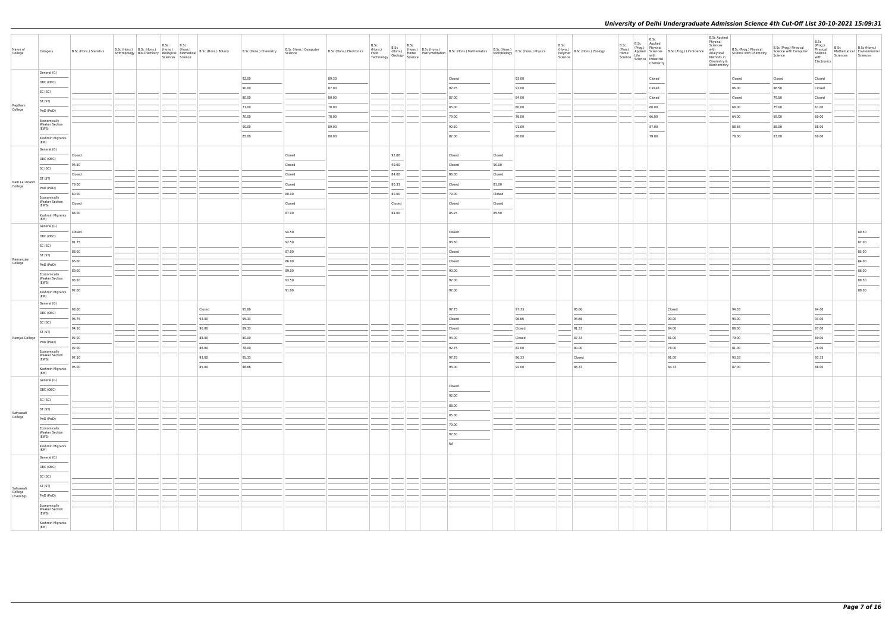| Name of<br>College                | Category                                       | B.Sc (Hons.) Statistics | B.Sc (Hons.) B.Sc (Hons.) (Hons.) (Hons.)<br>Anthropology Bio-Chemistry Biological Biomedical | B.Sc | B.Sc<br>Sciences Science | B.Sc (Hons.) Botany | B.Sc (Hons.) Chemistry | B.Sc (Hons.) Computer<br>Science | B.Sc (Hons.) Electronics (Hons.) | B.Sc<br>B.Sc<br>(Hons.)<br>Food<br>Technology Geology Science | $\begin{array}{ c c c c c } \hline \text{B.Sc} & \text{B.Sc (Hons.)} \hline \end{array}$ | (Hons.) B.Sc (Hons.) B.Sc (Hons.) Mathematics B.Sc (Hons.) B.Sc (Hons.) Physics<br>Home Instrumentation B.Sc (Hons.) Mathematics Microbiology B.Sc (Hons.) Physics                                                                                                                                                                                                                                                                                                                  |        |        | B.Sc<br>Science | (nons.)<br>Polymer   B.Sc (Hons.) Zoology | B.Sc<br>(Pass)<br>Home | B.Sc<br>Science   Lite<br>Science   Industrial<br>Chemistry |        | <b>B.Sc Applied</b><br>Physical<br>Sciences<br>Methods in<br>Chemistry &<br>Biochemistry | with B.Sc (Prog.) Physical<br>Analytical Science with Chemistry | B.Sc (Prog.) Physical<br>Science with Computer<br>Science | B.Sc<br>(Prog.)<br>Physical<br>Science<br>with<br>Electronics | B.Sc<br>Mathematical Environmental<br>Sciences | B.Sc (Hons.)<br>Sciences |
|-----------------------------------|------------------------------------------------|-------------------------|-----------------------------------------------------------------------------------------------|------|--------------------------|---------------------|------------------------|----------------------------------|----------------------------------|---------------------------------------------------------------|------------------------------------------------------------------------------------------|-------------------------------------------------------------------------------------------------------------------------------------------------------------------------------------------------------------------------------------------------------------------------------------------------------------------------------------------------------------------------------------------------------------------------------------------------------------------------------------|--------|--------|-----------------|-------------------------------------------|------------------------|-------------------------------------------------------------|--------|------------------------------------------------------------------------------------------|-----------------------------------------------------------------|-----------------------------------------------------------|---------------------------------------------------------------|------------------------------------------------|--------------------------|
|                                   | General (G)                                    |                         |                                                                                               |      |                          |                     | 92.00                  |                                  | 89.30                            |                                                               |                                                                                          | Closed                                                                                                                                                                                                                                                                                                                                                                                                                                                                              |        | 93.00  |                 |                                           |                        | Closed                                                      |        |                                                                                          | Closed                                                          | Closed                                                    | Closed                                                        |                                                |                          |
|                                   | OBC (OBC)                                      |                         |                                                                                               |      |                          |                     | 90.00                  |                                  | 87.00                            |                                                               |                                                                                          | 92.25                                                                                                                                                                                                                                                                                                                                                                                                                                                                               |        | 91.00  |                 |                                           |                        | Closed                                                      |        |                                                                                          | 86.00                                                           | 86.50                                                     | Closed                                                        |                                                |                          |
|                                   | SC (SC)                                        |                         |                                                                                               |      |                          |                     | 80.00                  |                                  | 80.00                            |                                                               |                                                                                          | 87.00                                                                                                                                                                                                                                                                                                                                                                                                                                                                               |        | 84.00  |                 |                                           |                        | Closed                                                      |        |                                                                                          | Closed                                                          | 79.50                                                     | Closed                                                        |                                                |                          |
| Rajdhani<br>College               | ST (ST)                                        |                         |                                                                                               |      |                          |                     | 71.00                  |                                  | 70.00                            |                                                               |                                                                                          | 85.00                                                                                                                                                                                                                                                                                                                                                                                                                                                                               |        | 80.00  |                 |                                           |                        | 60.00                                                       |        |                                                                                          | 68.00                                                           | 75.00                                                     | 61.00                                                         |                                                |                          |
|                                   | PwD (PwD)                                      |                         |                                                                                               |      |                          |                     | 70.00                  |                                  | 70.00                            |                                                               |                                                                                          | 79.00                                                                                                                                                                                                                                                                                                                                                                                                                                                                               |        | 76.00  |                 |                                           |                        | 66.00                                                       |        |                                                                                          | 64.00                                                           | 69.00                                                     | 60.00                                                         |                                                |                          |
|                                   | Economically<br><b>Weaker Section</b><br>(EWS) |                         |                                                                                               |      |                          |                     | 90.00                  |                                  | 89.00                            |                                                               |                                                                                          | 92.50                                                                                                                                                                                                                                                                                                                                                                                                                                                                               |        | 91.00  |                 |                                           |                        | 87.00                                                       |        |                                                                                          | 88.66                                                           | 88.00                                                     | 88.00                                                         |                                                |                          |
|                                   | Kashmiri Migrants                              |                         |                                                                                               |      |                          |                     | 85.00                  |                                  | 80.00                            |                                                               |                                                                                          | $\sim$<br>82.00                                                                                                                                                                                                                                                                                                                                                                                                                                                                     |        | 80.00  |                 |                                           |                        | <b>Contract Contract</b><br>79.00                           |        |                                                                                          | 78.00                                                           | 83.00                                                     | 60.00                                                         |                                                |                          |
|                                   | (KM)<br>General (G)                            |                         |                                                                                               |      |                          |                     |                        |                                  |                                  |                                                               |                                                                                          |                                                                                                                                                                                                                                                                                                                                                                                                                                                                                     |        |        |                 |                                           |                        |                                                             |        |                                                                                          |                                                                 |                                                           |                                                               |                                                |                          |
|                                   | OBC (OBC)                                      | Closed                  |                                                                                               |      |                          |                     |                        | Closed                           |                                  | 92.00                                                         |                                                                                          | Closed                                                                                                                                                                                                                                                                                                                                                                                                                                                                              | Closed |        |                 |                                           |                        |                                                             |        |                                                                                          |                                                                 |                                                           |                                                               |                                                |                          |
|                                   | SC (SC)                                        | 94.50                   |                                                                                               |      |                          |                     |                        | Closed                           |                                  | 90.00                                                         |                                                                                          | Closed                                                                                                                                                                                                                                                                                                                                                                                                                                                                              | 90.00  |        |                 |                                           |                        |                                                             |        |                                                                                          |                                                                 |                                                           |                                                               |                                                |                          |
|                                   | ST (ST)                                        | Closed                  |                                                                                               |      |                          |                     |                        | Closed                           |                                  | 84.00                                                         |                                                                                          | 86.00                                                                                                                                                                                                                                                                                                                                                                                                                                                                               | Closed |        |                 |                                           |                        |                                                             |        |                                                                                          |                                                                 |                                                           |                                                               |                                                |                          |
| Ram Lal Anand<br>College          | PwD (PwD)                                      | 79.00                   |                                                                                               |      |                          |                     |                        | Closed                           |                                  | 80.33                                                         |                                                                                          | Closed                                                                                                                                                                                                                                                                                                                                                                                                                                                                              | 81.00  |        |                 |                                           |                        |                                                             |        |                                                                                          |                                                                 |                                                           |                                                               |                                                |                          |
|                                   | Economically                                   | 80.00                   |                                                                                               |      |                          |                     |                        | 80.00                            |                                  | 80.00                                                         |                                                                                          | 79.00                                                                                                                                                                                                                                                                                                                                                                                                                                                                               | Closed |        |                 |                                           |                        |                                                             |        |                                                                                          |                                                                 |                                                           |                                                               |                                                |                          |
|                                   | <b>Weaker Section</b><br>(EWS)                 | Closed                  |                                                                                               |      |                          |                     |                        | Closed                           |                                  | Closed                                                        |                                                                                          | Closed                                                                                                                                                                                                                                                                                                                                                                                                                                                                              | Closed |        |                 |                                           |                        |                                                             |        |                                                                                          |                                                                 |                                                           |                                                               |                                                |                          |
|                                   | Kashmiri Migrants<br>(KM)                      | 88.00                   |                                                                                               |      |                          |                     |                        | 87.00                            |                                  | 84.00                                                         |                                                                                          | 85.25                                                                                                                                                                                                                                                                                                                                                                                                                                                                               | 85.50  |        |                 |                                           |                        |                                                             |        |                                                                                          |                                                                 |                                                           |                                                               |                                                |                          |
|                                   | General (G)                                    |                         |                                                                                               |      |                          |                     |                        |                                  |                                  |                                                               |                                                                                          |                                                                                                                                                                                                                                                                                                                                                                                                                                                                                     |        |        |                 |                                           |                        |                                                             |        |                                                                                          |                                                                 |                                                           |                                                               |                                                |                          |
|                                   | OBC (OBC)                                      | Closed                  |                                                                                               |      |                          |                     |                        | 94.50                            |                                  |                                                               |                                                                                          | Closed                                                                                                                                                                                                                                                                                                                                                                                                                                                                              |        |        |                 |                                           |                        |                                                             |        |                                                                                          |                                                                 |                                                           |                                                               |                                                | 89.50                    |
|                                   | SC (SC)                                        | 91.75                   |                                                                                               |      |                          |                     |                        | 92.50                            |                                  |                                                               |                                                                                          | 93.50                                                                                                                                                                                                                                                                                                                                                                                                                                                                               |        |        |                 |                                           |                        |                                                             |        |                                                                                          |                                                                 |                                                           |                                                               |                                                | 87.00                    |
| Ramanujan                         | ST (ST)                                        | 88.00                   |                                                                                               |      |                          |                     |                        | 87.00                            |                                  |                                                               |                                                                                          | Closed                                                                                                                                                                                                                                                                                                                                                                                                                                                                              |        |        |                 |                                           |                        |                                                             |        |                                                                                          |                                                                 |                                                           |                                                               |                                                | 85.00                    |
| College                           | PwD (PwD)                                      | 86.00                   |                                                                                               |      |                          |                     |                        | 86.00<br>89.00                   |                                  |                                                               |                                                                                          | Closed<br>90.00                                                                                                                                                                                                                                                                                                                                                                                                                                                                     |        |        |                 |                                           |                        |                                                             |        |                                                                                          |                                                                 |                                                           |                                                               |                                                | 84.00<br>86.00           |
|                                   | Economically<br><b>Weaker Section</b>          | 89.00<br>93.50          |                                                                                               |      |                          |                     |                        | 93.50                            |                                  |                                                               |                                                                                          | 92.00                                                                                                                                                                                                                                                                                                                                                                                                                                                                               |        |        |                 |                                           |                        |                                                             |        |                                                                                          |                                                                 |                                                           |                                                               |                                                | 88.50                    |
|                                   | (EWS)                                          | 92.00                   |                                                                                               |      |                          |                     |                        | 91.00                            |                                  |                                                               |                                                                                          | $\sim$<br>92.00                                                                                                                                                                                                                                                                                                                                                                                                                                                                     |        |        |                 |                                           |                        |                                                             |        |                                                                                          |                                                                 |                                                           |                                                               |                                                | 88.00                    |
|                                   | Kashmiri Migrants<br>(KM)                      |                         |                                                                                               |      |                          |                     |                        |                                  |                                  |                                                               |                                                                                          |                                                                                                                                                                                                                                                                                                                                                                                                                                                                                     |        |        |                 |                                           |                        |                                                             |        |                                                                                          |                                                                 |                                                           |                                                               |                                                |                          |
|                                   | General (G)                                    | 98.00                   |                                                                                               |      |                          | Closed              | 95.66                  |                                  |                                  |                                                               |                                                                                          | 97.75                                                                                                                                                                                                                                                                                                                                                                                                                                                                               |        | 97.33  |                 | 95.66                                     |                        |                                                             | Closed |                                                                                          | 94.33                                                           |                                                           | 94.00                                                         |                                                |                          |
|                                   | OBC (OBC)                                      | 96.75                   |                                                                                               |      |                          | 93.00               | 95.33                  |                                  |                                  |                                                               |                                                                                          | Closed                                                                                                                                                                                                                                                                                                                                                                                                                                                                              |        | 96.66  |                 | 94.66                                     |                        |                                                             | 90.00  |                                                                                          | 93.00                                                           |                                                           | 93.00                                                         |                                                |                          |
|                                   | SC (SC)                                        | 94.50                   |                                                                                               |      |                          | 90.00               | 89.33                  |                                  |                                  |                                                               |                                                                                          | Closed                                                                                                                                                                                                                                                                                                                                                                                                                                                                              |        | Closed |                 | 91.33                                     |                        |                                                             | 84.00  |                                                                                          | 88.00                                                           |                                                           | 87.00                                                         |                                                |                          |
| Ramjas College                    | ST (ST)                                        | 92.00                   |                                                                                               |      |                          | 88.00               | 80.00                  |                                  |                                  |                                                               |                                                                                          | 94.00                                                                                                                                                                                                                                                                                                                                                                                                                                                                               |        | Closed |                 | 87.33                                     |                        |                                                             | 81.00  |                                                                                          | 79.00                                                           |                                                           | 80.00                                                         |                                                |                          |
|                                   | PwD (PwD)<br>Economically                      | 92.00                   |                                                                                               |      |                          | 86.00               | 78.00                  |                                  |                                  |                                                               |                                                                                          | 92.75                                                                                                                                                                                                                                                                                                                                                                                                                                                                               |        | 82.00  |                 | 80.00                                     |                        |                                                             | 78.00  |                                                                                          | 81.00                                                           |                                                           | 78.00                                                         |                                                |                          |
|                                   | <b>Weaker Section</b><br>(EWS)                 | 97.50                   |                                                                                               |      |                          | 93.00               | 95.33                  |                                  |                                  |                                                               |                                                                                          | 97.25                                                                                                                                                                                                                                                                                                                                                                                                                                                                               |        | 96.33  |                 | Closed                                    |                        |                                                             | 91.00  |                                                                                          | 93.33                                                           |                                                           | 93.33                                                         |                                                |                          |
|                                   | Kashmiri Migrants                              | 95.00                   |                                                                                               |      |                          | 85.00               | 86.66                  |                                  |                                  |                                                               |                                                                                          | $\frac{1}{2} \left( \frac{1}{2} \right) \left( \frac{1}{2} \right) \left( \frac{1}{2} \right) \left( \frac{1}{2} \right) \left( \frac{1}{2} \right) \left( \frac{1}{2} \right) \left( \frac{1}{2} \right) \left( \frac{1}{2} \right) \left( \frac{1}{2} \right) \left( \frac{1}{2} \right) \left( \frac{1}{2} \right) \left( \frac{1}{2} \right) \left( \frac{1}{2} \right) \left( \frac{1}{2} \right) \left( \frac{1}{2} \right) \left( \frac{1}{2} \right) \left( \frac$<br>93.00 |        | 92.00  |                 | 86.33                                     |                        |                                                             | 84.33  |                                                                                          | $\frac{1}{2}$<br>87.00                                          |                                                           | $\sim$<br>88.00                                               |                                                |                          |
|                                   | (KM)<br>General (G)                            |                         |                                                                                               |      |                          |                     |                        |                                  |                                  |                                                               |                                                                                          |                                                                                                                                                                                                                                                                                                                                                                                                                                                                                     |        |        |                 |                                           |                        |                                                             |        |                                                                                          |                                                                 |                                                           |                                                               |                                                |                          |
|                                   | OBC (OBC)                                      |                         |                                                                                               |      |                          |                     |                        |                                  |                                  |                                                               |                                                                                          | Closed                                                                                                                                                                                                                                                                                                                                                                                                                                                                              |        |        |                 |                                           |                        |                                                             |        |                                                                                          |                                                                 |                                                           |                                                               |                                                |                          |
|                                   | SC (SC)                                        |                         |                                                                                               |      |                          |                     |                        |                                  |                                  |                                                               |                                                                                          | 92.00                                                                                                                                                                                                                                                                                                                                                                                                                                                                               |        |        |                 |                                           |                        |                                                             |        |                                                                                          |                                                                 |                                                           |                                                               |                                                |                          |
|                                   | ST (ST)                                        |                         |                                                                                               |      |                          |                     |                        |                                  |                                  |                                                               |                                                                                          | 88.00                                                                                                                                                                                                                                                                                                                                                                                                                                                                               |        |        |                 |                                           |                        |                                                             |        |                                                                                          |                                                                 |                                                           |                                                               |                                                |                          |
| Satyawati<br>College              | PwD (PwD)                                      |                         |                                                                                               |      |                          |                     |                        |                                  |                                  |                                                               |                                                                                          | 85.00                                                                                                                                                                                                                                                                                                                                                                                                                                                                               |        |        |                 |                                           |                        |                                                             |        |                                                                                          |                                                                 |                                                           |                                                               |                                                |                          |
|                                   | Economically<br><b>Weaker Section</b>          |                         |                                                                                               |      |                          |                     |                        |                                  |                                  |                                                               |                                                                                          | 79.00                                                                                                                                                                                                                                                                                                                                                                                                                                                                               |        |        |                 |                                           |                        |                                                             |        |                                                                                          |                                                                 |                                                           |                                                               |                                                |                          |
|                                   | (EWS)                                          |                         |                                                                                               |      |                          |                     |                        |                                  |                                  |                                                               |                                                                                          | 92.50                                                                                                                                                                                                                                                                                                                                                                                                                                                                               |        |        |                 |                                           |                        |                                                             |        |                                                                                          |                                                                 |                                                           |                                                               |                                                |                          |
|                                   | Kashmiri Migrants<br>(KM)                      |                         |                                                                                               |      |                          |                     |                        |                                  |                                  |                                                               |                                                                                          | <b>NA</b>                                                                                                                                                                                                                                                                                                                                                                                                                                                                           |        |        |                 |                                           |                        |                                                             |        |                                                                                          |                                                                 |                                                           |                                                               |                                                |                          |
|                                   | General (G)                                    |                         |                                                                                               |      |                          |                     |                        |                                  |                                  |                                                               |                                                                                          |                                                                                                                                                                                                                                                                                                                                                                                                                                                                                     |        |        |                 |                                           |                        |                                                             |        |                                                                                          |                                                                 |                                                           |                                                               |                                                |                          |
|                                   | OBC (OBC)                                      |                         |                                                                                               |      |                          |                     |                        |                                  |                                  |                                                               |                                                                                          |                                                                                                                                                                                                                                                                                                                                                                                                                                                                                     |        |        |                 |                                           |                        |                                                             |        |                                                                                          |                                                                 |                                                           |                                                               |                                                |                          |
|                                   | SC (SC)                                        |                         |                                                                                               |      |                          |                     |                        |                                  |                                  |                                                               |                                                                                          |                                                                                                                                                                                                                                                                                                                                                                                                                                                                                     |        |        |                 |                                           |                        |                                                             |        |                                                                                          |                                                                 |                                                           |                                                               |                                                |                          |
|                                   | ST (ST)                                        |                         |                                                                                               |      |                          |                     |                        |                                  |                                  |                                                               |                                                                                          |                                                                                                                                                                                                                                                                                                                                                                                                                                                                                     |        |        |                 |                                           |                        |                                                             |        |                                                                                          |                                                                 |                                                           |                                                               |                                                |                          |
| Satyawati<br>College<br>(Evening) | PwD (PwD)                                      |                         |                                                                                               |      |                          |                     |                        |                                  |                                  |                                                               |                                                                                          |                                                                                                                                                                                                                                                                                                                                                                                                                                                                                     |        |        |                 |                                           |                        |                                                             |        |                                                                                          |                                                                 |                                                           |                                                               |                                                |                          |
|                                   | Economically<br><b>Weaker Section</b>          |                         |                                                                                               |      |                          |                     |                        |                                  |                                  |                                                               |                                                                                          |                                                                                                                                                                                                                                                                                                                                                                                                                                                                                     |        |        |                 |                                           |                        |                                                             |        |                                                                                          |                                                                 |                                                           |                                                               |                                                |                          |
|                                   | (EWS)<br><b>STATISTICS</b>                     |                         |                                                                                               |      |                          |                     |                        |                                  |                                  |                                                               |                                                                                          |                                                                                                                                                                                                                                                                                                                                                                                                                                                                                     |        |        |                 |                                           |                        |                                                             |        |                                                                                          |                                                                 |                                                           |                                                               |                                                |                          |
|                                   | Kashmiri Migrants<br>(KM)                      |                         |                                                                                               |      |                          |                     |                        |                                  |                                  |                                                               |                                                                                          |                                                                                                                                                                                                                                                                                                                                                                                                                                                                                     |        |        |                 |                                           |                        |                                                             |        |                                                                                          |                                                                 |                                                           |                                                               |                                                |                          |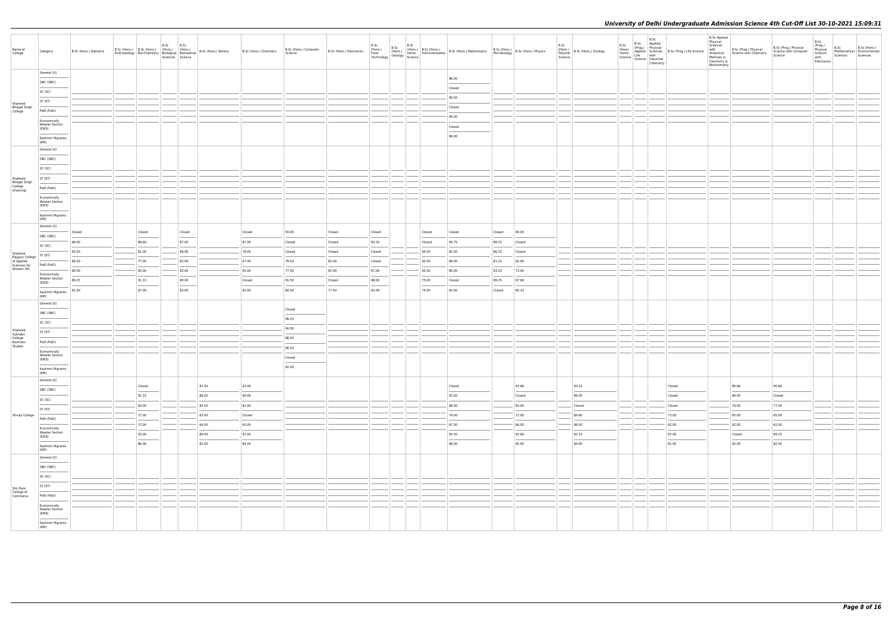| Name of<br>College                              | Category                              | B.Sc (Hons.) Statistics | B.Sc (Hons.) B.Sc (Hons.) (Hons.) (Hons.)<br>Anthropology Bio-Chemistry Biological Biomedical |        | B.Sc | B.Sc<br>Sciences Science | B.Sc (Hons.) Botany | B.Sc (Hons.) Chemistry | B.Sc (Hons.) Computer<br>Science | B.Sc (Hons.) Electronics |        |        |                                                                                                                                                                                                                                                                                                                                                                                                                                                                                     |        |        | B.Sc | (Hons.)<br>Polymer B.Sc (Hons.) Zoology<br>Science | B.Sc<br>(Pass)<br>Home<br>Science   Science   Industrial | B.Sc<br>Chemistry | B.Sc Applied<br>(Prog.) Physical<br>Applied Sciences<br>Life with the line and the Science<br>Life with the line and the line of the line of the line of the line of the line of the Science<br>Life with the line of the line of the li | <b>B.Sc Applied</b><br>Physical<br>Sciences<br>with<br>Methods in<br>Chemistry &<br>Biochemistry | B.Sc (Prog.) Physical<br>Analytical Science with Chemistry | B.Sc (Prog.) Physical<br>Science with Computer<br>Science | B.Sc<br>(Prog.)<br>Physical<br>Science<br>with<br>Electronics | B.Sc<br>Sciences | B.Sc (Hons.)<br>Mathematical Environmental<br>Sciences |
|-------------------------------------------------|---------------------------------------|-------------------------|-----------------------------------------------------------------------------------------------|--------|------|--------------------------|---------------------|------------------------|----------------------------------|--------------------------|--------|--------|-------------------------------------------------------------------------------------------------------------------------------------------------------------------------------------------------------------------------------------------------------------------------------------------------------------------------------------------------------------------------------------------------------------------------------------------------------------------------------------|--------|--------|------|----------------------------------------------------|----------------------------------------------------------|-------------------|------------------------------------------------------------------------------------------------------------------------------------------------------------------------------------------------------------------------------------------|--------------------------------------------------------------------------------------------------|------------------------------------------------------------|-----------------------------------------------------------|---------------------------------------------------------------|------------------|--------------------------------------------------------|
|                                                 | General (G)                           |                         |                                                                                               |        |      |                          |                     |                        |                                  |                          |        |        | 96.00                                                                                                                                                                                                                                                                                                                                                                                                                                                                               |        |        |      |                                                    |                                                          |                   |                                                                                                                                                                                                                                          |                                                                                                  |                                                            |                                                           |                                                               |                  |                                                        |
|                                                 | OBC (OBC)                             |                         |                                                                                               |        |      |                          |                     |                        |                                  |                          |        |        | Closed                                                                                                                                                                                                                                                                                                                                                                                                                                                                              |        |        |      |                                                    |                                                          |                   |                                                                                                                                                                                                                                          |                                                                                                  |                                                            |                                                           |                                                               |                  |                                                        |
|                                                 | SC (SC)                               |                         |                                                                                               |        |      |                          |                     |                        |                                  |                          |        |        | 90.50                                                                                                                                                                                                                                                                                                                                                                                                                                                                               |        |        |      |                                                    |                                                          |                   |                                                                                                                                                                                                                                          |                                                                                                  |                                                            |                                                           |                                                               |                  |                                                        |
| Shaheed                                         | ST (ST)                               |                         |                                                                                               |        |      |                          |                     |                        |                                  |                          |        |        | Closed                                                                                                                                                                                                                                                                                                                                                                                                                                                                              |        |        |      |                                                    |                                                          |                   |                                                                                                                                                                                                                                          |                                                                                                  |                                                            |                                                           |                                                               |                  |                                                        |
| Bhagat Singh<br>College                         | PwD (PwD)                             |                         |                                                                                               |        |      |                          |                     |                        |                                  |                          |        |        | 80.00                                                                                                                                                                                                                                                                                                                                                                                                                                                                               |        |        |      |                                                    |                                                          |                   |                                                                                                                                                                                                                                          |                                                                                                  |                                                            |                                                           |                                                               |                  |                                                        |
|                                                 | Economically<br><b>Weaker Section</b> |                         |                                                                                               |        |      |                          |                     |                        |                                  |                          |        |        | Closed                                                                                                                                                                                                                                                                                                                                                                                                                                                                              |        |        |      |                                                    |                                                          |                   |                                                                                                                                                                                                                                          |                                                                                                  |                                                            |                                                           |                                                               |                  |                                                        |
|                                                 | (EWS)<br>Kashmiri Migrants            |                         |                                                                                               |        |      |                          |                     |                        |                                  |                          |        |        | $\frac{1}{2} \left( \frac{1}{2} \right) \left( \frac{1}{2} \right) \left( \frac{1}{2} \right) \left( \frac{1}{2} \right) \left( \frac{1}{2} \right) \left( \frac{1}{2} \right) \left( \frac{1}{2} \right) \left( \frac{1}{2} \right) \left( \frac{1}{2} \right) \left( \frac{1}{2} \right) \left( \frac{1}{2} \right) \left( \frac{1}{2} \right) \left( \frac{1}{2} \right) \left( \frac{1}{2} \right) \left( \frac{1}{2} \right) \left( \frac{1}{2} \right) \left( \frac$<br>86.00 |        |        |      |                                                    |                                                          |                   |                                                                                                                                                                                                                                          |                                                                                                  |                                                            |                                                           |                                                               |                  |                                                        |
|                                                 | (KM)                                  |                         |                                                                                               |        |      |                          |                     |                        |                                  |                          |        |        |                                                                                                                                                                                                                                                                                                                                                                                                                                                                                     |        |        |      |                                                    |                                                          |                   |                                                                                                                                                                                                                                          |                                                                                                  |                                                            |                                                           |                                                               |                  |                                                        |
|                                                 | General (G)<br>OBC (OBC)              |                         |                                                                                               |        |      |                          |                     |                        |                                  |                          |        |        |                                                                                                                                                                                                                                                                                                                                                                                                                                                                                     |        |        |      |                                                    |                                                          |                   |                                                                                                                                                                                                                                          |                                                                                                  |                                                            |                                                           |                                                               |                  |                                                        |
|                                                 | SC (SC)                               |                         |                                                                                               |        |      |                          |                     |                        |                                  |                          |        |        |                                                                                                                                                                                                                                                                                                                                                                                                                                                                                     |        |        |      |                                                    |                                                          |                   |                                                                                                                                                                                                                                          |                                                                                                  |                                                            |                                                           |                                                               |                  |                                                        |
|                                                 | ST (ST)                               |                         |                                                                                               |        |      |                          |                     |                        |                                  |                          |        |        |                                                                                                                                                                                                                                                                                                                                                                                                                                                                                     |        |        |      |                                                    |                                                          |                   |                                                                                                                                                                                                                                          |                                                                                                  |                                                            |                                                           |                                                               |                  |                                                        |
| Shaheed<br>Bhagat Singh<br>College<br>(Evening) | PwD (PwD)                             |                         |                                                                                               |        |      |                          |                     |                        |                                  |                          |        |        |                                                                                                                                                                                                                                                                                                                                                                                                                                                                                     |        |        |      |                                                    |                                                          |                   |                                                                                                                                                                                                                                          |                                                                                                  |                                                            |                                                           |                                                               |                  |                                                        |
|                                                 | Economically                          |                         |                                                                                               |        |      |                          |                     |                        |                                  |                          |        |        |                                                                                                                                                                                                                                                                                                                                                                                                                                                                                     |        |        |      |                                                    |                                                          |                   |                                                                                                                                                                                                                                          |                                                                                                  |                                                            |                                                           |                                                               |                  |                                                        |
|                                                 | <b>Weaker Section</b><br>(EWS)        |                         |                                                                                               |        |      |                          |                     |                        |                                  |                          |        |        |                                                                                                                                                                                                                                                                                                                                                                                                                                                                                     |        |        |      |                                                    |                                                          |                   |                                                                                                                                                                                                                                          |                                                                                                  |                                                            |                                                           |                                                               |                  |                                                        |
|                                                 | Kashmiri Migrants                     |                         |                                                                                               |        |      |                          |                     |                        |                                  |                          |        |        |                                                                                                                                                                                                                                                                                                                                                                                                                                                                                     |        |        |      |                                                    |                                                          |                   |                                                                                                                                                                                                                                          |                                                                                                  |                                                            |                                                           |                                                               |                  |                                                        |
|                                                 | (KM)<br>General (G)                   |                         |                                                                                               |        |      |                          |                     |                        |                                  |                          |        |        |                                                                                                                                                                                                                                                                                                                                                                                                                                                                                     |        |        |      |                                                    |                                                          |                   |                                                                                                                                                                                                                                          |                                                                                                  |                                                            |                                                           |                                                               |                  |                                                        |
|                                                 | OBC (OBC)                             | Closed                  |                                                                                               | Closed |      | Closed                   |                     | Closed                 | 93.00                            | Closed                   | Closed | Closed | Closed                                                                                                                                                                                                                                                                                                                                                                                                                                                                              | Closed | 90.00  |      |                                                    |                                                          |                   |                                                                                                                                                                                                                                          |                                                                                                  |                                                            |                                                           |                                                               |                  |                                                        |
|                                                 | SC (SC)                               | 89.00                   |                                                                                               | 88.60  |      | 87.00                    |                     | 87.00                  | Closed                           | Closed                   | 83.33  | Closed | 90.75                                                                                                                                                                                                                                                                                                                                                                                                                                                                               | 89.25  | Closed |      |                                                    |                                                          |                   |                                                                                                                                                                                                                                          |                                                                                                  |                                                            |                                                           |                                                               |                  |                                                        |
| Shaheed<br>Rajguru College<br>of Applied        | ST (ST)                               | 83.50                   |                                                                                               | 81.00  |      | 86.00                    |                     | 78.00                  | Closed                           | Closed                   | Closed | 64.00  | 82.00                                                                                                                                                                                                                                                                                                                                                                                                                                                                               | 86.25  | Closed |      |                                                    |                                                          |                   |                                                                                                                                                                                                                                          |                                                                                                  |                                                            |                                                           |                                                               |                  |                                                        |
| Sciences for                                    | PwD (PwD)                             | 80.50                   |                                                                                               | 77.00  |      | 83.00                    |                     | 67.00                  | 79.50                            | 65.00                    | Closed | 62.00  | 80.00                                                                                                                                                                                                                                                                                                                                                                                                                                                                               | 81.25  | 65.00  |      |                                                    |                                                          |                   |                                                                                                                                                                                                                                          |                                                                                                  |                                                            |                                                           |                                                               |                  |                                                        |
| Women (W)                                       | Economically<br><b>Weaker Section</b> | 80.00                   |                                                                                               | 83.00  |      | 83.00                    |                     | 65.00                  | 77.00                            | 65.00                    | 67.00  | 62.00  | 80.00                                                                                                                                                                                                                                                                                                                                                                                                                                                                               | 83.25  | 73.00  |      |                                                    |                                                          |                   |                                                                                                                                                                                                                                          |                                                                                                  |                                                            |                                                           |                                                               |                  |                                                        |
|                                                 | (EWS)                                 | 89.25                   |                                                                                               | 91.33  |      | 89.00                    |                     | Closed                 | 91.50                            | Closed                   | 88.00  | 75.00  | Closed                                                                                                                                                                                                                                                                                                                                                                                                                                                                              | 89.25  | 87.66  |      |                                                    |                                                          |                   |                                                                                                                                                                                                                                          |                                                                                                  |                                                            |                                                           |                                                               |                  |                                                        |
|                                                 | Kashmiri Migrants<br>(KM)             | 81.00                   |                                                                                               | 87.00  |      | 83.00                    |                     | 82.00                  | 84.00                            | 77.00                    | 83.00  | 74.00  | 82.00                                                                                                                                                                                                                                                                                                                                                                                                                                                                               | Closed | 80.33  |      |                                                    |                                                          |                   |                                                                                                                                                                                                                                          |                                                                                                  |                                                            |                                                           |                                                               |                  |                                                        |
|                                                 | General (G)                           |                         |                                                                                               |        |      |                          |                     |                        |                                  |                          |        |        |                                                                                                                                                                                                                                                                                                                                                                                                                                                                                     |        |        |      |                                                    |                                                          |                   |                                                                                                                                                                                                                                          |                                                                                                  |                                                            |                                                           |                                                               |                  |                                                        |
|                                                 | OBC (OBC)                             |                         |                                                                                               |        |      |                          |                     |                        | Closed                           |                          |        |        |                                                                                                                                                                                                                                                                                                                                                                                                                                                                                     |        |        |      |                                                    |                                                          |                   |                                                                                                                                                                                                                                          |                                                                                                  |                                                            |                                                           |                                                               |                  |                                                        |
|                                                 | SC (SC)                               |                         |                                                                                               |        |      |                          |                     |                        | 96.25                            |                          |        |        |                                                                                                                                                                                                                                                                                                                                                                                                                                                                                     |        |        |      |                                                    |                                                          |                   |                                                                                                                                                                                                                                          |                                                                                                  |                                                            |                                                           |                                                               |                  |                                                        |
| Shaheed<br>Sukhdev<br>College                   | ST (ST)                               |                         |                                                                                               |        |      |                          |                     |                        | 94.00<br>88.50                   |                          |        |        |                                                                                                                                                                                                                                                                                                                                                                                                                                                                                     |        |        |      |                                                    |                                                          |                   |                                                                                                                                                                                                                                          |                                                                                                  |                                                            |                                                           |                                                               |                  |                                                        |
| <b>Business</b><br>Studies                      | PwD (PwD)                             |                         |                                                                                               |        |      |                          |                     |                        | 90.50                            |                          |        |        |                                                                                                                                                                                                                                                                                                                                                                                                                                                                                     |        |        |      |                                                    |                                                          |                   |                                                                                                                                                                                                                                          |                                                                                                  |                                                            |                                                           |                                                               |                  |                                                        |
|                                                 | Economically<br><b>Weaker Section</b> |                         |                                                                                               |        |      |                          |                     |                        | Closed                           |                          |        |        |                                                                                                                                                                                                                                                                                                                                                                                                                                                                                     |        |        |      |                                                    |                                                          |                   |                                                                                                                                                                                                                                          |                                                                                                  |                                                            |                                                           |                                                               |                  |                                                        |
|                                                 | (EWS)<br>$\sim$                       |                         |                                                                                               |        |      |                          |                     |                        | 92.00                            |                          |        |        |                                                                                                                                                                                                                                                                                                                                                                                                                                                                                     |        |        |      |                                                    |                                                          |                   |                                                                                                                                                                                                                                          |                                                                                                  |                                                            |                                                           |                                                               |                  |                                                        |
|                                                 | Kashmiri Migrants<br>(KM)             |                         |                                                                                               |        |      |                          |                     |                        |                                  |                          |        |        |                                                                                                                                                                                                                                                                                                                                                                                                                                                                                     |        |        |      |                                                    |                                                          |                   |                                                                                                                                                                                                                                          |                                                                                                  |                                                            |                                                           |                                                               |                  |                                                        |
|                                                 | General (G)                           |                         |                                                                                               | Closed |      |                          | 91.00               | 93.00                  |                                  |                          |        |        | Closed                                                                                                                                                                                                                                                                                                                                                                                                                                                                              |        | 93.66  |      | 93.33                                              |                                                          |                   | Closed                                                                                                                                                                                                                                   |                                                                                                  | 90.66                                                      | 90.66                                                     |                                                               |                  |                                                        |
|                                                 | OBC (OBC)                             |                         |                                                                                               | 91.33  |      |                          | 88.00               | 90.00                  |                                  |                          |        |        | 92.00                                                                                                                                                                                                                                                                                                                                                                                                                                                                               |        | Closed |      | 89.00                                              |                                                          |                   | Closed                                                                                                                                                                                                                                   |                                                                                                  | 86.00                                                      | Closed                                                    |                                                               |                  |                                                        |
|                                                 | SC (SC)<br>ST (ST)                    |                         |                                                                                               | 84.00  |      |                          | 84.00               | 81.00                  |                                  |                          |        |        | 88.00                                                                                                                                                                                                                                                                                                                                                                                                                                                                               |        | 83.00  |      | Closed                                             |                                                          |                   | Closed                                                                                                                                                                                                                                   |                                                                                                  | 78.00                                                      | 77.00                                                     |                                                               |                  |                                                        |
| Shivaji College                                 | PwD (PwD)                             |                         |                                                                                               | 77.00  |      |                          | 83.00               | Closed                 |                                  |                          |        |        | 79.00                                                                                                                                                                                                                                                                                                                                                                                                                                                                               |        | 72.00  |      | 84.66                                              |                                                          |                   | 73.00                                                                                                                                                                                                                                    |                                                                                                  | 65.00                                                      | 65.00                                                     |                                                               |                  |                                                        |
|                                                 | Economically                          |                         |                                                                                               | 72.00  |      |                          | 64.00               | 65.00                  |                                  |                          |        |        | 67.00                                                                                                                                                                                                                                                                                                                                                                                                                                                                               |        | 66.00  |      | 68.00                                              |                                                          |                   | 62.00                                                                                                                                                                                                                                    |                                                                                                  | 62.00                                                      | 62.00                                                     |                                                               |                  |                                                        |
|                                                 | Weaker Section<br>(EWS)               |                         |                                                                                               | 93.00  |      |                          | 89.00               | 91.00                  |                                  |                          |        |        | 92.50                                                                                                                                                                                                                                                                                                                                                                                                                                                                               |        | 92.66  |      | 92.33                                              |                                                          |                   | 87.00                                                                                                                                                                                                                                    |                                                                                                  | Closed                                                     | 89.33                                                     |                                                               |                  |                                                        |
|                                                 | Kashmiri Migrants                     |                         |                                                                                               | 86.00  |      |                          | 82.00               | 84.00                  |                                  |                          |        |        | 86.00                                                                                                                                                                                                                                                                                                                                                                                                                                                                               |        | 85.00  |      | 84.00                                              |                                                          |                   | 81.00                                                                                                                                                                                                                                    |                                                                                                  | 82.00                                                      | 82.00                                                     |                                                               |                  |                                                        |
|                                                 | (KM)<br>General (G)                   |                         |                                                                                               |        |      |                          |                     |                        |                                  |                          |        |        |                                                                                                                                                                                                                                                                                                                                                                                                                                                                                     |        |        |      |                                                    |                                                          |                   |                                                                                                                                                                                                                                          |                                                                                                  |                                                            |                                                           |                                                               |                  |                                                        |
|                                                 | OBC (OBC)                             |                         |                                                                                               |        |      |                          |                     |                        |                                  |                          |        |        |                                                                                                                                                                                                                                                                                                                                                                                                                                                                                     |        |        |      |                                                    |                                                          |                   |                                                                                                                                                                                                                                          |                                                                                                  |                                                            |                                                           |                                                               |                  |                                                        |
|                                                 | SC (SC)                               |                         |                                                                                               |        |      |                          |                     |                        |                                  |                          |        |        |                                                                                                                                                                                                                                                                                                                                                                                                                                                                                     |        |        |      |                                                    |                                                          |                   |                                                                                                                                                                                                                                          |                                                                                                  |                                                            |                                                           |                                                               |                  |                                                        |
| Shri Ram                                        | ST (ST)                               |                         |                                                                                               |        |      |                          |                     |                        |                                  |                          |        |        |                                                                                                                                                                                                                                                                                                                                                                                                                                                                                     |        |        |      |                                                    |                                                          |                   |                                                                                                                                                                                                                                          |                                                                                                  |                                                            |                                                           |                                                               |                  |                                                        |
| College of<br>Commerce                          | PwD (PwD)                             |                         |                                                                                               |        |      |                          |                     |                        |                                  |                          |        |        |                                                                                                                                                                                                                                                                                                                                                                                                                                                                                     |        |        |      |                                                    |                                                          |                   |                                                                                                                                                                                                                                          |                                                                                                  |                                                            |                                                           |                                                               |                  |                                                        |
|                                                 | Economically                          |                         |                                                                                               |        |      |                          |                     |                        |                                  |                          |        |        |                                                                                                                                                                                                                                                                                                                                                                                                                                                                                     |        |        |      |                                                    |                                                          |                   |                                                                                                                                                                                                                                          |                                                                                                  |                                                            |                                                           |                                                               |                  |                                                        |
|                                                 | <b>Weaker Section</b><br>(EWS)        |                         |                                                                                               |        |      |                          |                     |                        |                                  |                          |        |        |                                                                                                                                                                                                                                                                                                                                                                                                                                                                                     |        |        |      |                                                    |                                                          |                   |                                                                                                                                                                                                                                          |                                                                                                  |                                                            |                                                           |                                                               |                  |                                                        |
|                                                 | Kashmiri Migrants<br>(KM)             |                         |                                                                                               |        |      |                          |                     |                        |                                  |                          |        |        |                                                                                                                                                                                                                                                                                                                                                                                                                                                                                     |        |        |      |                                                    |                                                          |                   |                                                                                                                                                                                                                                          |                                                                                                  |                                                            |                                                           |                                                               |                  |                                                        |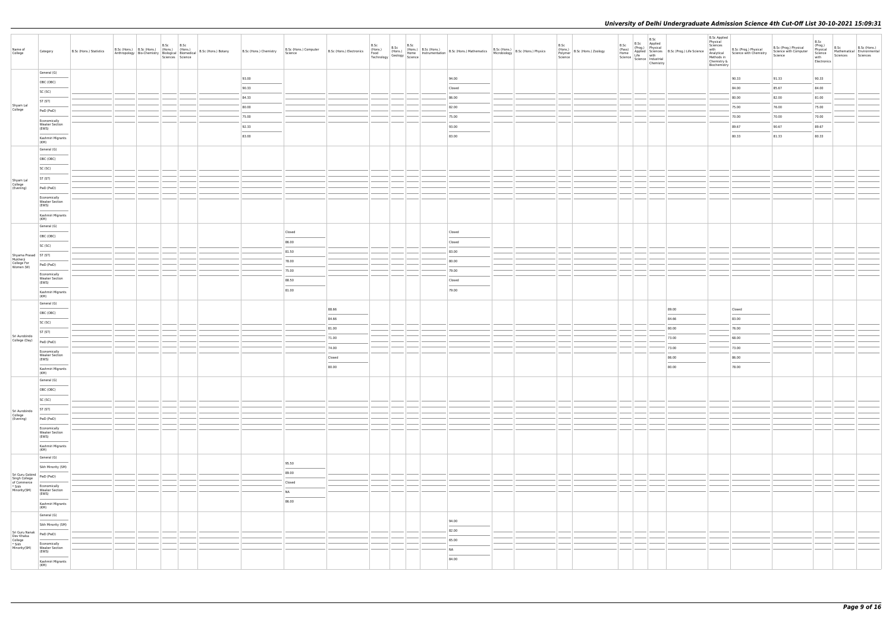| Name of<br>College                                                | Category                                       | B.Sc (Hons.) Statistics | B.Sc B.Sc<br>B.Sc (Hons.) B.Sc (Hons.) (Hons.) (Hons.) | Sciences Science | B.Sc (Hons.) Chemistry | B.Sc (Hons.) Computer<br>Science | B.Sc (Hons.) B.Sc (Hons.) B.Sc (Hons.) B.Sc (Hons.) B.Sc (Hons.) B.Sc (Hons.) B.Sc (Hons.) B.Sc (Hons.) B.Sc (Hons.) B.Sc (Hons.) B.Sc (Hons.) B.Sc (Hons.) Physics Technology Geology Science Microbiology B.Sc (Hons.) Physi |  |  |                |  | B.Sc | (Hons.)<br>Polymer B.Sc (Hons.) Zoology<br>Science | B.Sc   | Chemistry | B.Sc B.Sc Applied<br>(Prog.) Physical<br>(Prog.) Physical<br>Home Applied<br>Science Life with<br>Science Life Muth<br>Science Industrial | <b>B.Sc Applied</b><br>Physical<br>Sciences<br>with<br>Chemistry &<br>Biochemistry |                                   | B.Sc (Prog.) Physical<br>Analytical Science with Chemistry Science with Computer<br>Methods in | B.Sc<br>(Prog.)<br>Physical<br>Science<br>with<br>Electronics | B.Sc<br>Mathematical Environmental<br>Sciences | B.Sc (Hons.)<br>Sciences |
|-------------------------------------------------------------------|------------------------------------------------|-------------------------|--------------------------------------------------------|------------------|------------------------|----------------------------------|--------------------------------------------------------------------------------------------------------------------------------------------------------------------------------------------------------------------------------|--|--|----------------|--|------|----------------------------------------------------|--------|-----------|-------------------------------------------------------------------------------------------------------------------------------------------|------------------------------------------------------------------------------------|-----------------------------------|------------------------------------------------------------------------------------------------|---------------------------------------------------------------|------------------------------------------------|--------------------------|
|                                                                   | General (G)                                    |                         |                                                        |                  | 93.00                  |                                  |                                                                                                                                                                                                                                |  |  | 94.00          |  |      |                                                    |        |           |                                                                                                                                           |                                                                                    | 90.33                             | 91.33                                                                                          | 90.33                                                         |                                                |                          |
|                                                                   | OBC (OBC)                                      |                         |                                                        |                  | 90.33                  |                                  |                                                                                                                                                                                                                                |  |  | Closed         |  |      |                                                    |        |           |                                                                                                                                           |                                                                                    | 84.00                             | 85.67                                                                                          | 84.00                                                         |                                                |                          |
|                                                                   | SC (SC)                                        |                         |                                                        |                  | 84.33                  |                                  |                                                                                                                                                                                                                                |  |  | 86.00          |  |      |                                                    |        |           |                                                                                                                                           |                                                                                    | 80.00                             | 82.00                                                                                          | 81.00                                                         |                                                |                          |
| Shyam Lal<br>College                                              | ST (ST)                                        |                         |                                                        |                  | 80.00                  |                                  |                                                                                                                                                                                                                                |  |  | 82.00          |  |      |                                                    |        |           |                                                                                                                                           |                                                                                    | 75.00                             | 76.00                                                                                          | 75.00                                                         |                                                |                          |
|                                                                   | PwD (PwD)                                      |                         |                                                        |                  | 75.00                  |                                  |                                                                                                                                                                                                                                |  |  | 75.00          |  |      |                                                    |        |           |                                                                                                                                           |                                                                                    | 70.00                             | 70.00                                                                                          | 70.00                                                         |                                                |                          |
|                                                                   | Economically<br><b>Weaker Section</b>          |                         |                                                        |                  | 92.33                  |                                  |                                                                                                                                                                                                                                |  |  | 93.00          |  |      |                                                    |        |           |                                                                                                                                           |                                                                                    | 89.67                             | 90.67                                                                                          | 89.67                                                         |                                                |                          |
|                                                                   | (EWS)                                          |                         |                                                        |                  | 83.00                  |                                  |                                                                                                                                                                                                                                |  |  | 83.00          |  |      |                                                    |        |           |                                                                                                                                           |                                                                                    | 80.33                             | 81.33                                                                                          | 80.33                                                         |                                                |                          |
|                                                                   | Kashmiri Migrants<br>(KM)                      |                         |                                                        |                  |                        |                                  |                                                                                                                                                                                                                                |  |  |                |  |      |                                                    |        |           |                                                                                                                                           |                                                                                    |                                   |                                                                                                |                                                               |                                                |                          |
|                                                                   | General (G)                                    |                         |                                                        |                  |                        |                                  |                                                                                                                                                                                                                                |  |  |                |  |      |                                                    |        |           |                                                                                                                                           |                                                                                    |                                   |                                                                                                |                                                               |                                                |                          |
|                                                                   | OBC (OBC)                                      |                         |                                                        |                  |                        |                                  |                                                                                                                                                                                                                                |  |  |                |  |      |                                                    |        |           |                                                                                                                                           |                                                                                    |                                   |                                                                                                |                                                               |                                                |                          |
|                                                                   | SC (SC)                                        |                         |                                                        |                  |                        |                                  |                                                                                                                                                                                                                                |  |  |                |  |      |                                                    |        |           |                                                                                                                                           |                                                                                    |                                   |                                                                                                |                                                               |                                                |                          |
| Shyam Lal<br>College<br>(Evening)                                 | ST (ST)                                        |                         |                                                        |                  |                        |                                  |                                                                                                                                                                                                                                |  |  |                |  |      |                                                    |        |           |                                                                                                                                           |                                                                                    |                                   |                                                                                                |                                                               |                                                |                          |
|                                                                   | PwD (PwD)                                      |                         |                                                        |                  |                        |                                  |                                                                                                                                                                                                                                |  |  |                |  |      |                                                    |        |           |                                                                                                                                           |                                                                                    |                                   |                                                                                                |                                                               |                                                |                          |
|                                                                   | Economically<br><b>Weaker Section</b><br>(EWS) |                         |                                                        |                  |                        |                                  |                                                                                                                                                                                                                                |  |  |                |  |      |                                                    |        |           |                                                                                                                                           |                                                                                    |                                   |                                                                                                |                                                               |                                                |                          |
|                                                                   | Kashmiri Migrants<br>(KM)                      |                         |                                                        |                  |                        |                                  |                                                                                                                                                                                                                                |  |  |                |  |      |                                                    |        |           |                                                                                                                                           |                                                                                    |                                   |                                                                                                |                                                               |                                                |                          |
|                                                                   | General (G)                                    |                         |                                                        |                  |                        |                                  |                                                                                                                                                                                                                                |  |  |                |  |      |                                                    |        |           |                                                                                                                                           |                                                                                    |                                   |                                                                                                |                                                               |                                                |                          |
|                                                                   | OBC (OBC)                                      |                         |                                                        |                  |                        | Closed<br>86.00                  |                                                                                                                                                                                                                                |  |  | Closed         |  |      |                                                    |        |           |                                                                                                                                           |                                                                                    |                                   |                                                                                                |                                                               |                                                |                          |
|                                                                   | SC (SC)                                        |                         |                                                        |                  |                        |                                  |                                                                                                                                                                                                                                |  |  | Closed         |  |      |                                                    |        |           |                                                                                                                                           |                                                                                    |                                   |                                                                                                |                                                               |                                                |                          |
|                                                                   |                                                |                         |                                                        |                  |                        | 81.50<br>78.00                   |                                                                                                                                                                                                                                |  |  | 83.00<br>80.00 |  |      |                                                    |        |           |                                                                                                                                           |                                                                                    |                                   |                                                                                                |                                                               |                                                |                          |
| Shyama Prasad<br>Mukherji<br>College For<br>Women (W)             | PwD (PwD)                                      |                         |                                                        |                  |                        | 75.00                            |                                                                                                                                                                                                                                |  |  | 79.00          |  |      |                                                    |        |           |                                                                                                                                           |                                                                                    |                                   |                                                                                                |                                                               |                                                |                          |
|                                                                   | Economically<br><b>Weaker Section</b>          |                         |                                                        |                  |                        | 88.50                            |                                                                                                                                                                                                                                |  |  | Closed         |  |      |                                                    |        |           |                                                                                                                                           |                                                                                    |                                   |                                                                                                |                                                               |                                                |                          |
|                                                                   | (EWS)<br>Kashmiri Migrants<br>(KM)             |                         |                                                        |                  |                        | $\sim$<br>81.00                  |                                                                                                                                                                                                                                |  |  | 79.00          |  |      |                                                    |        |           |                                                                                                                                           |                                                                                    |                                   |                                                                                                |                                                               |                                                |                          |
|                                                                   | General (G)                                    |                         |                                                        |                  |                        |                                  |                                                                                                                                                                                                                                |  |  |                |  |      |                                                    |        |           |                                                                                                                                           |                                                                                    |                                   |                                                                                                |                                                               |                                                |                          |
|                                                                   | OBC (OBC)                                      |                         |                                                        |                  |                        |                                  | 88.66                                                                                                                                                                                                                          |  |  |                |  |      |                                                    |        |           | 89.00                                                                                                                                     |                                                                                    | Closed                            |                                                                                                |                                                               |                                                |                          |
|                                                                   | SC (SC)                                        |                         |                                                        |                  |                        |                                  | 84.66                                                                                                                                                                                                                          |  |  |                |  |      |                                                    |        |           | 84.66                                                                                                                                     |                                                                                    | 83.00                             |                                                                                                |                                                               |                                                |                          |
|                                                                   | ST (ST)                                        |                         |                                                        |                  |                        |                                  | 81.00                                                                                                                                                                                                                          |  |  |                |  |      |                                                    |        |           | 80.00                                                                                                                                     |                                                                                    | 76.00                             |                                                                                                |                                                               |                                                |                          |
| Sri Aurobindo<br>College (Day)                                    | PwD (PwD)                                      |                         |                                                        |                  |                        |                                  | 71.00                                                                                                                                                                                                                          |  |  |                |  |      |                                                    |        |           | 73.00                                                                                                                                     |                                                                                    | 68.00                             |                                                                                                |                                                               |                                                |                          |
|                                                                   | Economically<br><b>Weaker Section</b>          |                         |                                                        |                  |                        |                                  | 74.00                                                                                                                                                                                                                          |  |  |                |  |      |                                                    |        |           | 73.00                                                                                                                                     |                                                                                    | 73.00                             |                                                                                                |                                                               |                                                |                          |
|                                                                   | (EWS)                                          |                         |                                                        |                  |                        |                                  | Closed                                                                                                                                                                                                                         |  |  |                |  |      |                                                    |        |           | 86.00                                                                                                                                     |                                                                                    | 86.00<br>$\overline{\phantom{a}}$ |                                                                                                |                                                               |                                                |                          |
|                                                                   | Kashmiri Migrants<br>(KM)                      |                         |                                                        |                  |                        |                                  | 80.00                                                                                                                                                                                                                          |  |  |                |  |      |                                                    |        |           | 80.00                                                                                                                                     |                                                                                    | 78.00                             |                                                                                                |                                                               |                                                |                          |
|                                                                   | General (G)                                    |                         |                                                        |                  |                        |                                  |                                                                                                                                                                                                                                |  |  |                |  |      |                                                    |        |           |                                                                                                                                           |                                                                                    |                                   |                                                                                                |                                                               |                                                |                          |
|                                                                   | OBC (OBC)                                      |                         |                                                        |                  |                        |                                  |                                                                                                                                                                                                                                |  |  |                |  |      |                                                    |        |           |                                                                                                                                           |                                                                                    |                                   |                                                                                                |                                                               |                                                |                          |
|                                                                   | SC (SC)                                        |                         |                                                        |                  |                        |                                  |                                                                                                                                                                                                                                |  |  |                |  |      |                                                    |        |           |                                                                                                                                           |                                                                                    |                                   |                                                                                                |                                                               |                                                |                          |
|                                                                   | ST (ST)                                        |                         |                                                        |                  |                        |                                  |                                                                                                                                                                                                                                |  |  |                |  |      |                                                    | $\sim$ |           |                                                                                                                                           |                                                                                    |                                   |                                                                                                |                                                               |                                                |                          |
| Sri Aurobindo<br>College<br>(Evening)                             | PwD (PwD)                                      |                         |                                                        |                  |                        |                                  |                                                                                                                                                                                                                                |  |  |                |  |      |                                                    |        |           |                                                                                                                                           |                                                                                    |                                   |                                                                                                |                                                               |                                                |                          |
|                                                                   | Economically<br><b>Weaker Section</b><br>(EWS) |                         |                                                        |                  |                        |                                  |                                                                                                                                                                                                                                |  |  |                |  |      |                                                    |        |           |                                                                                                                                           |                                                                                    |                                   |                                                                                                |                                                               |                                                |                          |
|                                                                   | Kashmiri Migrants<br>(KM)                      |                         |                                                        |                  |                        |                                  |                                                                                                                                                                                                                                |  |  |                |  |      |                                                    |        |           |                                                                                                                                           |                                                                                    |                                   |                                                                                                |                                                               |                                                |                          |
|                                                                   | General (G)                                    |                         |                                                        |                  |                        | 95.50                            |                                                                                                                                                                                                                                |  |  |                |  |      |                                                    |        |           |                                                                                                                                           |                                                                                    |                                   |                                                                                                |                                                               |                                                |                          |
|                                                                   | Sikh Minority (SM)                             |                         |                                                        |                  |                        | 89.00                            |                                                                                                                                                                                                                                |  |  |                |  |      |                                                    |        |           |                                                                                                                                           |                                                                                    |                                   |                                                                                                |                                                               |                                                |                          |
| Sri Guru Gobind<br>Singh College<br>of Commerce                   | PwD (PwD)                                      |                         |                                                        |                  |                        | Closed                           |                                                                                                                                                                                                                                |  |  |                |  |      |                                                    |        |           |                                                                                                                                           |                                                                                    |                                   |                                                                                                |                                                               |                                                |                          |
| * Sikh<br>Minority(SM)                                            | Economically<br>Weaker Section<br>(EWS)        |                         |                                                        |                  |                        | NA                               |                                                                                                                                                                                                                                |  |  |                |  |      |                                                    |        |           |                                                                                                                                           |                                                                                    |                                   |                                                                                                |                                                               |                                                |                          |
|                                                                   | Kashmiri Migrants<br>(KM)                      |                         |                                                        |                  |                        | $\frac{1}{2}$<br>86.00           |                                                                                                                                                                                                                                |  |  |                |  |      |                                                    |        |           |                                                                                                                                           |                                                                                    |                                   |                                                                                                |                                                               |                                                |                          |
|                                                                   | General (G)                                    |                         |                                                        |                  |                        |                                  |                                                                                                                                                                                                                                |  |  |                |  |      |                                                    |        |           |                                                                                                                                           |                                                                                    |                                   |                                                                                                |                                                               |                                                |                          |
|                                                                   | Sikh Minority (SM)                             |                         |                                                        |                  |                        |                                  |                                                                                                                                                                                                                                |  |  | 94.00          |  |      |                                                    |        |           |                                                                                                                                           |                                                                                    |                                   |                                                                                                |                                                               |                                                |                          |
| Sri Guru Nanak<br>Dev Khalsa<br>College<br>* Sikh<br>Minority(SM) | PwD (PwD)                                      |                         |                                                        |                  |                        |                                  |                                                                                                                                                                                                                                |  |  | 82.00          |  |      |                                                    |        |           |                                                                                                                                           |                                                                                    |                                   |                                                                                                |                                                               |                                                |                          |
|                                                                   | Economically<br><b>Weaker Section</b>          |                         |                                                        |                  |                        |                                  |                                                                                                                                                                                                                                |  |  | 65.00          |  |      |                                                    |        |           |                                                                                                                                           |                                                                                    |                                   |                                                                                                |                                                               |                                                |                          |
|                                                                   | (EWS)                                          |                         |                                                        |                  |                        |                                  |                                                                                                                                                                                                                                |  |  | <b>NA</b>      |  |      |                                                    |        |           |                                                                                                                                           |                                                                                    |                                   |                                                                                                |                                                               |                                                |                          |
|                                                                   | Kashmiri Migrants<br>(KM)                      |                         |                                                        |                  |                        |                                  |                                                                                                                                                                                                                                |  |  | 84.00          |  |      |                                                    |        |           |                                                                                                                                           |                                                                                    |                                   |                                                                                                |                                                               |                                                |                          |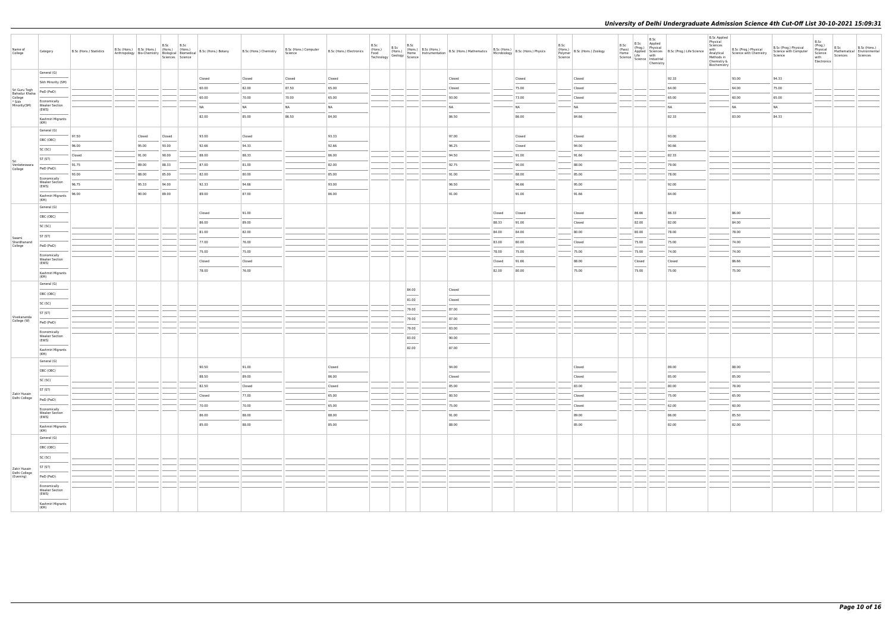| Name of<br>College                                  | Category                                       | B.Sc (Hons.) Statistics | B.Sc (Hons.) B.Sc (Hons.) (Hons.) (Hons.) |        | B.Sc   | B.Sc<br>Anthropology Bio-Chemistry Biological Biomedical<br>Sciences Science | B.Sc (Hons.) Botany | B.Sc (Hons.) Chemistry | B.Sc (Hons.) Computer<br>Science | B.Sc (Hons.) Electronics | B.Sc<br>(Hons.)<br>Food<br>Technology | B.Sc<br>B.Sc<br>B.Sc (Hons.) B.Sc (Hons.) B.Sc (Hons.) Mathematics B.Sc (Hons.) B.Sc (Hons.) Physics<br>(Hons.) Home Instrumentation B.Sc (Hons.) Mathematics Microbiology B.Sc (Hons.) Physics<br>IV Geology Science |                 |        |        | B.Sc | (Hons.)<br>Polymer B.Sc (Hons.) Zoology<br>Science | B.Sc   | $\begin{tabular}{l c c c} $\mathsf{a} & \mathsf{B}.\mathsf{SC}$ & \begin{tabular}{c} $\mathsf{App} \mathsf{lied}$ \\ $\mathsf{.} \mathsf{p} \mathsf{a}\mathsf{c}\mathsf{b}$ & \begin{tabular}{c} $\mathsf{App} \mathsf{lied}$ \\ $\mathsf{.} \mathsf{p} \mathsf{a}\mathsf{c}\mathsf{b}$ & \begin{tabular}{c} $\mathsf{App} \mathsf{lied}$ \\ $\mathsf{App} \mathsf{ie}\mathsf{b}\mathsf{ec} \mathsf{b}\mathsf{c}$ & $\mathsf{M} \mathsf{b}\mathsf{b}$ \\ $\mathsf{H}$ | <b>B.Sc Applied</b><br>Physical<br>Sciences<br>with<br>Methods in<br>Chemistry &<br>Biochemistry | B.Sc (Prog.) Physical<br>Analytical Science with Chemistry | B.Sc (Prog.) Physical<br>Science with Computer<br>Science | B.Sc<br>(Prog.)<br>Physical<br>Science<br>with<br>Electronics | B.Sc<br>Sciences Sciences | B.Sc (Hons.)<br>Mathematical Environmental |
|-----------------------------------------------------|------------------------------------------------|-------------------------|-------------------------------------------|--------|--------|------------------------------------------------------------------------------|---------------------|------------------------|----------------------------------|--------------------------|---------------------------------------|-----------------------------------------------------------------------------------------------------------------------------------------------------------------------------------------------------------------------|-----------------|--------|--------|------|----------------------------------------------------|--------|-----------------------------------------------------------------------------------------------------------------------------------------------------------------------------------------------------------------------------------------------------------------------------------------------------------------------------------------------------------------------------------------------------------------------------------------------------------------------|--------------------------------------------------------------------------------------------------|------------------------------------------------------------|-----------------------------------------------------------|---------------------------------------------------------------|---------------------------|--------------------------------------------|
|                                                     | General (G)                                    |                         |                                           |        |        |                                                                              | Closed              | Closed                 | Closed                           | Closed                   |                                       |                                                                                                                                                                                                                       | Closed          |        | Closed |      | Closed                                             |        | 92.33                                                                                                                                                                                                                                                                                                                                                                                                                                                                 |                                                                                                  | 93.00                                                      | 94.33                                                     |                                                               |                           |                                            |
|                                                     | Sikh Minority (SM)                             |                         |                                           |        |        |                                                                              | 60.00               | 82.00                  | 87.50                            | 65.00                    |                                       |                                                                                                                                                                                                                       | Closed          |        | 75.00  |      | Closed                                             |        | 64.00                                                                                                                                                                                                                                                                                                                                                                                                                                                                 |                                                                                                  | 64.00                                                      | 75.00                                                     |                                                               |                           |                                            |
| Sri Guru Tegh                                       | PwD (PwD)                                      |                         |                                           |        |        |                                                                              | 60.00               | 70.00                  | 70.00                            | 65.00                    |                                       |                                                                                                                                                                                                                       | 93.00           |        | 73.00  |      | Closed                                             |        | 65.00                                                                                                                                                                                                                                                                                                                                                                                                                                                                 |                                                                                                  | 60.00                                                      | 65.00                                                     |                                                               |                           |                                            |
| Bahadur Khalsa<br>College<br>* Sikh<br>Minority(SM) | Economically<br><b>Weaker Section</b>          |                         |                                           |        |        |                                                                              | <b>NA</b>           | NA                     | <b>NA</b>                        | <b>NA</b>                |                                       |                                                                                                                                                                                                                       | NA              |        | NA     |      | NA                                                 |        | <b>NA</b>                                                                                                                                                                                                                                                                                                                                                                                                                                                             |                                                                                                  | <b>NA</b>                                                  | NA                                                        |                                                               |                           |                                            |
|                                                     | (EWS)                                          |                         |                                           |        |        |                                                                              | 82.00               | 85.00                  | 86.50                            | 84.00                    |                                       |                                                                                                                                                                                                                       | 86.50           |        | 86.00  |      | 84.66                                              |        | 82.33                                                                                                                                                                                                                                                                                                                                                                                                                                                                 |                                                                                                  | 83.00                                                      | 84.33                                                     |                                                               |                           |                                            |
|                                                     | Kashmiri Migrants<br>(KM)                      |                         |                                           |        |        |                                                                              |                     |                        |                                  |                          |                                       |                                                                                                                                                                                                                       |                 |        |        |      |                                                    |        |                                                                                                                                                                                                                                                                                                                                                                                                                                                                       |                                                                                                  |                                                            |                                                           |                                                               |                           |                                            |
|                                                     | General (G)                                    | 97.50                   |                                           | Closed | Closed |                                                                              | 93.00               | Closed                 |                                  | 93.33                    |                                       |                                                                                                                                                                                                                       | 97.00           |        | Closed |      | Closed                                             |        | 93.00                                                                                                                                                                                                                                                                                                                                                                                                                                                                 |                                                                                                  |                                                            |                                                           |                                                               |                           |                                            |
|                                                     | OBC (OBC)                                      | 96.00                   |                                           | 95.00  | 93.00  |                                                                              | 92.66               | 94.33                  |                                  | 92.66                    |                                       |                                                                                                                                                                                                                       | 96.25           |        | Closed |      | 94.00                                              |        | 90.66                                                                                                                                                                                                                                                                                                                                                                                                                                                                 |                                                                                                  |                                                            |                                                           |                                                               |                           |                                            |
|                                                     | SC (SC)                                        | Closed                  |                                           | 91.00  | 90.00  |                                                                              | 88.00               | 88.33                  |                                  | 86.00                    |                                       |                                                                                                                                                                                                                       | 94.50           |        | 91.00  |      | 91.66                                              |        | 82.33                                                                                                                                                                                                                                                                                                                                                                                                                                                                 |                                                                                                  |                                                            |                                                           |                                                               |                           |                                            |
| Sri<br>Venketeswara                                 | ST (ST)                                        | 91.75                   |                                           | 89.00  | 88.33  |                                                                              | 87.00               | 81.00                  |                                  | 82.00                    |                                       |                                                                                                                                                                                                                       | 92.75           |        | 90.00  |      | 88.00                                              |        | 79.00                                                                                                                                                                                                                                                                                                                                                                                                                                                                 |                                                                                                  |                                                            |                                                           |                                                               |                           |                                            |
| College                                             | PwD (PwD)                                      | 93.00                   |                                           | 88.00  | 85.00  |                                                                              | 82.00               | 80.00                  |                                  | 85.00                    |                                       |                                                                                                                                                                                                                       | 91.00           |        | 88.00  |      | 85.00                                              |        | 78.00                                                                                                                                                                                                                                                                                                                                                                                                                                                                 |                                                                                                  |                                                            |                                                           |                                                               |                           |                                            |
|                                                     | Economically<br><b>Weaker Section</b>          | 96.75                   |                                           | 95.33  | 94.00  |                                                                              | 92.33               | 94.66                  |                                  | 93.00                    |                                       |                                                                                                                                                                                                                       | 96.50           |        | 96.66  |      | 95.00                                              |        | 92.00                                                                                                                                                                                                                                                                                                                                                                                                                                                                 |                                                                                                  |                                                            |                                                           |                                                               |                           |                                            |
|                                                     | (EWS)                                          | 96.00                   |                                           | 90.00  | 89.00  |                                                                              | 89.00               | 87.00                  |                                  | 86.00                    |                                       |                                                                                                                                                                                                                       | 91.00           |        | 91.00  |      | 91.66                                              |        | 84.00                                                                                                                                                                                                                                                                                                                                                                                                                                                                 |                                                                                                  |                                                            |                                                           |                                                               |                           |                                            |
|                                                     | Kashmiri Migrants<br>(KM)                      |                         |                                           |        |        |                                                                              |                     |                        |                                  |                          |                                       |                                                                                                                                                                                                                       |                 |        |        |      |                                                    |        |                                                                                                                                                                                                                                                                                                                                                                                                                                                                       |                                                                                                  |                                                            |                                                           |                                                               |                           |                                            |
|                                                     | General (G)                                    |                         |                                           |        |        |                                                                              | Closed              | 91.00                  |                                  |                          |                                       |                                                                                                                                                                                                                       |                 | Closed | Closed |      | Closed                                             | 86.66  | 86.33                                                                                                                                                                                                                                                                                                                                                                                                                                                                 |                                                                                                  | 86.00                                                      |                                                           |                                                               |                           |                                            |
|                                                     | OBC (OBC)                                      |                         |                                           |        |        |                                                                              | 86.00               | 89.00                  |                                  |                          |                                       |                                                                                                                                                                                                                       |                 | 88.33  | 91.00  |      | Closed                                             | 82.00  | 82.00                                                                                                                                                                                                                                                                                                                                                                                                                                                                 |                                                                                                  | 84.00                                                      |                                                           |                                                               |                           |                                            |
|                                                     | SC (SC)                                        |                         |                                           |        |        |                                                                              | 81.00               | 82.00                  |                                  |                          |                                       |                                                                                                                                                                                                                       |                 | 84.00  | 84.00  |      | 80.00                                              | 80.00  | 78.00                                                                                                                                                                                                                                                                                                                                                                                                                                                                 |                                                                                                  | 78.00                                                      |                                                           |                                                               |                           |                                            |
| Swami<br>Shardhanand                                | ST (ST)                                        |                         |                                           |        |        |                                                                              | 77.00               | 76.00                  |                                  |                          |                                       |                                                                                                                                                                                                                       |                 | 83.00  | 80.00  |      | Closed                                             | 75.00  | 75.00                                                                                                                                                                                                                                                                                                                                                                                                                                                                 |                                                                                                  | 74.00                                                      |                                                           |                                                               |                           |                                            |
| College                                             | PwD (PwD)                                      |                         |                                           |        |        |                                                                              | 75.00               | 75.00                  |                                  |                          |                                       |                                                                                                                                                                                                                       |                 | 78.00  | 75.00  |      | 75.00                                              | 75.00  | 74.00                                                                                                                                                                                                                                                                                                                                                                                                                                                                 |                                                                                                  | 74.00                                                      |                                                           |                                                               |                           |                                            |
|                                                     | Economically<br><b>Weaker Section</b>          |                         |                                           |        |        |                                                                              | Closed              | Closed                 |                                  |                          |                                       |                                                                                                                                                                                                                       |                 | Closed | 91.66  |      | 88.00                                              | Closed | Closed                                                                                                                                                                                                                                                                                                                                                                                                                                                                |                                                                                                  | 86.66                                                      |                                                           |                                                               |                           |                                            |
|                                                     | (EWS)<br>Kashmiri Migrants                     |                         |                                           |        |        |                                                                              | 78.00               | 76.00                  |                                  |                          |                                       |                                                                                                                                                                                                                       |                 | 82.00  | 80.00  |      | 75.00                                              | 75.00  | 75.00                                                                                                                                                                                                                                                                                                                                                                                                                                                                 |                                                                                                  | 75.00                                                      |                                                           |                                                               |                           |                                            |
|                                                     | (KM)                                           |                         |                                           |        |        |                                                                              |                     |                        |                                  |                          |                                       |                                                                                                                                                                                                                       |                 |        |        |      |                                                    |        |                                                                                                                                                                                                                                                                                                                                                                                                                                                                       |                                                                                                  |                                                            |                                                           |                                                               |                           |                                            |
|                                                     | General (G)                                    |                         |                                           |        |        |                                                                              |                     |                        |                                  |                          |                                       | 84.00                                                                                                                                                                                                                 | Closed          |        |        |      |                                                    |        |                                                                                                                                                                                                                                                                                                                                                                                                                                                                       |                                                                                                  |                                                            |                                                           |                                                               |                           |                                            |
|                                                     | OBC (OBC)                                      |                         |                                           |        |        |                                                                              |                     |                        |                                  |                          |                                       | 81.00                                                                                                                                                                                                                 | Closed          |        |        |      |                                                    |        |                                                                                                                                                                                                                                                                                                                                                                                                                                                                       |                                                                                                  |                                                            |                                                           |                                                               |                           |                                            |
|                                                     | SC (SC)                                        |                         |                                           |        |        |                                                                              |                     |                        |                                  |                          |                                       | 79.00                                                                                                                                                                                                                 | 87.00           |        |        |      |                                                    |        |                                                                                                                                                                                                                                                                                                                                                                                                                                                                       |                                                                                                  |                                                            |                                                           |                                                               |                           |                                            |
| Vivekananda<br>College (W)                          | ST (ST)                                        |                         |                                           |        |        |                                                                              |                     |                        |                                  |                          |                                       | 79.00                                                                                                                                                                                                                 | 87.00           |        |        |      |                                                    |        |                                                                                                                                                                                                                                                                                                                                                                                                                                                                       |                                                                                                  |                                                            |                                                           |                                                               |                           |                                            |
|                                                     | PwD (PwD)                                      |                         |                                           |        |        |                                                                              |                     |                        |                                  |                          |                                       | 79.00                                                                                                                                                                                                                 | 83.00           |        |        |      |                                                    |        |                                                                                                                                                                                                                                                                                                                                                                                                                                                                       |                                                                                                  |                                                            |                                                           |                                                               |                           |                                            |
|                                                     | Economically<br><b>Weaker Section</b><br>(EWS) |                         |                                           |        |        |                                                                              |                     |                        |                                  |                          |                                       | 83.00                                                                                                                                                                                                                 | 90.00           |        |        |      |                                                    |        |                                                                                                                                                                                                                                                                                                                                                                                                                                                                       |                                                                                                  |                                                            |                                                           |                                                               |                           |                                            |
|                                                     | Kashmiri Migrants                              |                         |                                           |        |        |                                                                              |                     |                        |                                  |                          |                                       | $\overline{\phantom{a}}$<br>82.00                                                                                                                                                                                     | 87.00           |        |        |      |                                                    |        |                                                                                                                                                                                                                                                                                                                                                                                                                                                                       |                                                                                                  |                                                            |                                                           |                                                               |                           |                                            |
|                                                     | (KM)<br>General (G)                            |                         |                                           |        |        |                                                                              |                     |                        |                                  |                          |                                       |                                                                                                                                                                                                                       |                 |        |        |      |                                                    |        |                                                                                                                                                                                                                                                                                                                                                                                                                                                                       |                                                                                                  |                                                            |                                                           |                                                               |                           |                                            |
|                                                     | OBC (OBC)                                      |                         |                                           |        |        |                                                                              | 90.50               | 91.00                  |                                  | Closed                   |                                       |                                                                                                                                                                                                                       | 94.00           |        |        |      | Closed                                             |        | 89.00                                                                                                                                                                                                                                                                                                                                                                                                                                                                 |                                                                                                  | 88.00                                                      |                                                           |                                                               |                           |                                            |
|                                                     | SC (SC)                                        |                         |                                           |        |        |                                                                              | 88.50               | 89.00                  |                                  | 86.00                    |                                       |                                                                                                                                                                                                                       | Closed          |        |        |      | Closed                                             |        | 85.00                                                                                                                                                                                                                                                                                                                                                                                                                                                                 |                                                                                                  | 85.00                                                      |                                                           |                                                               |                           |                                            |
|                                                     | <b>Service Control</b><br>ST (ST)              |                         |                                           |        |        |                                                                              | 82.50               | Closed                 |                                  | Closed                   |                                       |                                                                                                                                                                                                                       | 85.00           |        |        |      | 83.00                                              |        | 80.00                                                                                                                                                                                                                                                                                                                                                                                                                                                                 |                                                                                                  | 78.00                                                      |                                                           |                                                               |                           |                                            |
| Zakir Husain<br>Delhi College                       | PwD (PwD)                                      |                         |                                           |        |        |                                                                              | Closed              | 77.00                  |                                  | 65.00                    |                                       |                                                                                                                                                                                                                       | 80.50           |        |        |      | Closed                                             |        | 75.00                                                                                                                                                                                                                                                                                                                                                                                                                                                                 |                                                                                                  | 65.00                                                      |                                                           |                                                               |                           |                                            |
|                                                     | Economically                                   |                         |                                           |        |        |                                                                              | 70.00               | 70.00                  |                                  | 65.00                    |                                       |                                                                                                                                                                                                                       | 75.00           |        |        |      | Closed                                             |        | 62.00                                                                                                                                                                                                                                                                                                                                                                                                                                                                 |                                                                                                  | 60.00                                                      |                                                           |                                                               |                           |                                            |
|                                                     | <b>Weaker Section</b><br>(EWS)                 |                         |                                           |        |        |                                                                              | 86.00               | 88.00                  |                                  | 88.00                    |                                       |                                                                                                                                                                                                                       | 91.00<br>$\sim$ |        |        |      | 89.00<br>$\overline{\phantom{a}}$                  |        | 86.00                                                                                                                                                                                                                                                                                                                                                                                                                                                                 |                                                                                                  | 85.50                                                      |                                                           |                                                               |                           |                                            |
|                                                     | Kashmiri Migrants<br>(KM)                      |                         |                                           |        |        |                                                                              | 85.00               | 88.00                  |                                  | 85.00                    |                                       |                                                                                                                                                                                                                       | 88.00           |        |        |      | 85.00                                              |        | 82.00                                                                                                                                                                                                                                                                                                                                                                                                                                                                 |                                                                                                  | 82.00                                                      |                                                           |                                                               |                           |                                            |
|                                                     | General (G)                                    |                         |                                           |        |        |                                                                              |                     |                        |                                  |                          |                                       |                                                                                                                                                                                                                       |                 |        |        |      |                                                    |        |                                                                                                                                                                                                                                                                                                                                                                                                                                                                       |                                                                                                  |                                                            |                                                           |                                                               |                           |                                            |
|                                                     | OBC (OBC)                                      |                         |                                           |        |        |                                                                              |                     |                        |                                  |                          |                                       |                                                                                                                                                                                                                       |                 |        |        |      |                                                    |        |                                                                                                                                                                                                                                                                                                                                                                                                                                                                       |                                                                                                  |                                                            |                                                           |                                                               |                           |                                            |
|                                                     | SC (SC)                                        |                         |                                           |        |        |                                                                              |                     |                        |                                  |                          |                                       |                                                                                                                                                                                                                       |                 |        |        |      |                                                    |        |                                                                                                                                                                                                                                                                                                                                                                                                                                                                       |                                                                                                  |                                                            |                                                           |                                                               |                           |                                            |
| Zakir Husain                                        | ST (ST)                                        |                         |                                           |        |        |                                                                              |                     |                        |                                  |                          |                                       |                                                                                                                                                                                                                       |                 |        |        |      |                                                    |        |                                                                                                                                                                                                                                                                                                                                                                                                                                                                       |                                                                                                  |                                                            |                                                           |                                                               |                           |                                            |
| Delhi College<br>(Evening)                          | PwD (PwD)                                      |                         |                                           |        |        |                                                                              |                     |                        |                                  |                          |                                       |                                                                                                                                                                                                                       |                 |        |        |      |                                                    |        |                                                                                                                                                                                                                                                                                                                                                                                                                                                                       |                                                                                                  |                                                            |                                                           |                                                               |                           |                                            |
|                                                     | Economically<br><b>Weaker Section</b>          |                         |                                           |        |        |                                                                              |                     |                        |                                  |                          |                                       |                                                                                                                                                                                                                       |                 |        |        |      |                                                    |        |                                                                                                                                                                                                                                                                                                                                                                                                                                                                       |                                                                                                  |                                                            |                                                           |                                                               |                           |                                            |
|                                                     | (EWS)                                          |                         |                                           |        |        |                                                                              |                     |                        |                                  |                          |                                       |                                                                                                                                                                                                                       |                 |        |        |      |                                                    |        |                                                                                                                                                                                                                                                                                                                                                                                                                                                                       |                                                                                                  |                                                            |                                                           |                                                               |                           |                                            |
|                                                     | Kashmiri Migrants<br>(KM)                      |                         |                                           |        |        |                                                                              |                     |                        |                                  |                          |                                       |                                                                                                                                                                                                                       |                 |        |        |      |                                                    |        |                                                                                                                                                                                                                                                                                                                                                                                                                                                                       |                                                                                                  |                                                            |                                                           |                                                               |                           |                                            |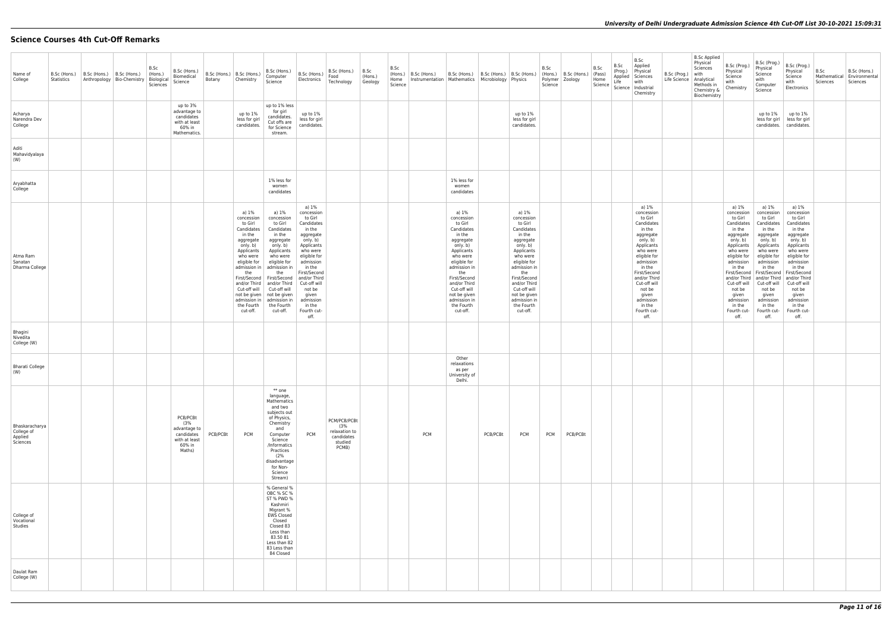## **Science Courses 4th Cut-Off Remarks**

| Name of<br>College                                  | B.Sc (Hons.)<br>Statistics | B.Sc (Hons.) | B.Sc (Hons.)<br>Anthropology   Bio-Chemistry   Biological | B.Sc<br>(Hons.)<br>Sciences | B.Sc (Hons.)<br>Biomedical<br>Science                                              | Botany   | B.Sc (Hons.)   B.Sc (Hons.)<br>Chemistry                                                                                                                                                                                                   | B.Sc (Hons.)<br>Computer<br>Science                                                                                                                                                                                                                                       | B.Sc (Hons.)<br>Electronics                                                                                                                                                                                                                                       | B.Sc (Hons.)<br>Food<br>Technology                                     | B.Sc<br>(Hons.)<br>Geology | B.Sc<br>(Hons.)<br>Home<br>Science | B.Sc (Hons.)<br>Instrumentation   Mathematics   Microbiology   Physics | B.Sc (Hons.)   B.Sc (Hons.)   B.Sc (Hons.)                                                                                                                                                                                                                 |          |                                                                                                                                                                                                                                                            | B.Sc<br>Science | (Hons.)   B.Sc (Hons.)<br>Polymer   Zoology | B.Sc<br>(Pass)<br>Home<br>Science | B.Sc<br>(Prog.)<br>Life | B.Sc<br>Applied<br>Physical<br>Applied Sciences<br>with<br>Science   Industrial<br>Chemistry                                                                                                                                                                      | B.Sc (Prog.)<br>Life Science | <b>B.Sc Applied</b><br>Physical<br>Sciences<br>with<br>Analytical<br>Methods in<br>Chemistry &<br>Biochemistry | B.Sc (Prog.)<br>Physical<br>Science<br>with<br>Chemistry                                                                                                                                                                                          | B.Sc (Prog.)<br>Physical<br>Science<br>with<br>Computer<br>Science                                                                                                                                                                                                               | B.Sc (Prog.)<br>Physical<br>Science<br>with<br>Electronics                                                                                                                                                                                                        | B.Sc<br>Mathematica<br>Sciences | B.Sc (Hons.)<br>Environmental<br>Sciences |
|-----------------------------------------------------|----------------------------|--------------|-----------------------------------------------------------|-----------------------------|------------------------------------------------------------------------------------|----------|--------------------------------------------------------------------------------------------------------------------------------------------------------------------------------------------------------------------------------------------|---------------------------------------------------------------------------------------------------------------------------------------------------------------------------------------------------------------------------------------------------------------------------|-------------------------------------------------------------------------------------------------------------------------------------------------------------------------------------------------------------------------------------------------------------------|------------------------------------------------------------------------|----------------------------|------------------------------------|------------------------------------------------------------------------|------------------------------------------------------------------------------------------------------------------------------------------------------------------------------------------------------------------------------------------------------------|----------|------------------------------------------------------------------------------------------------------------------------------------------------------------------------------------------------------------------------------------------------------------|-----------------|---------------------------------------------|-----------------------------------|-------------------------|-------------------------------------------------------------------------------------------------------------------------------------------------------------------------------------------------------------------------------------------------------------------|------------------------------|----------------------------------------------------------------------------------------------------------------|---------------------------------------------------------------------------------------------------------------------------------------------------------------------------------------------------------------------------------------------------|----------------------------------------------------------------------------------------------------------------------------------------------------------------------------------------------------------------------------------------------------------------------------------|-------------------------------------------------------------------------------------------------------------------------------------------------------------------------------------------------------------------------------------------------------------------|---------------------------------|-------------------------------------------|
| Acharya<br>Narendra Dev<br>College                  |                            |              |                                                           |                             | up to 3%<br>advantage to<br>candidates<br>with at least<br>60% in<br>Mathematics.  |          | up to 1%<br>less for girl<br>candidates.                                                                                                                                                                                                   | up to 1% less<br>for girl<br>candidates.<br>Cut offs are<br>for Science<br>stream.                                                                                                                                                                                        | up to 1%<br>less for girl<br>candidates.                                                                                                                                                                                                                          |                                                                        |                            |                                    |                                                                        |                                                                                                                                                                                                                                                            |          | up to 1%<br>less for girl<br>candidates.                                                                                                                                                                                                                   |                 |                                             |                                   |                         |                                                                                                                                                                                                                                                                   |                              |                                                                                                                |                                                                                                                                                                                                                                                   | up to 1%<br>less for girl                                                                                                                                                                                                                                                        | up to 1%<br>less for girl<br>candidates. candidates.                                                                                                                                                                                                              |                                 |                                           |
| Aditi<br>Mahavidyalaya<br>(W)                       |                            |              |                                                           |                             |                                                                                    |          |                                                                                                                                                                                                                                            |                                                                                                                                                                                                                                                                           |                                                                                                                                                                                                                                                                   |                                                                        |                            |                                    |                                                                        |                                                                                                                                                                                                                                                            |          |                                                                                                                                                                                                                                                            |                 |                                             |                                   |                         |                                                                                                                                                                                                                                                                   |                              |                                                                                                                |                                                                                                                                                                                                                                                   |                                                                                                                                                                                                                                                                                  |                                                                                                                                                                                                                                                                   |                                 |                                           |
| Aryabhatta<br>College                               |                            |              |                                                           |                             |                                                                                    |          |                                                                                                                                                                                                                                            | 1% less for<br>women<br>candidates                                                                                                                                                                                                                                        |                                                                                                                                                                                                                                                                   |                                                                        |                            |                                    |                                                                        | 1% less for<br>women<br>candidates                                                                                                                                                                                                                         |          |                                                                                                                                                                                                                                                            |                 |                                             |                                   |                         |                                                                                                                                                                                                                                                                   |                              |                                                                                                                |                                                                                                                                                                                                                                                   |                                                                                                                                                                                                                                                                                  |                                                                                                                                                                                                                                                                   |                                 |                                           |
| Atma Ram<br>Sanatan<br>Dharma College               |                            |              |                                                           |                             |                                                                                    |          | a) 1%<br>concession<br>to Girl<br>Candidates<br>in the<br>aggregate<br>only. b)<br>Applicants<br>who were<br>eligible for<br>admission in<br>the<br>First/Second<br>and/or Third<br>Cut-off will<br>admission in<br>the Fourth<br>cut-off. | a) 1%<br>concession<br>to Girl<br>Candidates<br>in the<br>aggregate<br>only. b)<br>Applicants<br>who were<br>eligible for<br>admission in<br>the<br>First/Second<br>and/or Third<br>Cut-off will<br>not be given   not be given<br>admission in<br>the Fourth<br>cut-off. | a) 1%<br>concession<br>to Girl<br>Candidates<br>in the<br>aggregate<br>only. b)<br>Applicants<br>who were<br>eligible for<br>admission<br>in the<br>First/Second<br>and/or Third<br>Cut-off will<br>not be<br>given<br>admission<br>in the<br>Fourth cut-<br>off. |                                                                        |                            |                                    |                                                                        | a) 1%<br>concession<br>to Girl<br>Candidates<br>in the<br>aggregate<br>only. b)<br>Applicants<br>who were<br>eligible for<br>admission in<br>the<br>First/Second<br>and/or Third<br>Cut-off will<br>not be given<br>admission in<br>the Fourth<br>cut-off. |          | a) 1%<br>concession<br>to Girl<br>Candidates<br>in the<br>aggregate<br>only. b)<br>Applicants<br>who were<br>eligible for<br>admission in<br>the<br>First/Second<br>and/or Third<br>Cut-off will<br>not be given<br>admission in<br>the Fourth<br>cut-off. |                 |                                             |                                   |                         | a) 1%<br>concession<br>to Girl<br>Candidates<br>in the<br>aggregate<br>only. b)<br>Applicants<br>who were<br>eligible for<br>admission<br>in the<br>First/Second<br>and/or Third<br>Cut-off will<br>not be<br>given<br>admission<br>in the<br>Fourth cut-<br>off. |                              |                                                                                                                | a) 1%<br>concession<br>to Girl<br>Candidates<br>in the<br>aggregate<br>only. b)<br>Applicants<br>who were<br>eligible for<br>admission<br>in the<br>and/or Third<br>Cut-off will<br>not be<br>given<br>admission<br>in the<br>Fourth cut-<br>off. | a) 1%<br>concession<br>to Girl<br>Candidates<br>in the<br>aggregate<br>only. b)<br>Applicants<br>who were<br>eligible for<br>admission<br>in the<br>First/Second   First/Second<br>and/or Third<br>Cut-off will<br>not be<br>given<br>admission<br>in the<br>Fourth cut-<br>off. | a) 1%<br>concession<br>to Girl<br>Candidates<br>in the<br>aggregate<br>only. b)<br>Applicants<br>who were<br>eligible for<br>admission<br>in the<br>First/Second<br>and/or Third<br>Cut-off will<br>not be<br>given<br>admission<br>in the<br>Fourth cut-<br>off. |                                 |                                           |
| Bhagini<br>Nivedita<br>College (W)                  |                            |              |                                                           |                             |                                                                                    |          |                                                                                                                                                                                                                                            |                                                                                                                                                                                                                                                                           |                                                                                                                                                                                                                                                                   |                                                                        |                            |                                    |                                                                        |                                                                                                                                                                                                                                                            |          |                                                                                                                                                                                                                                                            |                 |                                             |                                   |                         |                                                                                                                                                                                                                                                                   |                              |                                                                                                                |                                                                                                                                                                                                                                                   |                                                                                                                                                                                                                                                                                  |                                                                                                                                                                                                                                                                   |                                 |                                           |
| <b>Bharati College</b><br>(W)                       |                            |              |                                                           |                             |                                                                                    |          |                                                                                                                                                                                                                                            |                                                                                                                                                                                                                                                                           |                                                                                                                                                                                                                                                                   |                                                                        |                            |                                    |                                                                        | Other<br>relaxations<br>as per<br>University of<br>Delhi.                                                                                                                                                                                                  |          |                                                                                                                                                                                                                                                            |                 |                                             |                                   |                         |                                                                                                                                                                                                                                                                   |                              |                                                                                                                |                                                                                                                                                                                                                                                   |                                                                                                                                                                                                                                                                                  |                                                                                                                                                                                                                                                                   |                                 |                                           |
| Bhaskaracharya<br>College of<br>Applied<br>Sciences |                            |              |                                                           |                             | PCB/PCBt<br>(3%<br>advantage to<br>candidates<br>with at least<br>60% in<br>Maths) | PCB/PCBt | <b>PCM</b>                                                                                                                                                                                                                                 | $**$ one<br>language,<br>Mathematics<br>and two<br>subjects out<br>of Physics,<br>Chemistry<br>and<br>Computer<br>Science<br>/Informatics<br>Practices<br>(2%<br>disadvantage<br>for Non-<br>Science<br>Stream)                                                           | <b>PCM</b>                                                                                                                                                                                                                                                        | PCM/PCB/PCBt<br>(3%<br>relaxation to<br>candidates<br>studied<br>PCMB) |                            |                                    | <b>PCM</b>                                                             |                                                                                                                                                                                                                                                            | PCB/PCBt | <b>PCM</b>                                                                                                                                                                                                                                                 | <b>PCM</b>      | PCB/PCBt                                    |                                   |                         |                                                                                                                                                                                                                                                                   |                              |                                                                                                                |                                                                                                                                                                                                                                                   |                                                                                                                                                                                                                                                                                  |                                                                                                                                                                                                                                                                   |                                 |                                           |
| College of<br>Vocational<br>Studies                 |                            |              |                                                           |                             |                                                                                    |          |                                                                                                                                                                                                                                            | % General %<br>OBC % SC %<br>ST % PWD %<br>Kashmiri<br>Migrant %<br><b>EWS Closed</b><br>Closed<br>Closed 83<br>Less than<br>83.50 81<br>Less than 82<br>83 Less than<br>84 Closed                                                                                        |                                                                                                                                                                                                                                                                   |                                                                        |                            |                                    |                                                                        |                                                                                                                                                                                                                                                            |          |                                                                                                                                                                                                                                                            |                 |                                             |                                   |                         |                                                                                                                                                                                                                                                                   |                              |                                                                                                                |                                                                                                                                                                                                                                                   |                                                                                                                                                                                                                                                                                  |                                                                                                                                                                                                                                                                   |                                 |                                           |
| Daulat Ram<br>College (W)                           |                            |              |                                                           |                             |                                                                                    |          |                                                                                                                                                                                                                                            |                                                                                                                                                                                                                                                                           |                                                                                                                                                                                                                                                                   |                                                                        |                            |                                    |                                                                        |                                                                                                                                                                                                                                                            |          |                                                                                                                                                                                                                                                            |                 |                                             |                                   |                         |                                                                                                                                                                                                                                                                   |                              |                                                                                                                |                                                                                                                                                                                                                                                   |                                                                                                                                                                                                                                                                                  |                                                                                                                                                                                                                                                                   |                                 |                                           |
|                                                     |                            |              |                                                           |                             |                                                                                    |          |                                                                                                                                                                                                                                            |                                                                                                                                                                                                                                                                           |                                                                                                                                                                                                                                                                   |                                                                        |                            |                                    |                                                                        |                                                                                                                                                                                                                                                            |          |                                                                                                                                                                                                                                                            |                 |                                             |                                   |                         |                                                                                                                                                                                                                                                                   |                              |                                                                                                                |                                                                                                                                                                                                                                                   |                                                                                                                                                                                                                                                                                  |                                                                                                                                                                                                                                                                   |                                 |                                           |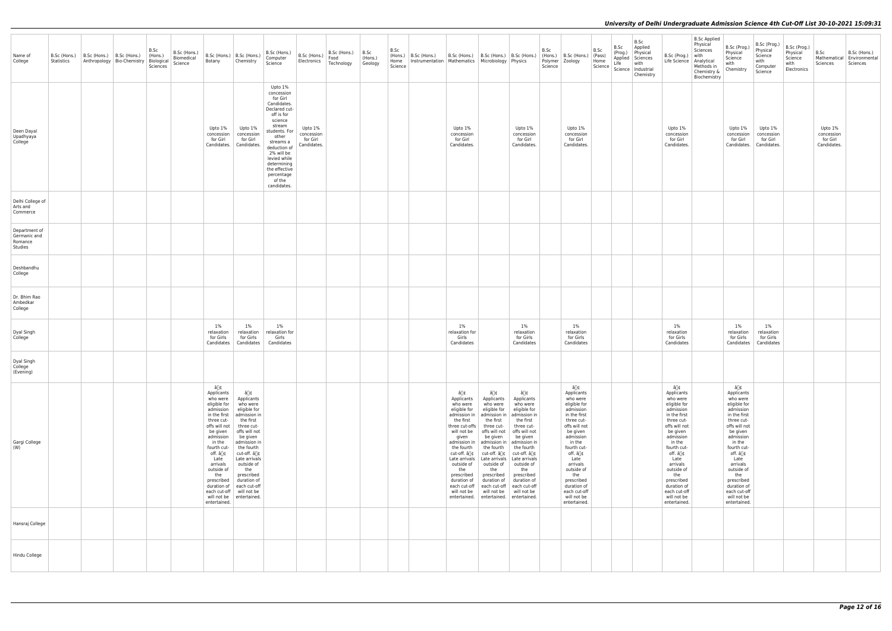| Name of<br>College                                  | B.Sc (Hons.)<br>Statistics | $\vert$ B.Sc (Hons.) $\vert$ B.Sc (Hons.) | Anthropology   Bio-Chemistry   Biological | B.Sc<br>B.Sc (Hons.)<br>(Hons.)<br>Biomedical<br>Science<br>Sciences | Botany                                                                                                                                                                                                                                                                       | B.Sc (Hons.) B.Sc (Hons.)<br>Chemistry                                                                                                                                                                                                                                                               | B.Sc (Hons.)<br>Computer<br>Science                                                                                                                                                                                                                              | B.Sc (Hons.)<br>Electronics                      | B.Sc (Hons.)<br>Food<br>Technology | B.Sc<br>(Hons.)<br>Geology | B.Sc<br>(Hons.)<br>Home<br>Science | B.Sc (Hons.) | B.Sc (Hons.)   B.Sc (Hons.)   B.Sc (Hons.)<br>Instrumentation   Mathematics   Microbiology   Physics                                                                                                                                                                                 |                                                                                                                                                                                                                                                       |                                                                                                                                                                                                                                                                                                                       | B.Sc<br>Science | $\vert$ (Hons.) $\vert$ B.Sc (Hons.) $\vert$ (Pass)<br>Polymer   Zoology                                                                                                                                                                                                                     | B.Sc<br>Home | B.Sc<br>(Prog.)<br>Life | B.Sc<br>Applied<br>Physical<br>Applied Sciences<br>with<br>Science   Science   Industrial<br>Chemistry | B.Sc (Prog.)<br>Life Science   Analytical                                                                                                                                                                                                                                                    | <b>B.Sc Applied</b><br>Physical<br>Sciences<br>with<br>Methods in<br>Chemistry &<br>Biochemistry | B.Sc (Prog.)<br>Physical<br>Science<br>with<br>Chemistry                                                                                                                                                                                                                                     | B.Sc (Prog.)<br>Physical<br>Science<br>with<br>Computer<br>Science | B.Sc (Prog.)<br>Physical<br>Science<br>with<br>Electronics | B.Sc<br>Sciences                                 | B.Sc (Hons.)<br>Mathematical   Environmental<br>Sciences |
|-----------------------------------------------------|----------------------------|-------------------------------------------|-------------------------------------------|----------------------------------------------------------------------|------------------------------------------------------------------------------------------------------------------------------------------------------------------------------------------------------------------------------------------------------------------------------|------------------------------------------------------------------------------------------------------------------------------------------------------------------------------------------------------------------------------------------------------------------------------------------------------|------------------------------------------------------------------------------------------------------------------------------------------------------------------------------------------------------------------------------------------------------------------|--------------------------------------------------|------------------------------------|----------------------------|------------------------------------|--------------|--------------------------------------------------------------------------------------------------------------------------------------------------------------------------------------------------------------------------------------------------------------------------------------|-------------------------------------------------------------------------------------------------------------------------------------------------------------------------------------------------------------------------------------------------------|-----------------------------------------------------------------------------------------------------------------------------------------------------------------------------------------------------------------------------------------------------------------------------------------------------------------------|-----------------|----------------------------------------------------------------------------------------------------------------------------------------------------------------------------------------------------------------------------------------------------------------------------------------------|--------------|-------------------------|--------------------------------------------------------------------------------------------------------|----------------------------------------------------------------------------------------------------------------------------------------------------------------------------------------------------------------------------------------------------------------------------------------------|--------------------------------------------------------------------------------------------------|----------------------------------------------------------------------------------------------------------------------------------------------------------------------------------------------------------------------------------------------------------------------------------------------|--------------------------------------------------------------------|------------------------------------------------------------|--------------------------------------------------|----------------------------------------------------------|
| Deen Dayal<br>Upadhyaya<br>College                  |                            |                                           |                                           |                                                                      | Upto 1%<br>concession<br>for Girl<br>Candidates.                                                                                                                                                                                                                             | Upto 1%<br>concession<br>for Girl<br>Candidates.                                                                                                                                                                                                                                                     | Upto 1%<br>concession<br>for Girl<br>Candidates.<br>Declared cut-<br>off is for<br>science<br>stream<br>students. For<br>other<br>streams a<br>deduction of<br>2% will be<br>levied while<br>determining<br>the effective<br>percentage<br>of the<br>candidates. | Upto 1%<br>concession<br>for Girl<br>Candidates. |                                    |                            |                                    |              | Upto 1%<br>concession<br>for Girl<br>Candidates.                                                                                                                                                                                                                                     |                                                                                                                                                                                                                                                       | Upto 1%<br>concession<br>for Girl<br>Candidates.                                                                                                                                                                                                                                                                      |                 | Upto 1%<br>concession<br>for Girl<br>Candidates.                                                                                                                                                                                                                                             |              |                         |                                                                                                        | Upto 1%<br>concession<br>for Girl<br>Candidates.                                                                                                                                                                                                                                             |                                                                                                  | Upto 1%<br>concession<br>for Girl<br>Candidates.                                                                                                                                                                                                                                             | Upto 1%<br>concession<br>for Girl<br>Candidates.                   |                                                            | Upto 1%<br>concession<br>for Girl<br>Candidates. |                                                          |
| Delhi College of<br>Arts and<br>Commerce            |                            |                                           |                                           |                                                                      |                                                                                                                                                                                                                                                                              |                                                                                                                                                                                                                                                                                                      |                                                                                                                                                                                                                                                                  |                                                  |                                    |                            |                                    |              |                                                                                                                                                                                                                                                                                      |                                                                                                                                                                                                                                                       |                                                                                                                                                                                                                                                                                                                       |                 |                                                                                                                                                                                                                                                                                              |              |                         |                                                                                                        |                                                                                                                                                                                                                                                                                              |                                                                                                  |                                                                                                                                                                                                                                                                                              |                                                                    |                                                            |                                                  |                                                          |
| Department of<br>Germanic and<br>Romance<br>Studies |                            |                                           |                                           |                                                                      |                                                                                                                                                                                                                                                                              |                                                                                                                                                                                                                                                                                                      |                                                                                                                                                                                                                                                                  |                                                  |                                    |                            |                                    |              |                                                                                                                                                                                                                                                                                      |                                                                                                                                                                                                                                                       |                                                                                                                                                                                                                                                                                                                       |                 |                                                                                                                                                                                                                                                                                              |              |                         |                                                                                                        |                                                                                                                                                                                                                                                                                              |                                                                                                  |                                                                                                                                                                                                                                                                                              |                                                                    |                                                            |                                                  |                                                          |
| Deshbandhu<br>College                               |                            |                                           |                                           |                                                                      |                                                                                                                                                                                                                                                                              |                                                                                                                                                                                                                                                                                                      |                                                                                                                                                                                                                                                                  |                                                  |                                    |                            |                                    |              |                                                                                                                                                                                                                                                                                      |                                                                                                                                                                                                                                                       |                                                                                                                                                                                                                                                                                                                       |                 |                                                                                                                                                                                                                                                                                              |              |                         |                                                                                                        |                                                                                                                                                                                                                                                                                              |                                                                                                  |                                                                                                                                                                                                                                                                                              |                                                                    |                                                            |                                                  |                                                          |
| Dr. Bhim Rao<br>Ambedkar<br>College                 |                            |                                           |                                           |                                                                      |                                                                                                                                                                                                                                                                              |                                                                                                                                                                                                                                                                                                      |                                                                                                                                                                                                                                                                  |                                                  |                                    |                            |                                    |              |                                                                                                                                                                                                                                                                                      |                                                                                                                                                                                                                                                       |                                                                                                                                                                                                                                                                                                                       |                 |                                                                                                                                                                                                                                                                                              |              |                         |                                                                                                        |                                                                                                                                                                                                                                                                                              |                                                                                                  |                                                                                                                                                                                                                                                                                              |                                                                    |                                                            |                                                  |                                                          |
| Dyal Singh<br>College                               |                            |                                           |                                           |                                                                      | 1%<br>relaxation<br>for Girls<br>Candidates                                                                                                                                                                                                                                  | 1%<br>relaxation<br>for Girls<br>Candidates                                                                                                                                                                                                                                                          | $1\%$<br>relaxation for<br>Girls<br>Candidates                                                                                                                                                                                                                   |                                                  |                                    |                            |                                    |              | $1\%$<br>relaxation for<br>Girls<br>Candidates                                                                                                                                                                                                                                       |                                                                                                                                                                                                                                                       | $1\%$<br>relaxation<br>for Girls<br>Candidates                                                                                                                                                                                                                                                                        |                 | $1\%$<br>relaxation<br>for Girls<br>Candidates                                                                                                                                                                                                                                               |              |                         |                                                                                                        | $1\%$<br>relaxation<br>for Girls<br>Candidates                                                                                                                                                                                                                                               |                                                                                                  | 1%<br>relaxation<br>for Girls<br>Candidates                                                                                                                                                                                                                                                  | $1\%$<br>relaxation<br>for Girls<br>Candidates                     |                                                            |                                                  |                                                          |
| Dyal Singh<br>College<br>(Evening)                  |                            |                                           |                                           |                                                                      |                                                                                                                                                                                                                                                                              |                                                                                                                                                                                                                                                                                                      |                                                                                                                                                                                                                                                                  |                                                  |                                    |                            |                                    |              |                                                                                                                                                                                                                                                                                      |                                                                                                                                                                                                                                                       |                                                                                                                                                                                                                                                                                                                       |                 |                                                                                                                                                                                                                                                                                              |              |                         |                                                                                                        |                                                                                                                                                                                                                                                                                              |                                                                                                  |                                                                                                                                                                                                                                                                                              |                                                                    |                                                            |                                                  |                                                          |
| Gargi College<br>(W)                                |                            |                                           |                                           |                                                                      | â∏¢<br>Applicants<br>who were<br>eligible for<br>admission<br>in the first<br>three cut-<br>offs will not<br>be given<br>admission<br>in the<br>fourth cut-<br>off. â∏¢<br>Late<br>arrivals<br>outside of<br>the<br>prescribed<br>duration of<br>will not be<br>entertained. | â∏¢<br>Applicants<br>who were<br>eligible for<br>admission in<br>the first<br>three cut-<br>offs will not<br>be given<br>admission in<br>the fourth<br>cut-off. â∏¢<br>Late arrivals<br>outside of<br>the<br>prescribed<br>duration of<br>each cut-off<br>each cut-off   will not be<br>entertained. |                                                                                                                                                                                                                                                                  |                                                  |                                    |                            |                                    |              | â∏¢<br>Applicants<br>who were<br>eligible for<br>admission in<br>the first<br>three cut-offs<br>will not be<br>given<br>admission in<br>the fourth<br>cut-off. â∏¢<br>Late arrivals<br>outside of<br>the<br>prescribed<br>duration of<br>each cut-off<br>will not be<br>entertained. | â∏¢<br>Applicants<br>who were<br>eligible for<br>admission in<br>the first<br>three cut-<br>offs will not<br>be given<br>the fourth<br>cut-off. â∏¢<br>Late arrivals<br>outside of<br>the<br>prescribed<br>duration of<br>each cut-off<br>will not be | â∏¢<br>Applicants<br>who were<br>eligible for<br>admission in<br>the first<br>three cut-<br>offs will not<br>be given<br>admission in   admission in<br>$ $ the fourth<br>cut-off. â∏¢<br>Late arrivals<br>outside of<br>the<br>prescribed<br>duration of<br>each cut-off<br>will not be<br>entertained. entertained. |                 | â∏¢<br>Applicants<br>who were<br>eligible for<br>admission<br>in the first<br>three cut-<br>offs will not<br>be given<br>admission<br>in the<br>fourth cut-<br>off. â∏¢<br>Late<br>arrivals<br>outside of<br>the<br>prescribed<br>duration of<br>each cut-off<br>will not be<br>entertained. |              |                         |                                                                                                        | â∏¢<br>Applicants<br>who were<br>eligible for<br>admission<br>in the first<br>three cut-<br>offs will not<br>be given<br>admission<br>in the<br>fourth cut-<br>off. â∏¢<br>Late<br>arrivals<br>outside of<br>the<br>prescribed<br>duration of<br>each cut-off<br>will not be<br>entertained. |                                                                                                  | â∏¢<br>Applicants<br>who were<br>eligible for<br>admission<br>in the first<br>three cut-<br>offs will not<br>be given<br>admission<br>in the<br>fourth cut-<br>off. â∏¢<br>Late<br>arrivals<br>outside of<br>the<br>prescribed<br>duration of<br>each cut-off<br>will not be<br>entertained. |                                                                    |                                                            |                                                  |                                                          |
| Hansraj College                                     |                            |                                           |                                           |                                                                      |                                                                                                                                                                                                                                                                              |                                                                                                                                                                                                                                                                                                      |                                                                                                                                                                                                                                                                  |                                                  |                                    |                            |                                    |              |                                                                                                                                                                                                                                                                                      |                                                                                                                                                                                                                                                       |                                                                                                                                                                                                                                                                                                                       |                 |                                                                                                                                                                                                                                                                                              |              |                         |                                                                                                        |                                                                                                                                                                                                                                                                                              |                                                                                                  |                                                                                                                                                                                                                                                                                              |                                                                    |                                                            |                                                  |                                                          |
| Hindu College                                       |                            |                                           |                                           |                                                                      |                                                                                                                                                                                                                                                                              |                                                                                                                                                                                                                                                                                                      |                                                                                                                                                                                                                                                                  |                                                  |                                    |                            |                                    |              |                                                                                                                                                                                                                                                                                      |                                                                                                                                                                                                                                                       |                                                                                                                                                                                                                                                                                                                       |                 |                                                                                                                                                                                                                                                                                              |              |                         |                                                                                                        |                                                                                                                                                                                                                                                                                              |                                                                                                  |                                                                                                                                                                                                                                                                                              |                                                                    |                                                            |                                                  |                                                          |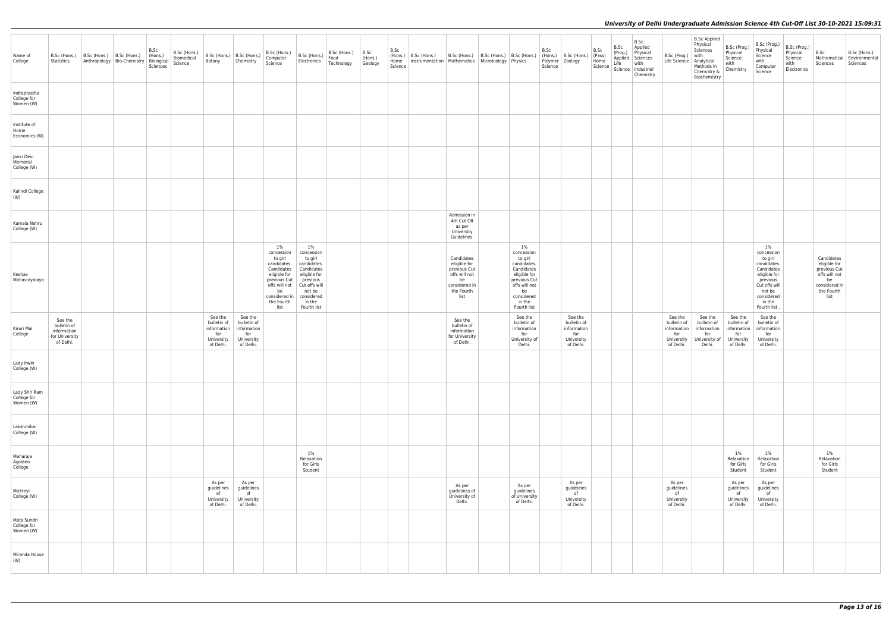| Name of<br>College                        | B.Sc (Hons.)<br>Statistics                                           | B.Sc (Hons.)   B.Sc (Hons.)<br>Anthropology   Bio-Chemistry   Biological | B.Sc<br>$ $ (Hons.)<br>Sciences | B.Sc (Hons.)<br>Biomedical<br>Science | Botany                                                                  | B.Sc (Hons.)   B.Sc (Hons.)<br>Chemistry                                | B.Sc (Hons.)<br>Computer<br>Science                                                                                                                       | B.Sc (Hons.)<br>Electronics                                                                                                                               | B.Sc (Hons.)<br>Food<br>Technology | B.Sc<br>(Hons.)<br>Geology | B.Sc<br>(Hons.)<br>Home<br>Science | B.Sc (Hons.)<br>Instrumentation   Mathematics   Microbiology   Physics | B.Sc (Hons.)   B.Sc (Hons.)   B.Sc (Hons.)                                                               |                                                                                                                                                           | B.Sc<br>Science | (Hons.) B.Sc (Hons.)<br>Polymer Zoology                                 | B.Sc<br>(Pass)<br>Home<br>Science | B.Sc<br>(Prog.)<br>Life | B.Sc<br>Applied<br>Physical<br>Applied Sciences<br>with<br>Science   Industrial<br>Chemistry | B.Sc (Prog.)<br>Life Science   Analytical                               | <b>B.Sc Applied</b><br>Physical<br>Sciences<br>with<br>Methods in<br>Chemistry &<br>Biochemistry | B.Sc (Prog.)<br>Physical<br>Science<br>with<br>Chemistry                | B.Sc (Prog.)<br>Physical<br>Science<br>with<br>Computer<br>Science                                                                                     | B.Sc (Prog.)<br>Physical<br>Science<br>with<br>Electronics | B.Sc<br>B.Sc (Hons.)<br>Mathematical<br>Environmental<br>Sciences<br>Sciences                            |
|-------------------------------------------|----------------------------------------------------------------------|--------------------------------------------------------------------------|---------------------------------|---------------------------------------|-------------------------------------------------------------------------|-------------------------------------------------------------------------|-----------------------------------------------------------------------------------------------------------------------------------------------------------|-----------------------------------------------------------------------------------------------------------------------------------------------------------|------------------------------------|----------------------------|------------------------------------|------------------------------------------------------------------------|----------------------------------------------------------------------------------------------------------|-----------------------------------------------------------------------------------------------------------------------------------------------------------|-----------------|-------------------------------------------------------------------------|-----------------------------------|-------------------------|----------------------------------------------------------------------------------------------|-------------------------------------------------------------------------|--------------------------------------------------------------------------------------------------|-------------------------------------------------------------------------|--------------------------------------------------------------------------------------------------------------------------------------------------------|------------------------------------------------------------|----------------------------------------------------------------------------------------------------------|
| Indraprastha<br>College for<br>Women (W)  |                                                                      |                                                                          |                                 |                                       |                                                                         |                                                                         |                                                                                                                                                           |                                                                                                                                                           |                                    |                            |                                    |                                                                        |                                                                                                          |                                                                                                                                                           |                 |                                                                         |                                   |                         |                                                                                              |                                                                         |                                                                                                  |                                                                         |                                                                                                                                                        |                                                            |                                                                                                          |
| Institute of<br>Home<br>Economics (W)     |                                                                      |                                                                          |                                 |                                       |                                                                         |                                                                         |                                                                                                                                                           |                                                                                                                                                           |                                    |                            |                                    |                                                                        |                                                                                                          |                                                                                                                                                           |                 |                                                                         |                                   |                         |                                                                                              |                                                                         |                                                                                                  |                                                                         |                                                                                                                                                        |                                                            |                                                                                                          |
| Janki Devi<br>Memorial<br>College (W)     |                                                                      |                                                                          |                                 |                                       |                                                                         |                                                                         |                                                                                                                                                           |                                                                                                                                                           |                                    |                            |                                    |                                                                        |                                                                                                          |                                                                                                                                                           |                 |                                                                         |                                   |                         |                                                                                              |                                                                         |                                                                                                  |                                                                         |                                                                                                                                                        |                                                            |                                                                                                          |
| Kalindi College<br>(W)                    |                                                                      |                                                                          |                                 |                                       |                                                                         |                                                                         |                                                                                                                                                           |                                                                                                                                                           |                                    |                            |                                    |                                                                        |                                                                                                          |                                                                                                                                                           |                 |                                                                         |                                   |                         |                                                                                              |                                                                         |                                                                                                  |                                                                         |                                                                                                                                                        |                                                            |                                                                                                          |
| Kamala Nehru<br>College (W)               |                                                                      |                                                                          |                                 |                                       |                                                                         |                                                                         |                                                                                                                                                           |                                                                                                                                                           |                                    |                            |                                    |                                                                        | Admission in<br>4th Cut Off<br>as per<br>University<br>Guidelines.                                       |                                                                                                                                                           |                 |                                                                         |                                   |                         |                                                                                              |                                                                         |                                                                                                  |                                                                         |                                                                                                                                                        |                                                            |                                                                                                          |
| Keshav<br>Mahavidyalaya                   |                                                                      |                                                                          |                                 |                                       |                                                                         |                                                                         | $1\%$<br>concession<br>to girl<br>candidates.<br>Candidates<br>eligible for<br>previous Cut<br>offs will not<br>be<br>considered in<br>the Fourth<br>list | $1\%$<br>concession<br>to girl<br>candidates.<br>Candidates<br>eligible for<br>previous<br>Cut offs will<br>not be<br>considered<br>in the<br>Fourth list |                                    |                            |                                    |                                                                        | Candidates<br>eligible for<br>previous Cut<br>offs will not<br>be<br>considered in<br>the Fourth<br>list | $1\%$<br>concession<br>to girl<br>candidates.<br>Candidates<br>eligible for<br>previous Cut<br>offs will not<br>be<br>considered<br>in the<br>Fourth list |                 |                                                                         |                                   |                         |                                                                                              |                                                                         |                                                                                                  |                                                                         | 1%<br>concession<br>to girl<br>candidates.<br>Candidates<br>eligible for<br>previous<br>Cut offs will<br>not be<br>considered<br>in the<br>Fourth list |                                                            | Candidates<br>eligible for<br>previous Cut<br>offs will not<br>be<br>considered in<br>the Fourth<br>list |
| Kirori Mal<br>College                     | See the<br>bulletin of<br>information<br>for University<br>of Delhi. |                                                                          |                                 |                                       | See the<br>bulletin of<br>information<br>for<br>University<br>of Delhi. | See the<br>bulletin of<br>information<br>for<br>University<br>of Delhi. |                                                                                                                                                           |                                                                                                                                                           |                                    |                            |                                    |                                                                        | See the<br>bulletin of<br>information<br>for University<br>of Delhi.                                     | See the<br>bulletin of<br>information<br>for<br>University of<br>Delhi.                                                                                   |                 | See the<br>bulletin of<br>information<br>for<br>University<br>of Delhi. |                                   |                         |                                                                                              | See the<br>bulletin of<br>information<br>for<br>University<br>of Delhi. | See the<br>bulletin of<br>information<br>for<br>University of<br>Delhi.                          | See the<br>bulletin of<br>information<br>for<br>University<br>of Delhi. | See the<br>bulletin of<br>information<br>for<br>University<br>of Delhi.                                                                                |                                                            |                                                                                                          |
| Lady Irwin<br>College (W)                 |                                                                      |                                                                          |                                 |                                       |                                                                         |                                                                         |                                                                                                                                                           |                                                                                                                                                           |                                    |                            |                                    |                                                                        |                                                                                                          |                                                                                                                                                           |                 |                                                                         |                                   |                         |                                                                                              |                                                                         |                                                                                                  |                                                                         |                                                                                                                                                        |                                                            |                                                                                                          |
| Lady Shri Ram<br>College for<br>Women (W) |                                                                      |                                                                          |                                 |                                       |                                                                         |                                                                         |                                                                                                                                                           |                                                                                                                                                           |                                    |                            |                                    |                                                                        |                                                                                                          |                                                                                                                                                           |                 |                                                                         |                                   |                         |                                                                                              |                                                                         |                                                                                                  |                                                                         |                                                                                                                                                        |                                                            |                                                                                                          |
| Lakshmibai<br>College (W)                 |                                                                      |                                                                          |                                 |                                       |                                                                         |                                                                         |                                                                                                                                                           |                                                                                                                                                           |                                    |                            |                                    |                                                                        |                                                                                                          |                                                                                                                                                           |                 |                                                                         |                                   |                         |                                                                                              |                                                                         |                                                                                                  |                                                                         |                                                                                                                                                        |                                                            |                                                                                                          |
| Maharaja<br>Agrasen<br>College            |                                                                      |                                                                          |                                 |                                       |                                                                         |                                                                         |                                                                                                                                                           | $1\%$<br>Relaxation<br>for Girls<br>Student                                                                                                               |                                    |                            |                                    |                                                                        |                                                                                                          |                                                                                                                                                           |                 |                                                                         |                                   |                         |                                                                                              |                                                                         |                                                                                                  | 1%<br>Relaxation<br>for Girls<br>Student                                | $1\%$<br>Relaxation<br>for Girls<br>Student                                                                                                            |                                                            | 1%<br>Relaxation<br>for Girls<br>Student                                                                 |
| Maitreyi<br>College (W)                   |                                                                      |                                                                          |                                 |                                       | As per<br>guidelines<br>of<br>University<br>of Delhi.                   | As per<br>guidelines<br>of<br>University<br>of Delhi.                   |                                                                                                                                                           |                                                                                                                                                           |                                    |                            |                                    |                                                                        | As per<br>guidelines of<br>University of<br>Delhi.                                                       | As per<br>guidelines<br>of University<br>of Delhi.                                                                                                        |                 | As per<br>guidelines<br>of<br>University<br>of Delhi.                   |                                   |                         |                                                                                              | As per<br>guidelines<br>of<br>University<br>of Delhi.                   |                                                                                                  | As per<br>guidelines<br>of<br>University<br>of Delhi.                   | As per<br>guidelines<br>of<br>University<br>of Delhi.                                                                                                  |                                                            |                                                                                                          |
| Mata Sundri<br>College for<br>Women (W)   |                                                                      |                                                                          |                                 |                                       |                                                                         |                                                                         |                                                                                                                                                           |                                                                                                                                                           |                                    |                            |                                    |                                                                        |                                                                                                          |                                                                                                                                                           |                 |                                                                         |                                   |                         |                                                                                              |                                                                         |                                                                                                  |                                                                         |                                                                                                                                                        |                                                            |                                                                                                          |
| Miranda House<br>(W)                      |                                                                      |                                                                          |                                 |                                       |                                                                         |                                                                         |                                                                                                                                                           |                                                                                                                                                           |                                    |                            |                                    |                                                                        |                                                                                                          |                                                                                                                                                           |                 |                                                                         |                                   |                         |                                                                                              |                                                                         |                                                                                                  |                                                                         |                                                                                                                                                        |                                                            |                                                                                                          |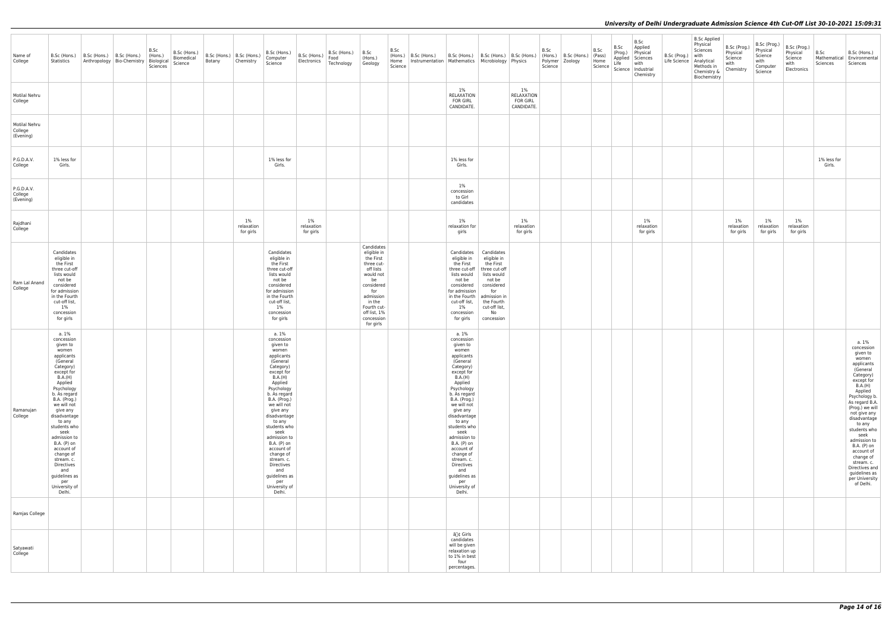| Name of<br>College                    | B.Sc (Hons.)<br>Statistics                                                                                                                                                                                                                                                                                                                                                                            | B.Sc (Hons.)   B.Sc (Hons.) | Anthropology   Bio-Chemistry | B.Sc<br>(Hons.)<br>Biological<br>Sciences | B.Sc (Hons.)<br>Biomedical<br>Science | Botany | B.Sc (Hons.)   B.Sc (Hons.)<br>Chemistry | B.Sc (Hons.)<br>Computer<br>Science                                                                                                                                                                                                                                                                                                                                                                   | B.Sc (Hons.)<br>Electronics      | B.Sc (Hons.)<br>Food<br>Technology | B.Sc<br>(Hons.)<br>Geology                                                                                                                                                                 | B.Sc<br>(Hons.)<br>Home<br>Science | B.Sc (Hons.)<br>Instrumentation   Mathematics   Microbiology   Physics | B.Sc (Hons.)                                                                                                                                                                                                                                                                                                                                                                                          | B.Sc (Hons.)                                                                                                                                                             | B.Sc (Hons.)                                         | B.Sc<br>(Hons.)<br>Science | B.Sc (Hons.)<br>Polymer   Zoology | B.Sc<br>(Pass)<br>Home<br>Science | B.Sc<br>(Prog.)<br>Applied<br>Life | B.Sc<br>Applied<br>Physical<br>Sciences<br>with<br>Science   Industrial<br>Chemistry | B.Sc<br>Life |
|---------------------------------------|-------------------------------------------------------------------------------------------------------------------------------------------------------------------------------------------------------------------------------------------------------------------------------------------------------------------------------------------------------------------------------------------------------|-----------------------------|------------------------------|-------------------------------------------|---------------------------------------|--------|------------------------------------------|-------------------------------------------------------------------------------------------------------------------------------------------------------------------------------------------------------------------------------------------------------------------------------------------------------------------------------------------------------------------------------------------------------|----------------------------------|------------------------------------|--------------------------------------------------------------------------------------------------------------------------------------------------------------------------------------------|------------------------------------|------------------------------------------------------------------------|-------------------------------------------------------------------------------------------------------------------------------------------------------------------------------------------------------------------------------------------------------------------------------------------------------------------------------------------------------------------------------------------------------|--------------------------------------------------------------------------------------------------------------------------------------------------------------------------|------------------------------------------------------|----------------------------|-----------------------------------|-----------------------------------|------------------------------------|--------------------------------------------------------------------------------------|--------------|
| Motilal Nehru<br>College              |                                                                                                                                                                                                                                                                                                                                                                                                       |                             |                              |                                           |                                       |        |                                          |                                                                                                                                                                                                                                                                                                                                                                                                       |                                  |                                    |                                                                                                                                                                                            |                                    |                                                                        | $1\%$<br><b>RELAXATION</b><br><b>FOR GIRL</b><br>CANDIDATE.                                                                                                                                                                                                                                                                                                                                           |                                                                                                                                                                          | $1\%$<br>RELAXATION<br><b>FOR GIRL</b><br>CANDIDATE. |                            |                                   |                                   |                                    |                                                                                      |              |
| Motilal Nehru<br>College<br>(Evening) |                                                                                                                                                                                                                                                                                                                                                                                                       |                             |                              |                                           |                                       |        |                                          |                                                                                                                                                                                                                                                                                                                                                                                                       |                                  |                                    |                                                                                                                                                                                            |                                    |                                                                        |                                                                                                                                                                                                                                                                                                                                                                                                       |                                                                                                                                                                          |                                                      |                            |                                   |                                   |                                    |                                                                                      |              |
| P.G.D.A.V.<br>College                 | 1% less for<br>Girls.                                                                                                                                                                                                                                                                                                                                                                                 |                             |                              |                                           |                                       |        |                                          | 1% less for<br>Girls.                                                                                                                                                                                                                                                                                                                                                                                 |                                  |                                    |                                                                                                                                                                                            |                                    |                                                                        | 1% less for<br>Girls.                                                                                                                                                                                                                                                                                                                                                                                 |                                                                                                                                                                          |                                                      |                            |                                   |                                   |                                    |                                                                                      |              |
| P.G.D.A.V.<br>College<br>(Evening)    |                                                                                                                                                                                                                                                                                                                                                                                                       |                             |                              |                                           |                                       |        |                                          |                                                                                                                                                                                                                                                                                                                                                                                                       |                                  |                                    |                                                                                                                                                                                            |                                    |                                                                        | 1%<br>concession<br>to Girl<br>candidates                                                                                                                                                                                                                                                                                                                                                             |                                                                                                                                                                          |                                                      |                            |                                   |                                   |                                    |                                                                                      |              |
| Rajdhani<br>College                   |                                                                                                                                                                                                                                                                                                                                                                                                       |                             |                              |                                           |                                       |        | $1\%$<br>relaxation<br>for girls         |                                                                                                                                                                                                                                                                                                                                                                                                       | $1\%$<br>relaxation<br>for girls |                                    |                                                                                                                                                                                            |                                    |                                                                        | $1\%$<br>relaxation for<br>girls                                                                                                                                                                                                                                                                                                                                                                      |                                                                                                                                                                          | $1\%$<br>relaxation<br>for girls                     |                            |                                   |                                   |                                    | $1\%$<br>relaxation<br>for girls                                                     |              |
| Ram Lal Anand<br>College              | Candidates<br>eligible in<br>the First<br>three cut-off<br>lists would<br>not be<br>considered<br>for admission<br>in the Fourth<br>cut-off list,<br>$1\%$<br>concession<br>for girls                                                                                                                                                                                                                 |                             |                              |                                           |                                       |        |                                          | Candidates<br>eligible in<br>the First<br>three cut-off<br>lists would<br>not be<br>considered<br>for admission<br>in the Fourth<br>cut-off list,<br>$1\%$<br>concession<br>for girls                                                                                                                                                                                                                 |                                  |                                    | Candidates<br>eligible in<br>the First<br>three cut-<br>off lists<br>would not<br>be<br>considered<br>for<br>admission<br>in the<br>Fourth cut-<br>off list, 1%<br>concession<br>for girls |                                    |                                                                        | Candidates<br>eligible in<br>the First<br>three cut-off<br>lists would<br>not be<br>considered<br>for admission<br>in the Fourth<br>cut-off list,<br>$1\%$<br>concession<br>for girls                                                                                                                                                                                                                 | Candidates<br>eligible in<br>the First<br>three cut-off<br>lists would<br>not be<br>considered<br>for<br>admission in<br>the Fourth<br>cut-off list,<br>No<br>concession |                                                      |                            |                                   |                                   |                                    |                                                                                      |              |
| Ramanujan<br>College                  | a. 1%<br>concession<br>given to<br>women<br>applicants<br>(General<br>Category)<br>except for<br><b>B.A.(H)</b><br>Applied<br>Psychology<br>b. As regard<br>B.A. (Prog.)<br>we will not<br>give any<br>disadvantage<br>to any<br>students who<br>seek<br>admission to<br>B.A. (P) on<br>account of<br>change of<br>stream. c.<br>Directives<br>and<br>guidelines as<br>per<br>University of<br>Delhi. |                             |                              |                                           |                                       |        |                                          | a. 1%<br>concession<br>given to<br>women<br>applicants<br>(General<br>Category)<br>except for<br>B.A.(H)<br>Applied<br>Psychology<br>b. As regard<br><b>B.A.</b> (Prog.)<br>we will not<br>give any<br>disadvantage<br>to any<br>students who<br>seek<br>admission to<br>B.A. (P) on<br>account of<br>change of<br>stream. c.<br>Directives<br>and<br>guidelines as<br>per<br>University of<br>Delhi. |                                  |                                    |                                                                                                                                                                                            |                                    |                                                                        | a. 1%<br>concession<br>given to<br>women<br>applicants<br>(General<br>Category)<br>except for<br><b>B.A.(H)</b><br>Applied<br>Psychology<br>b. As regard<br>B.A. (Prog.)<br>we will not<br>give any<br>disadvantage<br>to any<br>students who<br>seek<br>admission to<br>B.A. (P) on<br>account of<br>change of<br>stream. c.<br>Directives<br>and<br>guidelines as<br>per<br>University of<br>Delhi. |                                                                                                                                                                          |                                                      |                            |                                   |                                   |                                    |                                                                                      |              |
| Ramjas College                        |                                                                                                                                                                                                                                                                                                                                                                                                       |                             |                              |                                           |                                       |        |                                          |                                                                                                                                                                                                                                                                                                                                                                                                       |                                  |                                    |                                                                                                                                                                                            |                                    |                                                                        |                                                                                                                                                                                                                                                                                                                                                                                                       |                                                                                                                                                                          |                                                      |                            |                                   |                                   |                                    |                                                                                      |              |
| Satyawati<br>College                  |                                                                                                                                                                                                                                                                                                                                                                                                       |                             |                              |                                           |                                       |        |                                          |                                                                                                                                                                                                                                                                                                                                                                                                       |                                  |                                    |                                                                                                                                                                                            |                                    |                                                                        | â∏¢ Girls<br>candidates<br>will be given<br>relaxation up<br>to 1% in best<br>four<br>percentages.                                                                                                                                                                                                                                                                                                    |                                                                                                                                                                          |                                                      |                            |                                   |                                   |                                    |                                                                                      |              |

| B.Sc (Prog.)<br>Life Science | <b>B.Sc Applied</b><br>Physical<br>Sciences<br>with<br>Analytical<br>Methods in<br>Chemistry &<br>Biochemistry | B.Sc (Prog.)<br>Physical<br>Science<br>with<br>Chemistry | B.Sc (Prog.)<br>Physical<br>Science<br>with<br>Computer<br>Science | B.Sc (Prog.)<br>Physical<br>Science<br>with<br>Electronics | B.Sc<br>Mathematical<br>Sciences | B.Sc (Hons.)<br>Environmental<br>Sciences                                                                                                                                                                                                                                                                                                                                             |
|------------------------------|----------------------------------------------------------------------------------------------------------------|----------------------------------------------------------|--------------------------------------------------------------------|------------------------------------------------------------|----------------------------------|---------------------------------------------------------------------------------------------------------------------------------------------------------------------------------------------------------------------------------------------------------------------------------------------------------------------------------------------------------------------------------------|
|                              |                                                                                                                |                                                          |                                                                    |                                                            |                                  |                                                                                                                                                                                                                                                                                                                                                                                       |
|                              |                                                                                                                |                                                          |                                                                    |                                                            |                                  |                                                                                                                                                                                                                                                                                                                                                                                       |
|                              |                                                                                                                |                                                          |                                                                    |                                                            | 1% less for<br>Girls.            |                                                                                                                                                                                                                                                                                                                                                                                       |
|                              |                                                                                                                |                                                          |                                                                    |                                                            |                                  |                                                                                                                                                                                                                                                                                                                                                                                       |
|                              |                                                                                                                | 1%<br>relaxation<br>for girls                            | 1%<br>relaxation<br>for girls                                      | 1%<br>relaxation<br>for girls                              |                                  |                                                                                                                                                                                                                                                                                                                                                                                       |
|                              |                                                                                                                |                                                          |                                                                    |                                                            |                                  |                                                                                                                                                                                                                                                                                                                                                                                       |
|                              |                                                                                                                |                                                          |                                                                    |                                                            |                                  |                                                                                                                                                                                                                                                                                                                                                                                       |
|                              |                                                                                                                |                                                          |                                                                    |                                                            |                                  |                                                                                                                                                                                                                                                                                                                                                                                       |
|                              |                                                                                                                |                                                          |                                                                    |                                                            |                                  | a. 1%<br>concession<br>given to<br>women<br>applicants<br>(General<br>Category)<br>except for<br>B.A.(H)<br>Applied<br>Psychology b.<br>As regard B.A.<br>(Prog.) we will<br>not give any<br>disadvantage<br>to any<br>students who<br>seek<br>admission to<br>B.A. (P) on<br>account of<br>change of<br>stream. c.<br>Directives and<br>guidelines as<br>per University<br>of Delhi. |
|                              |                                                                                                                |                                                          |                                                                    |                                                            |                                  |                                                                                                                                                                                                                                                                                                                                                                                       |
|                              |                                                                                                                |                                                          |                                                                    |                                                            |                                  |                                                                                                                                                                                                                                                                                                                                                                                       |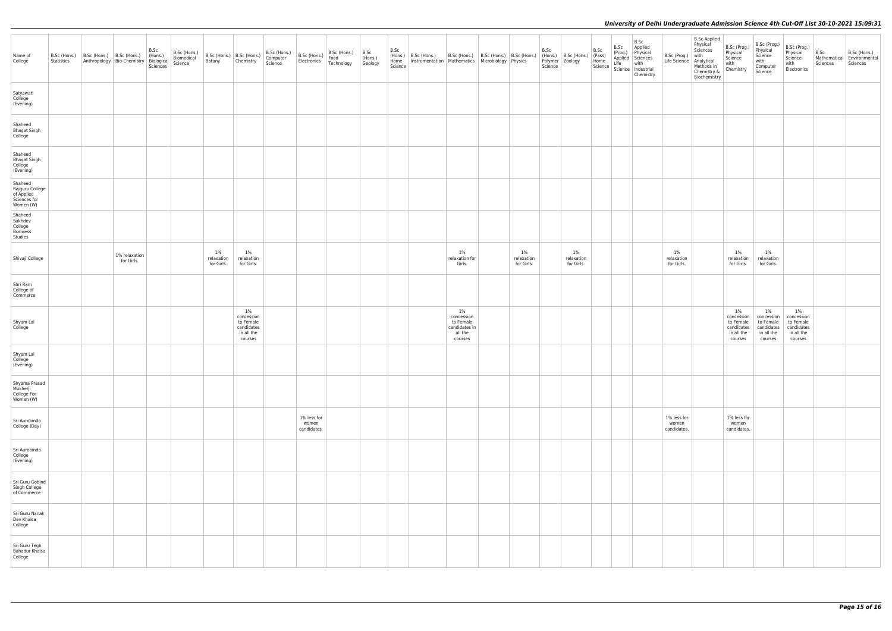| Name of<br>College                                                    | B.Sc (Hons.)<br>Statistics | B.Sc (Hons.) B.Sc (Hons.)<br>Anthropology Bio-Chemistry | B.Sc<br>(Hons.)<br>Biological<br>Sciences | B.Sc (Hons.)<br>Biomedical<br>Science | Botany                         | B.Sc (Hons.)   B.Sc (Hons.)<br>Chemistry                                | B.Sc (Hons.)<br>Computer<br>Science | B.Sc (Hons.)<br>Electronics         | B.Sc (Hons.)<br>Food<br>Technology | B.Sc<br>(Hons.)<br>Geology | B.Sc<br>(Hons.)<br>Home<br>Science | B.Sc (Hons.)<br>Instrumentation   Mathematics   Microbiology   Physics | B.Sc (Hons.)   B.Sc (Hons.)   B.Sc (Hons.)                              |                                   | B.Sc<br>(Hons.)<br>Science | B.Sc (Hons.)<br>Polymer Zoology   | B.Sc<br>(Pass)<br>Home<br>Science | B.Sc<br>(Prog.)<br>Applied<br>Life | B.Sc<br>Applied<br>Physical<br>Sciences<br>with<br>Science   Industrial<br>Chemistry | B.Sc<br>Life       |
|-----------------------------------------------------------------------|----------------------------|---------------------------------------------------------|-------------------------------------------|---------------------------------------|--------------------------------|-------------------------------------------------------------------------|-------------------------------------|-------------------------------------|------------------------------------|----------------------------|------------------------------------|------------------------------------------------------------------------|-------------------------------------------------------------------------|-----------------------------------|----------------------------|-----------------------------------|-----------------------------------|------------------------------------|--------------------------------------------------------------------------------------|--------------------|
| Satyawati<br>College<br>(Evening)                                     |                            |                                                         |                                           |                                       |                                |                                                                         |                                     |                                     |                                    |                            |                                    |                                                                        |                                                                         |                                   |                            |                                   |                                   |                                    |                                                                                      |                    |
| Shaheed<br><b>Bhagat Singh</b><br>College                             |                            |                                                         |                                           |                                       |                                |                                                                         |                                     |                                     |                                    |                            |                                    |                                                                        |                                                                         |                                   |                            |                                   |                                   |                                    |                                                                                      |                    |
| Shaheed<br><b>Bhagat Singh</b><br>College<br>(Evening)                |                            |                                                         |                                           |                                       |                                |                                                                         |                                     |                                     |                                    |                            |                                    |                                                                        |                                                                         |                                   |                            |                                   |                                   |                                    |                                                                                      |                    |
| Shaheed<br>Rajguru College<br>of Applied<br>Sciences for<br>Women (W) |                            |                                                         |                                           |                                       |                                |                                                                         |                                     |                                     |                                    |                            |                                    |                                                                        |                                                                         |                                   |                            |                                   |                                   |                                    |                                                                                      |                    |
| Shaheed<br>Sukhdev<br>College<br>Business<br>Studies                  |                            |                                                         |                                           |                                       |                                |                                                                         |                                     |                                     |                                    |                            |                                    |                                                                        |                                                                         |                                   |                            |                                   |                                   |                                    |                                                                                      |                    |
| Shivaji College                                                       |                            | 1% relaxation<br>for Girls.                             |                                           |                                       | 1%<br>relaxation<br>for Girls. | $1\%$<br>relaxation<br>for Girls.                                       |                                     |                                     |                                    |                            |                                    |                                                                        | $1\%$<br>relaxation for<br>Girls.                                       | $1\%$<br>relaxation<br>for Girls. |                            | $1\%$<br>relaxation<br>for Girls. |                                   |                                    |                                                                                      | rela<br>for        |
| Shri Ram<br>College of<br>Commerce                                    |                            |                                                         |                                           |                                       |                                |                                                                         |                                     |                                     |                                    |                            |                                    |                                                                        |                                                                         |                                   |                            |                                   |                                   |                                    |                                                                                      |                    |
| Shyam Lal<br>College                                                  |                            |                                                         |                                           |                                       |                                | $1\%$<br>concession<br>to Female<br>candidates<br>in all the<br>courses |                                     |                                     |                                    |                            |                                    |                                                                        | $1\%$<br>concession<br>to Female<br>candidates in<br>all the<br>courses |                                   |                            |                                   |                                   |                                    |                                                                                      |                    |
| Shyam Lal<br>College<br>(Evening)                                     |                            |                                                         |                                           |                                       |                                |                                                                         |                                     |                                     |                                    |                            |                                    |                                                                        |                                                                         |                                   |                            |                                   |                                   |                                    |                                                                                      |                    |
| Shyama Prasad<br>Mukherji<br>College For<br>Women (W)                 |                            |                                                         |                                           |                                       |                                |                                                                         |                                     |                                     |                                    |                            |                                    |                                                                        |                                                                         |                                   |                            |                                   |                                   |                                    |                                                                                      |                    |
| Sri Aurobindo<br>College (Day)                                        |                            |                                                         |                                           |                                       |                                |                                                                         |                                     | 1% less for<br>women<br>candidates. |                                    |                            |                                    |                                                                        |                                                                         |                                   |                            |                                   |                                   |                                    |                                                                                      | $1\%$<br>W<br>cand |
| Sri Aurobindo<br>College<br>(Evening)                                 |                            |                                                         |                                           |                                       |                                |                                                                         |                                     |                                     |                                    |                            |                                    |                                                                        |                                                                         |                                   |                            |                                   |                                   |                                    |                                                                                      |                    |
| Sri Guru Gobind<br>Singh College<br>of Commerce                       |                            |                                                         |                                           |                                       |                                |                                                                         |                                     |                                     |                                    |                            |                                    |                                                                        |                                                                         |                                   |                            |                                   |                                   |                                    |                                                                                      |                    |
| Sri Guru Nanak<br>Dev Khalsa<br>College                               |                            |                                                         |                                           |                                       |                                |                                                                         |                                     |                                     |                                    |                            |                                    |                                                                        |                                                                         |                                   |                            |                                   |                                   |                                    |                                                                                      |                    |
| Sri Guru Tegh<br>Bahadur Khalsa<br>College                            |                            |                                                         |                                           |                                       |                                |                                                                         |                                     |                                     |                                    |                            |                                    |                                                                        |                                                                         |                                   |                            |                                   |                                   |                                    |                                                                                      |                    |

| B.Sc (Prog.)<br>Life Science        | <b>B.Sc Applied</b><br>Physical<br>Sciences<br>with<br>Analytical<br>Methods in<br>Chemistry &<br>Biochemistry | B.Sc (Prog.)<br>Physical<br>Science<br>with<br>Chemistry             | B.Sc (Prog.)<br>Physical<br>Science<br>with<br>Computer<br>Science   | B.Sc (Prog.)<br>Physical<br>Science<br>with<br>Electronics           | B.Sc<br>Mathematical<br>Sciences | B.Sc (Hons.)<br>Environmental<br>Sciences |
|-------------------------------------|----------------------------------------------------------------------------------------------------------------|----------------------------------------------------------------------|----------------------------------------------------------------------|----------------------------------------------------------------------|----------------------------------|-------------------------------------------|
|                                     |                                                                                                                |                                                                      |                                                                      |                                                                      |                                  |                                           |
|                                     |                                                                                                                |                                                                      |                                                                      |                                                                      |                                  |                                           |
|                                     |                                                                                                                |                                                                      |                                                                      |                                                                      |                                  |                                           |
|                                     |                                                                                                                |                                                                      |                                                                      |                                                                      |                                  |                                           |
|                                     |                                                                                                                |                                                                      |                                                                      |                                                                      |                                  |                                           |
| $1\%$<br>relaxation<br>for Girls.   |                                                                                                                | 1%<br>relaxation<br>for Girls.                                       | 1%<br>relaxation<br>for Girls.                                       |                                                                      |                                  |                                           |
|                                     |                                                                                                                |                                                                      |                                                                      |                                                                      |                                  |                                           |
|                                     |                                                                                                                | 1%<br>concession<br>to Female<br>candidates<br>in all the<br>courses | 1%<br>concession<br>to Female<br>candidates<br>in all the<br>courses | 1%<br>concession<br>to Female<br>candidates<br>in all the<br>courses |                                  |                                           |
|                                     |                                                                                                                |                                                                      |                                                                      |                                                                      |                                  |                                           |
|                                     |                                                                                                                |                                                                      |                                                                      |                                                                      |                                  |                                           |
| 1% less for<br>women<br>candidates. |                                                                                                                | 1% less for<br>women<br>candidates.                                  |                                                                      |                                                                      |                                  |                                           |
|                                     |                                                                                                                |                                                                      |                                                                      |                                                                      |                                  |                                           |
|                                     |                                                                                                                |                                                                      |                                                                      |                                                                      |                                  |                                           |
|                                     |                                                                                                                |                                                                      |                                                                      |                                                                      |                                  |                                           |
|                                     |                                                                                                                |                                                                      |                                                                      |                                                                      |                                  |                                           |
|                                     |                                                                                                                |                                                                      |                                                                      |                                                                      |                                  |                                           |